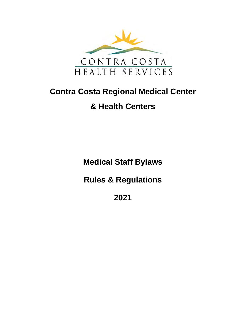

# **Contra Costa Regional Medical Center**

## **& Health Centers**

**Medical Staff Bylaws**

**Rules & Regulations**

**2021**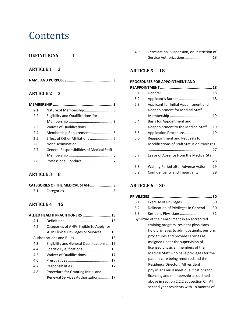## **Contents**

#### **[DEFINITIONS](#page-4-0) 1**

## **[ARTICLE 1](#page-6-0) 3**

|--|--|--|--|--|--|

## **[ARTICLE 2](#page-6-2) 3**

| 2.1 | Nature of Membership3                            |
|-----|--------------------------------------------------|
| 2.2 | Eligibility and Qualifications for               |
|     |                                                  |
| 2.3 | Waiver of Qualifications5                        |
| 2.4 | Membership Requirements 5                        |
| 2.5 | Effect of Other Affiliations 5                   |
| 2.6 |                                                  |
| 2.7 | <b>General Responsibilities of Medical Staff</b> |
|     |                                                  |
| 2 R |                                                  |

#### **[ARTICLE 3](#page-11-0) 8**

| CATEGORIES OF THE MEDICAL STAFF8 |  |
|----------------------------------|--|
|                                  |  |

## **[ARTICLE 4](#page-18-0) 15**

|     | ALLIED HEALTH PRACTITIONERS 15            |
|-----|-------------------------------------------|
| 4.1 |                                           |
| 4.2 | Categories of AHPs Eligible to Apply for  |
|     | AHP Clinical Privileges or Services 15    |
|     |                                           |
| 4.3 | Eligibility and General Qualifications 15 |
| 4.4 | Specific Qualifications 16                |
| 4.5 | Waiver of Qualifications17                |
| 4.6 |                                           |
| 4.7 |                                           |
| 4.8 | Procedure for Granting Initial and        |
|     | Renewal Services Authorizations17         |
|     |                                           |

4.9 [Termination, Suspension, or Restriction of](#page-21-0)  [Service Authorizations...........................18](#page-21-0)

## **[ARTICLE 5](#page-21-1) 18**

#### **[PROCEDURES FOR APPOINTMENT AND](#page-21-2)**

| 5.1                                            |  |
|------------------------------------------------|--|
| 5.2                                            |  |
| 5.3<br>Applicant for Initial Appointment and   |  |
| <b>Reappointment for Medical Staff</b>         |  |
|                                                |  |
| 5.4<br>Basis for Appointment and               |  |
| Reappointment to the Medical Staff 19          |  |
| 5.5<br>Application Procedure19                 |  |
| 5.6<br>Reappointment and Requests for          |  |
| Modifications of Staff Status or Privileges    |  |
|                                                |  |
| 5.7<br>Leave of Absence from the Medical Staff |  |
|                                                |  |
| 5.8<br>Waiting Period after Adverse Action29   |  |
| Confidentiality and Impartiality 29<br>5.9     |  |
|                                                |  |

#### **[ARTICLE 6](#page-33-0) 30**

| 6.1 | Exercise of Privileges30                       |
|-----|------------------------------------------------|
| 6.2 | Delineation of Privileges in General30         |
| 6.3 | Resident Physicians31                          |
|     | By virtue of their enrollment in an accredited |
|     | training program, resident physicians          |
|     | hold privileges to admit patients, perform     |
|     | procedures and provide services as             |
|     | assigned under the supervision of              |
|     | licensed physician members of the              |
|     | Medical Staff who have privileges for the      |
|     | patient care being rendered and the            |
|     | Residency Director. All resident               |
|     | physicians must meet qualifications for        |
|     | licensing and membership as outlined           |
|     | above in section 2.2.2 subsection C. All       |
|     | second year residents with 18 months of        |
|     |                                                |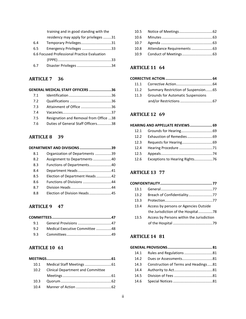| training and in good standing with the |
|----------------------------------------|
| residency may apply for privileges 31  |
| Temporary Privileges31                 |
| Emergency Privileges 33                |
|                                        |
|                                        |
|                                        |
|                                        |

#### **[ARTICLE 7](#page-39-0) 36**

|     | GENERAL MEDICAL STAFF OFFICERS 36      |  |
|-----|----------------------------------------|--|
| 7.1 |                                        |  |
| 7.2 |                                        |  |
| 7.3 | Attainment of Office 36                |  |
| 74  |                                        |  |
| 7.5 | Resignation and Removal from Office 38 |  |
| 7.6 | Duties of General Staff Officers38     |  |
|     |                                        |  |

#### **[ARTICLE 8](#page-42-0) 39**

|     | DEPARTMENT AND DIVISIONS 39    |  |
|-----|--------------------------------|--|
| 8.1 | Organization of Departments 39 |  |
| 8.2 | Assignment to Departments 40   |  |
| 8.3 | Functions of Departments40     |  |
| 8.4 | Department Heads41             |  |
| 8.5 | Election of Department Heads42 |  |
| 8.6 | Functions of Divisions 44      |  |
| 8.7 |                                |  |
| 8.8 | Election of Division Heads45   |  |
|     |                                |  |

#### **[ARTICLE 9](#page-50-0) 47**

| 92 | Medical Executive Committee 48 |  |
|----|--------------------------------|--|
|    |                                |  |

#### **[ARTICLE 10](#page-64-0) 61**

| 10.1 |                                          |  |
|------|------------------------------------------|--|
| 10.2 | <b>Clinical Department and Committee</b> |  |
|      |                                          |  |
| 10.3 |                                          |  |
|      |                                          |  |

#### **[ARTICLE 11](#page-67-0) 64**

#### **[CORRECTIVE ACTION............................................](#page-67-1) 64**

- 11.1 [Corrective Action....................................64](#page-67-2)
- 11.2 [Summary Restriction of Suspension.......65](#page-68-0)
- 11.3 [Grounds for Automatic Suspensions](#page-70-0)  [and/or Restrictions................................67](#page-70-0)

#### **[ARTICLE 12](#page-72-0) 69**

#### **[HEARING AND APPELLATE REVIEWS.....................](#page-72-1) 69** 12.1 [Grounds for Hearing...............................69](#page-72-2) 12.2 [Exhaustion of Remedies.........................69](#page-72-3) 12.3 [Requests for Hearing..............................69](#page-72-4) 12.4 Hearing Procedure [.................................71](#page-74-0) 12.5 [Appeals...................................................74](#page-77-0) 12.6 [Exceptions to Hearing Rights..................76](#page-79-0)

#### **[ARTICLE 13](#page-80-0) 77**

| 13.1 |                                           |  |
|------|-------------------------------------------|--|
| 13.2 | Breach of Confidentiality77               |  |
| 13.3 |                                           |  |
| 13.4 | Access by persons or Agencies Outside     |  |
|      | the Jurisdiction of the Hospital78        |  |
| 13.5 | Access by Persons within the Jurisdiction |  |
|      |                                           |  |

#### **[ARTICLE 14](#page-84-0) 81**

| 14.1 |                                      |  |
|------|--------------------------------------|--|
| 14.2 |                                      |  |
| 14.3 | Construction of Terms and Headings81 |  |
| 14.4 |                                      |  |
| 14.5 |                                      |  |
| 14.6 |                                      |  |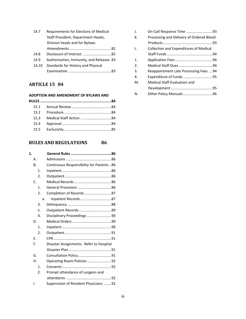| Requirements for Elections of Medical     |
|-------------------------------------------|
| Staff President, Department Heads,        |
| Division heads and for Bylaws             |
|                                           |
|                                           |
| Authorization, Immunity, and Releases. 83 |
| Standards for History and Physical        |
|                                           |
|                                           |

## **[ARTICLE 15](#page-87-0) 84**

#### **[ADOPTION AND AMENDMENT](#page-87-1) OF BYLAWS AND**

## **[RULES AND REGULATIONS](#page-89-0) 86**

| 1. |                |                                          |
|----|----------------|------------------------------------------|
|    | А.             |                                          |
|    | B.             | Continuous Responsibility for Patients86 |
|    | 1.             |                                          |
|    | 2.             |                                          |
|    | C.             |                                          |
|    | 1.             |                                          |
|    | 2.             | Completion of Records87                  |
|    |                | Inpatient Records87<br>a.                |
|    | 3.             |                                          |
|    | ii.            |                                          |
|    | 4.             | Disciplinary Proceedings 90              |
|    | D.             |                                          |
|    | $\mathbf{1}$ . |                                          |
|    | 2.             |                                          |
|    | F.             |                                          |
|    | F.             | Disaster Assignments: Refer to Hospital  |
|    |                |                                          |
|    | G.             |                                          |
|    | Н.             | Operating Room Policies92                |
|    | 1.             |                                          |
|    | 2.             | Prompt attendance of surgeon and         |
|    |                |                                          |
|    | ۱.             | Supervision of Resident Physicians92     |
|    |                |                                          |

| J.               |                                          |
|------------------|------------------------------------------|
| К.               | Processing and Delivery of Ordered Blood |
|                  |                                          |
| Ι.               | Collection and Expenditures of Medical   |
|                  |                                          |
| $\mathbf{1}$ .   |                                          |
| $\mathfrak{D}$ . |                                          |
| 3.               | Reappointment Late Processing Fees 94    |
| 4.               | Expenditure of Funds 95                  |
| М.               | Medical Staff Evaluation and             |
|                  |                                          |
| N.               |                                          |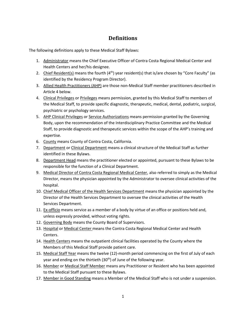## **Definitions**

<span id="page-4-0"></span>The following definitions apply to these Medical Staff Bylaws:

- 1. Administrator means the Chief Executive Officer of Contra Costa Regional Medical Center and Health Centers and her/his designee.
- 2. Chief Resident(s) means the fourth  $(4<sup>th</sup>)$  year resident(s) that is/are chosen by "Core Faculty" (as identified by the Residency Program Director).
- 3. Allied Health Practitioners (AHP) are those non-Medical Staff member practitioners described in Article 4 below.
- 4. Clinical Privileges or Privileges means permission, granted by this Medical Staff to members of the Medical Staff, to provide specific diagnostic, therapeutic, medical, dental, podiatric, surgical, psychiatric or psychology services.
- 5. AHP Clinical Privileges or Service Authorizations means permission granted by the Governing Body, upon the recommendation of the Interdisciplinary Practice Committee and the Medical Staff, to provide diagnostic and therapeutic services within the scope of the AHP's training and expertise.
- 6. County means County of Contra Costa, California.
- 7. Department or Clinical Department means a clinical structure of the Medical Staff as further identified in these Bylaws.
- 8. Department Head means the practitioner elected or appointed, pursuant to these Bylaws to be responsible for the function of a Clinical Department.
- 9. Medical Director of Contra Costa Regional Medical Center, also referred to simply as the Medical Director, means the physician appointed by the Administrator to oversee clinical activities of the hospital.
- 10. Chief Medical Officer of the Health Services Department means the physician appointed by the Director of the Health Services Department to oversee the clinical activities of the Health Services Department.
- 11. Ex-officio means service as a member of a body by virtue of an office or positions held and, unless expressly provided, without voting rights.
- 12. Governing Body means the County Board of Supervisors.
- 13. Hospital or Medical Center means the Contra Costa Regional Medical Center and Health Centers.
- 14. Health Centers means the outpatient clinical facilities operated by the County where the Members of this Medical Staff provide patient care.
- 15. Medical Staff Year means the twelve (12)-month period commencing on the first of July of each year and ending on the thirtieth (30<sup>th</sup>) of June of the following year.
- 16. Member or Medical Staff Member means any Practitioner or Resident who has been appointed to the Medical Staff pursuant to these Bylaws.
- 17. Member in Good Standing means a Member of the Medical Staff who is not under a suspension.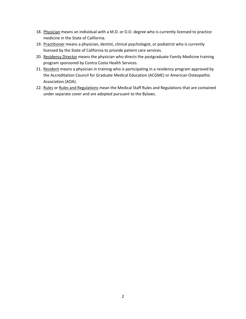- 18. Physician means an individual with a M.D. or D.O. degree who is currently licensed to practice medicine in the State of California.
- 19. Practitioner means a physician, dentist, clinical psychologist, or podiatrist who is currently licensed by the State of California to provide patient care services.
- 20. Residency Director means the physician who directs the postgraduate Family Medicine training program sponsored by Contra Costa Health Services.
- 21. Resident means a physician in training who is participating in a residency program approved by the Accreditation Council for Graduate Medical Education (ACGME) or American Osteopathic Association (AOA).
- 22. Rules or Rules and Regulations mean the Medical Staff Rules and Regulations that are contained under separate cover and are adopted pursuant to the Bylaws.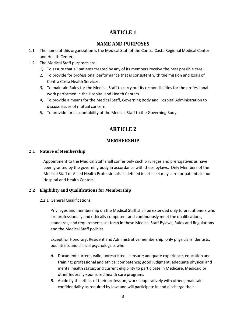## **ARTICLE 1**

#### **NAME AND PURPOSES**

- <span id="page-6-1"></span><span id="page-6-0"></span>1.1 The name of this organization is the Medical Staff of the Contra Costa Regional Medical Center and Health Centers.
- 1.2 The Medical Staff purposes are:
	- *1)* To assure that all patients treated by any of its members receive the best possible care.
	- *2)* To provide for professional performance that is consistent with the mission and goals of Contra Costa Health Services.
	- *3)* To maintain Rules for the Medical Staff to carry out its responsibilities for the professional work performed in the Hospital and Health Centers.
	- *4)* To provide a means for the Medical Staff, Governing Body and Hospital Administration to discuss issues of mutual concern.
	- *5)* To provide for accountability of the Medical Staff to the Governing Body.

## **ARTICLE 2**

#### **MEMBERSHIP**

#### <span id="page-6-4"></span><span id="page-6-3"></span><span id="page-6-2"></span>**2.1 Nature of Membership**

Appointment to the Medical Staff shall confer only such privileges and prerogatives as have been granted by the governing body in accordance with these bylaws. Only Members of the Medical Staff or Allied Health Professionals as defined in article 4 may care for patients in our Hospital and Health Centers.

#### <span id="page-6-5"></span>**2.2 Eligibility and Qualifications for Membership**

2.2.1 General Qualifications

Privileges and membership on the Medical Staff shall be extended only to practitioners who are professionally and ethically competent and continuously meet the qualifications, standards, and requirements set forth in these Medical Staff Bylaws, Rules and Regulations and the Medical Staff policies.

Except for Honorary, Resident and Administrative membership, only physicians, dentists, podiatrists and clinical psychologists who:

- *A.* Document current, valid, unrestricted licensure; adequate experience, education and training; professional and ethical competence; good judgment; adequate physical and mental health status; and current eligibility to participate in Medicare, Medicaid or other federally-sponsored health care programs
- *B.* Abide by the ethics of their profession; work cooperatively with others; maintain confidentiality as required by law; and will participate in and discharge their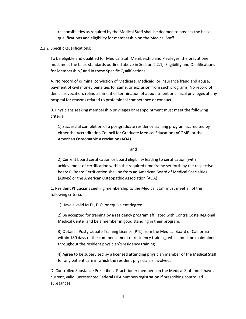responsibilities as required by the Medical Staff shall be deemed to possess the basic qualifications and eligibility for membership on the Medical Staff.

2.2.2 Specific Qualifications:

To be eligible and qualified for Medical Staff Membership and Privileges, the practitioner must meet the basic standards outlined above in Section 2.2.1, 'Eligibility and Qualifications for Membership,' and in these Specific Qualifications:

A. No record of criminal conviction of Medicare, Medicaid, or insurance fraud and abuse, payment of civil money penalties for same, or exclusion from such programs. No record of denial, revocation, relinquishment or termination of appointment or clinical privileges at any hospital for reasons related to professional competence or conduct.

B. Physicians seeking membership privileges or reappointment must meet the following criteria:

1) Successful completion of a postgraduate residency training program accredited by either the Accreditation Council for Graduate Medical Education (ACGME) or the American Osteopathic Association (AOA).

#### and

2) Current board certification or board eligibility leading to certification (with achievement of certification within the required time frame set forth by the respective boards). Board Certification shall be from an American Board of Medical Specialties (ABMS) or the American Osteopathic Association (AOA).

C. Resident Physicians seeking membership to the Medical Staff must meet all of the following criteria:

1) Have a valid M.D., D.O. or equivalent degree.

2) Be accepted for training by a residency program affiliated with Contra Costa Regional Medical Center and be a member in good standing in their program.

3) Obtain a Postgraduate Training License (PTL) from the Medical Board of California within 180 days of the commencement of residency training, which must be maintained throughout the resident physician's residency training.

4) Agree to be supervised by a licensed attending physician member of the Medical Staff for any patient care in which the resident physician is involved.

D. Controlled Substance Prescriber. Practitioner members on the Medical Staff must have a current, valid, unrestricted Federal DEA number/registration if prescribing controlled substances.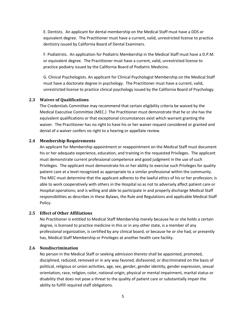E. Dentists. An applicant for dental membership on the Medical Staff must have a DDS or equivalent degree. The Practitioner must have a current, valid, unrestricted license to practice dentistry issued by California Board of Dental Examiners.

F. Podiatrists. An application for Podiatric Membership in the Medical Staff must have a D.P.M. or equivalent degree. The Practitioner must have a current, valid, unrestricted license to practice podiatry issued by the California Board of Podiatric Medicine.

G. Clinical Psychologists. An applicant for Clinical Psychologist Membership on the Medical Staff must have a doctorate degree in psychology. The Practitioner must have a current, valid, unrestricted license to practice clinical psychology issued by the California Board of Psychology.

#### <span id="page-8-0"></span>**2.3 Waiver of Qualifications**

The Credentials Committee may recommend that certain eligibility criteria be waived by the Medical Executive Committee (MEC.) The Practitioner must demonstrate that he or she has the equivalent qualifications or that exceptional circumstances exist which warrant granting the waiver. The Practitioner has no right to have his or her waiver request considered or granted and denial of a waiver confers no right to a hearing or appellate review.

#### <span id="page-8-1"></span>**2.4 Membership Requirements**

An applicant for Membership appointment or reappointment on the Medical Staff must document his or her adequate experience, education, and training in the requested Privileges. The applicant must demonstrate current professional competence and good judgment in the use of such Privileges. The applicant must demonstrate his or her ability to exercise such Privileges for quality patient care at a level recognized as appropriate to a similar professional within the community. The MEC must determine that the applicant adheres to the lawful ethics of his or her profession; is able to work cooperatively with others in the Hospital so as not to adversely affect patient care or Hospital operations; and is willing and able to participate in and properly discharge Medical Staff responsibilities as describes in these Bylaws, the Rule and Regulations and applicable Medical Staff Policy.

#### <span id="page-8-2"></span>**2.5 Effect of Other Affiliations**

No Practitioner is entitled to Medical Staff Membership merely because he or she holds a certain degree, is licensed to practice medicine in this or in any other state, is a member of any professional organization, is certified by any clinical board, or because he or she had, or presently has, Medical Staff Membership or Privileges at another health care facility.

#### <span id="page-8-3"></span>**2.6 Nondiscrimination**

No person in the Medical Staff or seeking admission thereto shall be appointed, promoted, disciplined, reduced, removed or in any way favored, disfavored, or discriminated on the basis of political, religious or union activities, age, sex, gender, gender identity, gender expression, sexual orientation, race, religion, color, national origin, physical or mental impairment, marital status or disability that does not pose a threat to the quality of patient care or substantially impair the ability to fulfill required staff obligations.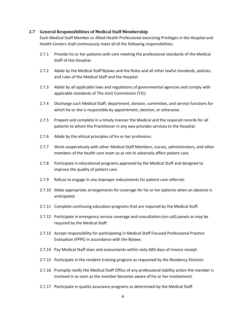#### <span id="page-9-0"></span>**2.7 General Responsibilities of Medical Staff Membership**

Each Medical Staff Member or Allied Health Professional exercising Privileges in the Hospital and Health Centers shall continuously meet all of the following responsibilities:

- 2.7.1 Provide his or her patients with care meeting the professional standards of the Medical Staff of this Hospital.
- 2.7.2 Abide by the Medical Staff Bylaws and the Rules and all other lawful standards, policies, and rules of the Medical Staff and the Hospital.
- 2.7.3 Abide by all applicable laws and regulations of governmental agencies and comply with applicable standards of The Joint Commission (TJC).
- 2.7.4 Discharge such Medical Staff, department, division, committee, and service functions for which he or she is responsible by appointment, election, or otherwise.
- 2.7.5 Prepare and complete in a timely manner the Medical and the required records for all patients to whom the Practitioner in any way provides services to the Hospital.
- 2.7.6 Abide by the ethical principles of his or her profession.
- 2.7.7 Work cooperatively with other Medical Staff Members, nurses, administrators, and other members of the health care team so as not to adversely affect patient care.
- 2.7.8 Participate in educational programs approved by the Medical Staff and designed to improve the quality of patient care.
- 2.7.9 Refuse to engage in any improper inducements for patient care referrals.
- 2.7.10 Make appropriate arrangements for coverage for his or her patients when an absence is anticipated.
- 2.7.11 Complete continuing education programs that are required by the Medical Staff.
- 2.7.12 Participate in emergency service coverage and consultation (on-call) panels as may be required by the Medical Staff.
- 2.7.13 Accept responsibility for participating in Medical Staff Focused Professional Practice Evaluation (FPPE) in accordance with the Bylaws.
- 2.7.14 Pay Medical Staff dues and assessments within sixty (60) days of invoice receipt.
- 2.7.15 Participate in the resident training program as requested by the Residency Director.
- 2.7.16 Promptly notify the Medical Staff Office of any professional liability action the member is involved in as soon as the member becomes aware of his or her involvement.
- 2.7.17 Participate in quality assurance programs as determined by the Medical Staff.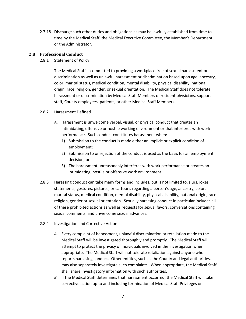2.7.18 Discharge such other duties and obligations as may be lawfully established from time to time by the Medical Staff, the Medical Executive Committee, the Member's Department, or the Administrator.

#### <span id="page-10-0"></span>**2.8 Professional Conduct**

#### 2.8.1 Statement of Policy

The Medical Staff is committed to providing a workplace free of sexual harassment or discrimination as well as unlawful harassment or discrimination based upon age, ancestry, color, marital status, medical condition, mental disability, physical disability, national origin, race, religion, gender, or sexual orientation. The Medical Staff does not tolerate harassment or discrimination by Medical Staff Members of resident physicians, support staff, County employees, patients, or other Medical Staff Members.

#### 2.8.2 Harassment Defined

- *A.* Harassment is unwelcome verbal, visual, or physical conduct that creates an intimidating, offensive or hostile working environment or that interferes with work performance. Such conduct constitutes harassment when:
	- 1) Submission to the conduct is made either an implicit or explicit condition of employment;
	- 2) Submission to or rejection of the conduct is used as the basis for an employment decision; or
	- 3) The harassment unreasonably interferes with work performance or creates an intimidating, hostile or offensive work environment.
- 2.8.3 Harassing conduct can take many forms and includes, but is not limited to, slurs, jokes, statements, gestures, pictures, or cartoons regarding a person's age, ancestry, color, marital status, medical condition, mental disability, physical disability, national origin, race religion, gender or sexual orientation. Sexually harassing conduct in particular includes all of these prohibited actions as well as requests for sexual favors, conversations containing sexual comments, and unwelcome sexual advances.
- 2.8.4 Investigation and Corrective Action
	- *A.* Every complaint of harassment, unlawful discrimination or retaliation made to the Medical Staff will be investigated thoroughly and promptly. The Medical Staff will attempt to protect the privacy of individuals involved in the investigation when appropriate. The Medical Staff will not tolerate retaliation against anyone who reports harassing conduct. Other entities, such as the County and legal authorities, may also separately investigate such complaints. When appropriate, the Medical Staff shall share investigatory information with such authorities.
	- *B.* If the Medical Staff determines that harassment occurred, the Medical Staff will take corrective action up to and including termination of Medical Staff Privileges or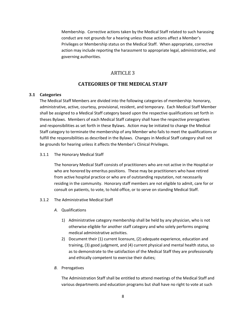Membership. Corrective actions taken by the Medical Staff related to such harassing conduct are not grounds for a hearing unless those actions affect a Member's Privileges or Membership status on the Medical Staff. When appropriate, corrective action may include reporting the harassment to appropriate legal, administrative, and governing authorities.

#### ARTICLE 3

#### **CATEGORIES OF THE MEDICAL STAFF**

#### <span id="page-11-2"></span><span id="page-11-1"></span><span id="page-11-0"></span>**3.1 Categories**

The Medical Staff Members are divided into the following categories of membership: honorary, administrative, active, courtesy, provisional, resident, and temporary. Each Medical Staff Member shall be assigned to a Medical Staff category based upon the respective qualifications set forth in theses Bylaws. Members of each Medical Staff category shall have the respective prerogatives and responsibilities as set forth in these Bylaws. Action may be initiated to change the Medical Staff category to terminate the membership of any Member who fails to meet the qualifications or fulfill the responsibilities as described in the Bylaws. Changes in Medical Staff category shall not be grounds for hearing unless it affects the Member's Clinical Privileges.

#### 3.1.1 The Honorary Medical Staff

The honorary Medical Staff consists of practitioners who are not active in the Hospital or who are honored by emeritus positions. These may be practitioners who have retired from active hospital practice or who are of outstanding reputation, not necessarily residing in the community. Honorary staff members are not eligible to admit, care for or consult on patients, to vote, to hold office, or to serve on standing Medical Staff.

#### 3.1.2 The Administrative Medical Staff

- *A.* Qualifications
	- 1) Administrative category membership shall be held by any physician, who is not otherwise eligible for another staff category and who solely performs ongoing medical administrative activities.
	- 2) Document their (1) current licensure, (2) adequate experience, education and training, (3) good judgment, and (4) current physical and mental health status, so as to demonstrate to the satisfaction of the Medical Staff they are professionally and ethically competent to exercise their duties;
- *B.* Prerogatives

The Administration Staff shall be entitled to attend meetings of the Medical Staff and various departments and education programs but shall have no right to vote at such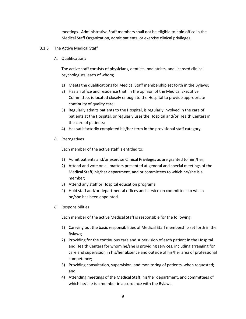meetings. Administrative Staff members shall not be eligible to hold office in the Medical Staff Organization, admit patients, or exercise clinical privileges.

- 3.1.3 The Active Medical Staff
	- *A.* Qualifications

The active staff consists of physicians, dentists, podiatrists, and licensed clinical psychologists, each of whom;

- 1) Meets the qualifications for Medical Staff membership set forth in the Bylaws;
- 2) Has an office and residence that, in the opinion of the Medical Executive Committee, is located closely enough to the Hospital to provide appropriate continuity of quality care;
- 3) Regularly admits patients to the Hospital, is regularly involved in the care of patients at the Hospital, or regularly uses the Hospital and/or Health Centers in the care of patients;
- 4) Has satisfactorily completed his/her term in the provisional staff category.
- *B.* Prerogatives

Each member of the active staff is entitled to:

- 1) Admit patients and/or exercise Clinical Privileges as are granted to him/her;
- 2) Attend and vote on all matters presented at general and special meetings of the Medical Staff, his/her department, and or committees to which he/she is a member;
- 3) Attend any staff or Hospital education programs;
- 4) Hold staff and/or departmental offices and service on committees to which he/she has been appointed.
- *C.* Responsibilities

Each member of the active Medical Staff is responsible for the following:

- 1) Carrying out the basic responsibilities of Medical Staff membership set forth in the Bylaws;
- 2) Providing for the continuous care and supervision of each patient in the Hospital and Health Centers for whom he/she is providing services, including arranging for care and supervision in his/her absence and outside of his/her area of professional competence;
- 3) Providing consultation, supervision, and monitoring of patients, when requested; and
- 4) Attending meetings of the Medical Staff, his/her department, and committees of which he/she is a member in accordance with the Bylaws.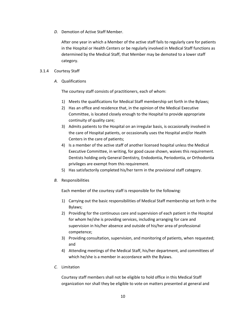*D.* Demotion of Active Staff Member.

After one year in which a Member of the active staff fails to regularly care for patients in the Hospital or Health Centers or be regularly involved in Medical Staff functions as determined by the Medical Staff, that Member may be demoted to a lower staff category.

#### 3.1.4 Courtesy Staff

*A.* Qualifications

The courtesy staff consists of practitioners, each of whom:

- 1) Meets the qualifications for Medical Staff membership set forth in the Bylaws;
- 2) Has an office and residence that, in the opinion of the Medical Executive Committee, is located closely enough to the Hospital to provide appropriate continuity of quality care;
- 3) Admits patients to the Hospital on an irregular basis, is occasionally involved in the care of Hospital patients, or occasionally uses the Hospital and/or Health Centers in the care of patients;
- 4) Is a member of the active staff of another licensed hospital unless the Medical Executive Committee, in writing, for good cause shown, waives this requirement. Dentists holding only General Dentistry, Endodontia, Periodontia, or Orthodontia privileges are exempt from this requirement.
- 5) Has satisfactorily completed his/her term in the provisional staff category.
- *B.* Responsibilities

Each member of the courtesy staff is responsible for the following:

- 1) Carrying out the basic responsibilities of Medical Staff membership set forth in the Bylaws;
- 2) Providing for the continuous care and supervision of each patient in the Hospital for whom he/she is providing services, including arranging for care and supervision in his/her absence and outside of his/her area of professional competence;
- 3) Providing consultation, supervision, and monitoring of patients, when requested; and
- 4) Attending meetings of the Medical Staff, his/her department, and committees of which he/she is a member in accordance with the Bylaws.
- *C.* Limitation

Courtesy staff members shall not be eligible to hold office in this Medical Staff organization nor shall they be eligible to vote on matters presented at general and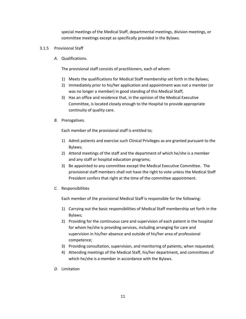special meetings of the Medical Staff, departmental meetings, division meetings, or committee meetings except as specifically provided in the Bylaws.

- 3.1.5 Provisional Staff
	- *A.* Qualifications.

The provisional staff consists of practitioners, each of whom:

- 1) Meets the qualifications for Medical Staff membership set forth in the Bylaws;
- 2) Immediately prior to his/her application and appointment was not a member (or was no longer a member) in good standing of this Medical Staff;
- 3) Has an office and residence that, in the opinion of the Medical Executive Committee, is located closely enough to the Hospital to provide appropriate continuity of quality care.
- *B.* Prerogatives.

Each member of the provisional staff is entitled to;

- 1) Admit patients and exercise such Clinical Privileges as are granted pursuant to the Bylaws;
- 2) Attend meetings of the staff and the department of which he/she is a member and any staff or hospital education programs;
- 3) Be appointed to any committee except the Medical Executive Committee. The provisional staff members shall not have the right to vote unless the Medical Staff President confers that right at the time of the committee appointment.
- *C.* Responsibilities

Each member of the provisional Medical Staff is responsible for the following:

- 1) Carrying out the basic responsibilities of Medical Staff membership set forth in the Bylaws;
- 2) Providing for the continuous care and supervision of each patient in the hospital for whom he/she is providing services, including arranging for care and supervision in his/her absence and outside of his/her area of professional competence;
- 3) Providing consultation, supervision, and monitoring of patients, when requested;
- 4) Attending meetings of the Medical Staff, his/her department, and committees of which he/she is a member in accordance with the Bylaws.
- *D.* Limitation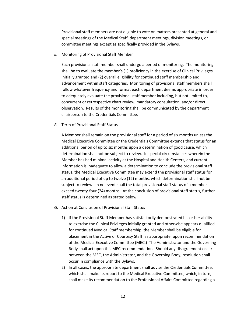Provisional staff members are not eligible to vote on matters presented at general and special meetings of the Medical Staff, department meetings, division meetings, or committee meetings except as specifically provided in the Bylaws.

*E.* Monitoring of Provisional Staff Member

Each provisional staff member shall undergo a period of monitoring. The monitoring shall be to evaluate the member's (1) proficiency in the exercise of Clinical Privileges initially granted and (2) overall eligibility for continued staff membership and advancement within staff categories. Monitoring of provisional staff members shall follow whatever frequency and format each department deems appropriate in order to adequately evaluate the provisional staff member including, but not limited to, concurrent or retrospective chart review, mandatory consultation, and/or direct observation. Results of the monitoring shall be communicated by the department chairperson to the Credentials Committee.

*F.* Term of Provisional Staff Status

A Member shall remain on the provisional staff for a period of six months unless the Medical Executive Committee or the Credentials Committee extends that status for an additional period of up to six months upon a determination of good cause, which determination shall not be subject to review. In special circumstances wherein the Member has had minimal activity at the Hospital and Health Centers, and current information is inadequate to allow a determination to conclude the provisional staff status, the Medical Executive Committee may extend the provisional staff status for an additional period of up to twelve (12) months, which determination shall not be subject to review. In no event shall the total provisional staff status of a member exceed twenty-four (24) months. At the conclusion of provisional staff status, further staff status is determined as stated below.

- *G.* Action at Conclusion of Provisional Staff Status
	- 1) If the Provisional Staff Member has satisfactorily demonstrated his or her ability to exercise the Clinical Privileges initially granted and otherwise appears qualified for continued Medical Staff membership, the Member shall be eligible for placement in the Active or Courtesy Staff, as appropriate, upon recommendation of the Medical Executive Committee (MEC.) The Administrator and the Governing Body shall act upon this MEC recommendation. Should any disagreement occur between the MEC, the Administrator, and the Governing Body, resolution shall occur in compliance with the Bylaws.
	- 2) In all cases, the appropriate department shall advise the Credentials Committee, which shall make its report to the Medical Executive Committee, which, in turn, shall make its recommendation to the Professional Affairs Committee regarding a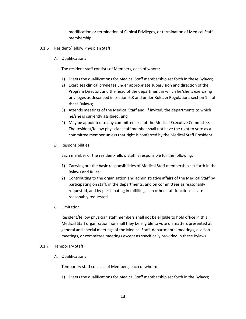modification or termination of Clinical Privileges, or termination of Medical Staff membership.

- 3.1.6 Resident/Fellow Physician Staff
	- *A.* Qualifications

The resident staff consists of Members, each of whom;

- 1) Meets the qualifications for Medical Staff membership set forth in these Bylaws;
- 2) Exercises clinical privileges under appropriate supervision and direction of the Program Director, and the head of the department in which he/she is exercising privileges as described in section 6.3 and under Rules & Regulations section 1.I. of these Bylaws;
- 3) Attends meetings of the Medical Staff and, if invited, the departments to which he/she is currently assigned; and
- 4) May be appointed to any committee except the Medical Executive Committee. The resident/fellow physician staff member shall not have the right to vote as a committee member unless that right is conferred by the Medical Staff President.
- *B.* Responsibilities

Each member of the resident/fellow staff is responsible for the following:

- 1) Carrying out the basic responsibilities of Medical Staff membership set forth in the Bylaws and Rules;
- 2) Contributing to the organization and administrative affairs of the Medical Staff by participating on staff, in the departments, and on committees as reasonably requested, and by participating in fulfilling such other staff functions as are reasonably requested.
- *C.* Limitation

Resident/fellow physician staff members shall not be eligible to hold office in this Medical Staff organization nor shall they be eligible to vote on matters presented at general and special meetings of the Medical Staff, departmental meetings, division meetings, or committee meetings except as specifically provided in these Bylaws.

#### 3.1.7 Temporary Staff

*A.* Qualifications

Temporary staff consists of Members, each of whom:

1) Meets the qualifications for Medical Staff membership set forth in the Bylaws;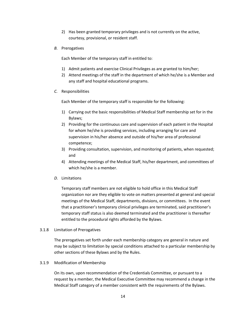- 2) Has been granted temporary privileges and is not currently on the active, courtesy, provisional, or resident staff.
- *B.* Prerogatives

Each Member of the temporary staff in entitled to:

- 1) Admit patients and exercise Clinical Privileges as are granted to him/her;
- 2) Attend meetings of the staff in the department of which he/she is a Member and any staff and hospital educational programs.
- *C.* Responsibilities

Each Member of the temporary staff is responsible for the following:

- 1) Carrying out the basic responsibilities of Medical Staff membership set for in the Bylaws;
- 2) Providing for the continuous care and supervision of each patient in the Hospital for whom he/she is providing services, including arranging for care and supervision in his/her absence and outside of his/her area of professional competence;
- 3) Providing consultation, supervision, and monitoring of patients, when requested; and
- 4) Attending meetings of the Medical Staff, his/her department, and committees of which he/she is a member.
- *D.* Limitations

Temporary staff members are not eligible to hold office in this Medical Staff organization nor are they eligible to vote on matters presented at general and special meetings of the Medical Staff, departments, divisions, or committees. In the event that a practitioner's temporary clinical privileges are terminated, said practitioner's temporary staff status is also deemed terminated and the practitioner is thereafter entitled to the procedural rights afforded by the Bylaws.

#### 3.1.8 Limitation of Prerogatives

The prerogatives set forth under each membership category are general in nature and may be subject to limitation by special conditions attached to a particular membership by other sections of these Bylaws and by the Rules.

#### 3.1.9 Modification of Membership

On its own, upon recommendation of the Credentials Committee, or pursuant to a request by a member, the Medical Executive Committee may recommend a change in the Medical Staff category of a member consistent with the requirements of the Bylaws.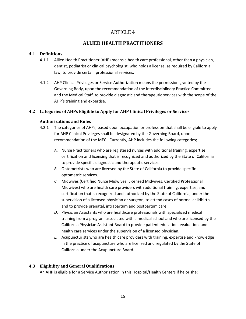### ARTICLE 4

## **ALLIED HEALTH PRACTITIONERS**

#### <span id="page-18-2"></span><span id="page-18-1"></span><span id="page-18-0"></span>**4.1 Definitions**

- 4.1.1 Allied Health Practitioner (AHP) means a health care professional, other than a physician, dentist, podiatrist or clinical psychologist, who holds a license, as required by California law, to provide certain professional services.
- 4.1.2 AHP Clinical Privileges or Service Authorization means the permission granted by the Governing Body, upon the recommendation of the Interdisciplinary Practice Committee and the Medical Staff, to provide diagnostic and therapeutic services with the scope of the AHP's training and expertise.

#### <span id="page-18-3"></span>**4.2 Categories of AHPs Eligible to Apply for AHP Clinical Privileges or Services**

#### <span id="page-18-4"></span>**Authorizations and Rules**

- 4.2.1 The categories of AHPs, based upon occupation or profession that shall be eligible to apply for AHP Clinical Privileges shall be designated by the Governing Board, upon recommendation of the MEC. Currently, AHP includes the following categories;
	- *A.* Nurse Practitioners who are registered nurses with additional training, expertise, certification and licensing that is recognized and authorized by the State of California to provide specific diagnostic and therapeutic services.
	- *B.* Optometrists who are licensed by the State of California to provide specific optometric services.
	- *C.* Midwives (Certified Nurse Midwives, Licensed Midwives, Certified Professional Midwives) who are health care providers with additional training, expertise, and certification that is recognized and authorized by the State of California, under the supervision of a licensed physician or surgeon, to attend cases of normal childbirth and to provide prenatal, intrapartum and postpartum care.
	- *D.* Physician Assistants who are healthcare professionals with specialized medical training from a program associated with a medical school and who are licensed by the California Physician Assistant Board to provide patient education, evaluation, and health care services under the supervision of a licensed physician.
	- *E.* Acupuncturists who are health care providers with training, expertise and knowledge in the practice of acupuncture who are licensed and regulated by the State of California under the Acupuncture Board.

#### <span id="page-18-5"></span>**4.3 Eligibility and General Qualifications**

An AHP is eligible for a Service Authorization in this Hospital/Health Centers if he or she: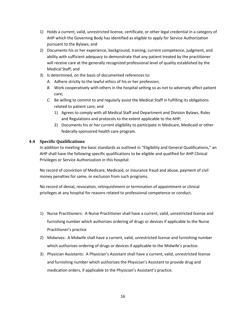- 1) Holds a current, valid, unrestricted license, certificate, or other legal credential in a category of AHP which the Governing Body has identified as eligible to apply for Service Authorization pursuant to the Bylaws; and
- 2) Documents his or her experience, background, training, current competence, judgment, and ability with sufficient adequacy to demonstrate that any patient treated by the practitioner will receive care at the generally recognized professional level of quality established by the Medical Staff; and
- 3) Is determined, on the basis of documented references to:
	- *A.* Adhere strictly to the lawful ethics of his or her profession;
	- *B.* Work cooperatively with others in the hospital setting so as not to adversely affect patient care;
	- *C.* Be willing to commit to and regularly assist the Medical Staff in fulfilling its obligations related to patient care; and
		- 1) Agrees to comply with all Medical Staff and Department and Division Bylaws, Rules and Regulations and protocols to the extent applicable to the AHP;
		- 2) Documents his or her current eligibility to participate in Medicare, Medicaid or other federally-sponsored health care program.

#### <span id="page-19-0"></span>**4.4 Specific Qualifications**

In addition to meeting the basic standards as outlined in "Eligibility and General Qualifications," an AHP shall have the following specific qualifications to be eligible and qualified for AHP Clinical Privileges or Service Authorization in this hospital:

No record of conviction of Medicare, Medicaid, or insurance fraud and abuse, payment of civil money penalties for same, or exclusion from such programs.

No record of denial, revocation, relinquishment or termination of appointment or clinical privileges at any hospital for reasons related to professional competence or conduct.

- 1) Nurse Practitioners: A Nurse Practitioner shall have a current, valid, unrestricted license and furnishing number which authorizes ordering of drugs or devices if applicable to the Nurse Practitioner's practice
- 2) Midwives: A Midwife shall have a current, valid, unrestricted license and furnishing number which authorizes ordering of drugs or devices if applicable to the Midwife's practice.
- 3) Physician Assistants: A Physician's Assistant shall have a current, valid, unrestricted license and furnishing number which authorizes the Physician's Assistant to provide drug and medication orders, if applicable to the Physician's Assistant's practice.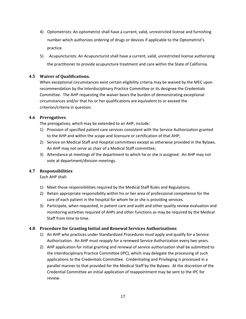- 4) Optometrists: An optometrist shall have a current, valid, unrestricted license and furnishing number which authorizes ordering of drugs or devices if applicable to the Optometrist's practice.
- 5) Acupuncturists: An Acupuncturist shall have a current, valid, unrestricted license authorizing the practitioner to provide acupuncture treatment and care within the State of California.

#### <span id="page-20-0"></span>**4.5 Waiver of Qualifications.**

When exceptional circumstances exist certain eligibility criteria may be waived by the MEC upon recommendation by the Interdisciplinary Practice Committee or its designee the Credentials Committee. The AHP requesting the waiver bears the burden of demonstrating exceptional circumstances and/or that his or her qualifications are equivalent to or exceed the criterion/criteria in question.

#### <span id="page-20-1"></span>**4.6 Prerogatives**

The prerogatives, which may be extended to an AHP, include:

- 1) Provision of specified patient care services consistent with the Service Authorization granted to the AHP and within the scope and licensure or certification of that AHP;
- 2) Service on Medical Staff and Hospital committees except as otherwise provided in the Bylaws. An AHP may not serve as chair of a Medical Staff committee;
- 3) Attendance at meetings of the department to which he or she is assigned. An AHP may not vote at department/division meetings.

#### <span id="page-20-2"></span>**4.7 Responsibilities**

Each AHP shall:

- 1) Meet those responsibilities required by the Medical Staff Rules and Regulations.
- 2) Retain appropriate responsibility within his or her area of professional competence for the care of each patient in the hospital for whom he or she is providing services.
- 3) Participate, when requested, in patient care and audit and other quality review evaluation and monitoring activities required of AHPs and other functions as may be required by the Medical Staff from time to time.

#### <span id="page-20-3"></span>**4.8 Procedure for Granting Initial and Renewal Services Authorizations**

- 1) An AHP who practices under Standardized Procedures must apply and qualify for a Service Authorization. An AHP must reapply for a renewed Service Authorization every two years.
- 2) AHP application for initial granting and renewal of service authorization shall be submitted to the Interdisciplinary Practice Committee (IPC), which may delegate the processing of such applications to the Credentials Committee. Credentialing and Privileging is processed in a parallel manner to that provided for the Medical Staff by the Bylaws. At the discretion of the Credential Committee an initial application of reappointment may be sent to the IPC for review.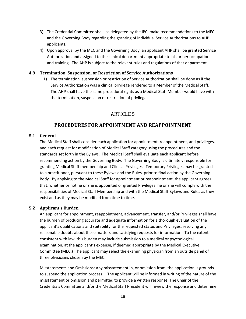- 3) The Credential Committee shall, as delegated by the IPC, make recommendations to the MEC and the Governing Body regarding the granting of individual Service Authorizations to AHP applicants.
- 4) Upon approval by the MEC and the Governing Body, an applicant AHP shall be granted Service Authorization and assigned to the clinical department appropriate to his or her occupation and training. The AHP is subject to the relevant rules and regulations of that department.

#### <span id="page-21-0"></span>**4.9 Termination, Suspension, or Restriction of Service Authorizations**

1) The termination, suspension or restriction of Service Authorization shall be done as if the Service Authorization was a clinical privilege rendered to a Member of the Medical Staff. The AHP shall have the same procedural rights as a Medical Staff Member would have with the termination, suspension or restriction of privileges.

#### ARTICLE 5

#### **PROCEDURES FOR APPOINTMENT AND REAPPOINTMENT**

#### <span id="page-21-3"></span><span id="page-21-2"></span><span id="page-21-1"></span>**5.1 General**

The Medical Staff shall consider each application for appointment, reappointment, and privileges, and each request for modification of Medical Staff category using the procedures and the standards set forth in the Bylaws. The Medical Staff shall evaluate each applicant before recommending action by the Governing Body. The Governing Body is ultimately responsible for granting Medical Staff membership and Clinical Privileges. Temporary Privileges may be granted to a practitioner, pursuant to these Bylaws and the Rules, prior to final action by the Governing Body. By applying to the Medical Staff for appointment or reappointment, the applicant agrees that, whether or not he or she is appointed or granted Privileges, he or she will comply with the responsibilities of Medical Staff Membership and with the Medical Staff Bylaws and Rules as they exist and as they may be modified from time to time.

#### <span id="page-21-4"></span>**5.2 Applicant's Burden**

An applicant for appointment, reappointment, advancement, transfer, and/or Privileges shall have the burden of producing accurate and adequate information for a thorough evaluation of the applicant's qualifications and suitability for the requested status and Privileges, resolving any reasonable doubts about these matters and satisfying requests for information. To the extent consistent with law, this burden may include submission to a medical or psychological examination, at the applicant's expense, if deemed appropriate by the Medical Executive Committee (MEC.) The applicant may select the examining physician from an outside panel of three physicians chosen by the MEC.

Misstatements and Omissions: Any misstatement in, or omission from, the application is grounds to suspend the application process. The applicant will be informed in writing of the nature of the misstatement or omission and permitted to provide a written response. The Chair of the Credentials Committee and/or the Medical Staff President will review the response and determine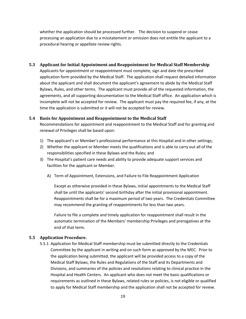whether the application should be processed further. The decision to suspend or cease processing an application due to a misstatement or omission does not entitle the applicant to a procedural hearing or appellate review rights.

#### <span id="page-22-0"></span>**5.3 Applicant for Initial Appointment and Reappointment for Medical Staff Membership**

Applicants for appointment or reappointment must complete, sign and date the prescribed application form provided by the Medical Staff. The application shall request detailed information about the applicant and shall document the applicant's agreement to abide by the Medical Staff Bylaws, Rules, and other terms. The applicant must provide all of the requested information, the agreements, and all supporting documentation to the Medical Staff office. An application which is incomplete will not be accepted for review. The applicant must pay the required fee, if any, at the time the application is submitted or it will not be accepted for review.

#### <span id="page-22-1"></span>**5.4 Basis for Appointment and Reappointment to the Medical Staff**

Recommendations for appointment and reappointment to the Medical Staff and for granting and renewal of Privileges shall be based upon:

- 1) The applicant's or Member's professional performance at this Hospital and in other settings;
- 2) Whether the applicant or Member meets the qualifications and is able to carry out all of the responsibilities specified in these Bylaws and the Rules; and
- 3) The Hospital's patient care needs and ability to provide adequate support services and facilities for the applicant or Member.
	- A) Term of Appointment, Extensions, and Failure to File Reappointment Application

Except as otherwise provided in these Bylaws, initial appointments to the Medical Staff shall be until the applicants' second birthday after the initial provisional appointment. Reappointments shall be for a maximum period of two years. The Credentials Committee may recommend the granting of reappointments for less than two years.

Failure to file a complete and timely application for reappointment shall result in the automatic termination of the Members' membership Privileges and prerogatives at the end of that term.

#### <span id="page-22-2"></span>**5.5 Application Procedure.**

5.5.1 Application for Medical Staff membership must be submitted directly to the Credentials Committee by the applicant in writing and on such form as approved by the MEC. Prior to the application being submitted, the applicant will be provided access to a copy of the Medical Staff Bylaws, the Rules and Regulations of the Staff and its Departments and Divisions, and summaries of the policies and resolutions relating to clinical practice in the Hospital and Health Centers. An applicant who does not meet the basic qualifications or requirements as outlined in these Bylaws, related rules or policies, is not eligible or qualified to apply for Medical Staff membership and the application shall not be accepted for review.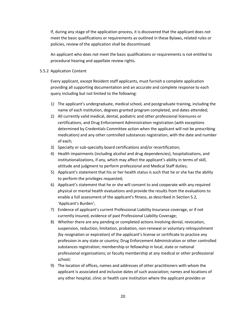If, during any stage of the application process, it is discovered that the applicant does not meet the basic qualifications or requirements as outlined in these Bylaws, related rules or policies, review of the application shall be discontinued.

An applicant who does not meet the basic qualifications or requirements is not entitled to procedural hearing and appellate review rights.

#### 5.5.2 Application Content

Every applicant, except Resident staff applicants, must furnish a complete application providing all supporting documentation and an accurate and complete response to each query including but not limited to the following:

- 1) The applicant's undergraduate, medical school, and postgraduate training, including the name of each institution, degrees granted program completed, and dates attended;
- 2) All currently valid medical, dental, podiatric and other professional licensures or certifications, and Drug Enforcement Administration registration (with exceptions determined by Credentials Committee action when the applicant will not be prescribing medication) and any other controlled substances registration, with the date and number of each;
- 3) Specialty or sub-specialty board certifications and/or recertification;
- 4) Health impairments (including alcohol and drug dependencies), hospitalizations, and institutionalizations, if any, which may affect the applicant's ability in terms of skill, attitude and judgment to perform professional and Medical Staff duties;
- 5) Applicant's statement that his or her health status is such that he or she has the ability to perform the privileges requested;
- 6) Applicant's statement that he or she will consent to and cooperate with any required physical or mental health evaluations and provide the results from the evaluations to enable a full assessment of the applicant's fitness, as described in Section 5.2, 'Applicant's Burden';
- 7) Evidence of applicant's current Professional Liability Insurance coverage, or if not currently insured, evidence of past Professional Liability Coverage;
- 8) Whether there are any pending or completed actions involving denial, revocation, suspension, reduction, limitation, probation, non-renewal or voluntary relinquishment (by resignation or expiration) of the applicant's license or certificate to practice any profession in any state or country; Drug Enforcement Administration or other controlled substances registration; membership or fellowship in local, state or national professional organizations; or faculty membership at any medical or other professional school;
- 9) The location of offices, names and addresses of other practitioners with whom the applicant is associated and inclusive dates of such association; names and locations of any other hospital, clinic or health care institution where the applicant provides or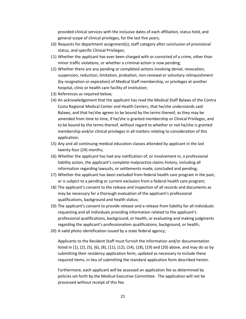provided clinical services with the inclusive dates of each affiliation, status held, and general scope of clinical privileges, for the last five years;

- 10) Requests for department assignment(s), staff category after conclusion of provisional status, and specific Clinical Privileges;
- 11) Whether the applicant has ever been charged with or convicted of a crime, other than minor traffic violations, or whether a criminal action is now pending;
- 12) Whether there are any pending or completed actions involving denial, revocation, suspension, reduction, limitation, probation, non-renewal or voluntary relinquishment (by resignation or expiration) of Medical Staff membership, or privileges at another hospital, clinic or health care facility of institution;
- 13) References as required below;
- 14) An acknowledgement that the applicant has read the Medical Staff Bylaws of the Contra Costa Regional Medical Center and Health Centers, that he/she understands said Bylaws, and that he/she agrees to be bound by the terms thereof, as they may be amended from time to time, if he/she is granted membership or Clinical Privileges, and to be bound by the terms thereof, without regard to whether or not he/she is granted membership and/or clinical privileges in all matters relating to consideration of this application;
- 15) Any and all continuing medical education classes attended by applicant in the last twenty-four (24) months;
- 16) Whether the applicant has had any notification of, or involvement in, a professional liability action, the applicant's complete malpractice claims history, including all information regarding lawsuits, or settlements made, concluded and pending;
- 17) Whether the applicant has been excluded from federal health care program in the past, or is subject to a pending or current exclusion from a federal health care program;
- 18) The applicant's consent to the release and inspection of all records and documents as may be necessary for a thorough evaluation of the applicant's professional qualifications, background and health status;
- 19) The applicant's consent to provide release and a release from liability for all individuals requesting and all individuals providing information related to the applicant's professional qualifications, background, or health, or evaluating and making judgments regarding the applicant's professionalism qualifications, background, or health;
- 20) A valid photo identification issued by a state federal agency;

Applicants to the Resident Staff must furnish the information and/or documentation listed in (1), (2), (5), (6), (8), (11), (12), (14), (18), (19) and (20) above, and may do so by submitting their residency application form, updated as necessary to include these required items, in lieu of submitting the standard application form described herein.

Furthermore, each applicant will be assessed an application fee as determined by policies set forth by the Medical Executive Committee. The application will not be processed without receipt of this fee.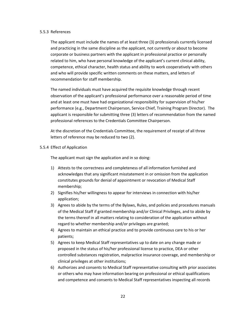#### 5.5.3 References

The applicant must include the names of at least three (3) professionals currently licensed and practicing in the same discipline as the applicant, not currently or about to become corporate or business partners with the applicant in professional practice or personally related to him, who have personal knowledge of the applicant's current clinical ability, competence, ethical character, health status and ability to work cooperatively with others and who will provide specific written comments on these matters, and letters of recommendation for staff membership.

The named individuals must have acquired the requisite knowledge through recent observation of the applicant's professional performance over a reasonable period of time and at least one must have had organizational responsibility for supervision of his/her performance (e.g., Department Chairperson, Service Chief, Training Program Director). The applicant is responsible for submitting three (3) letters of recommendation from the named professional references to the Credentials Committee Chairperson.

At the discretion of the Credentials Committee, the requirement of receipt of all three letters of reference may be reduced to two (2).

#### 5.5.4 Effect of Application

The applicant must sign the application and in so doing:

- 1) Attests to the correctness and completeness of all information furnished and acknowledges that any significant misstatement in or omission from the application constitutes grounds for denial of appointment or revocation of Medical Staff membership;
- 2) Signifies his/her willingness to appear for interviews in connection with his/her application;
- 3) Agrees to abide by the terms of the Bylaws, Rules, and policies and procedures manuals of the Medical Staff if granted membership and/or Clinical Privileges, and to abide by the terms thereof in all matters relating to consideration of the application without regard to whether membership and/or privileges are granted;
- 4) Agrees to maintain an ethical practice and to provide continuous care to his or her patients;
- 5) Agrees to keep Medical Staff representatives up to date on any change made or proposed in the status of his/her professional license to practice, DEA or other controlled substances registration, malpractice insurance coverage, and membership or clinical privileges at other institutions;
- 6) Authorizes and consents to Medical Staff representative consulting with prior associates or others who may have information bearing on professional or ethical qualifications and competence and consents to Medical Staff representatives inspecting all records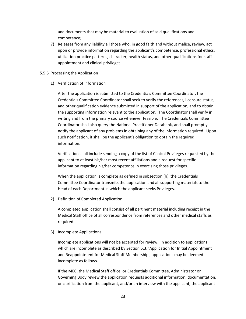and documents that may be material to evaluation of said qualifications and competence;

7) Releases from any liability all those who, in good faith and without malice, review, act upon or provide information regarding the applicant's competence, professional ethics, utilization practice patterns, character, health status, and other qualifications for staff appointment and clinical privileges.

#### 5.5.5 Processing the Application

1) Verification of Information

After the application is submitted to the Credentials Committee Coordinator, the Credentials Committee Coordinator shall seek to verify the references, licensure status, and other qualification evidence submitted in support of the application, and to obtain the supporting information relevant to the application. The Coordinator shall verify in writing and from the primary source whenever feasible. The Credentials Committee Coordinator shall also query the National Practitioner Databank, and shall promptly notify the applicant of any problems in obtaining any of the information required. Upon such notification, it shall be the applicant's obligation to obtain the required information.

Verification shall include sending a copy of the list of Clinical Privileges requested by the applicant to at least his/her most recent affiliations and a request for specific information regarding his/her competence in exercising those privileges.

When the application is complete as defined in subsection (b), the Credentials Committee Coordinator transmits the application and all supporting materials to the Head of each Department in which the applicant seeks Privileges.

2) Definition of Completed Application

A completed application shall consist of all pertinent material including receipt in the Medical Staff office of all correspondence from references and other medical staffs as required.

3) Incomplete Applications

Incomplete applications will not be accepted for review. In addition to applications which are incomplete as described by Section 5.3, 'Application for Initial Appointment and Reappointment for Medical Staff Membership', applications may be deemed incomplete as follows.

If the MEC, the Medical Staff office, or Credentials Committee, Administrator or Governing Body review the application requests additional information, documentation, or clarification from the applicant, and/or an interview with the applicant, the applicant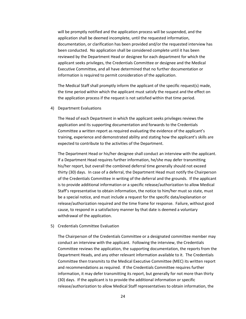will be promptly notified and the application process will be suspended, and the application shall be deemed incomplete, until the requested information, documentation, or clarification has been provided and/or the requested interview has been conducted. No application shall be considered complete until it has been reviewed by the Department Head or designee for each department for which the applicant seeks privileges, the Credentials Committee or designee and the Medical Executive Committee, and all have determined that no further documentation or information is required to permit consideration of the application.

The Medical Staff shall promptly inform the applicant of the specific request(s) made, the time period within which the applicant must satisfy the request and the effect on the application process if the request is not satisfied within that time period.

4) Department Evaluations

The Head of each Department in which the applicant seeks privileges reviews the application and its supporting documentation and forwards to the Credentials Committee a written report as required evaluating the evidence of the applicant's training, experience and demonstrated ability and stating how the applicant's skills are expected to contribute to the activities of the Department.

The Department Head or his/her designee shall conduct an interview with the applicant. If a Department Head requires further information, he/she may defer transmitting his/her report, but overall the combined deferral time generally should not exceed thirty (30) days. In case of a deferral, the Department Head must notify the Chairperson of the Credentials Committee in writing of the deferral and the grounds. If the applicant is to provide additional information or a specific release/authorization to allow Medical Staff's representative to obtain information, the notice to him/her must so state, must be a special notice, and must include a request for the specific data/explanation or release/authorization required and the time frame for response. Failure, without good cause, to respond in a satisfactory manner by that date is deemed a voluntary withdrawal of the application.

#### 5) Credentials Committee Evaluation

The Chairperson of the Credentials Committee or a designated committee member may conduct an interview with the applicant. Following the interview, the Credentials Committee reviews the application, the supporting documentation, the reports from the Department Heads, and any other relevant information available to it. The Credentials Committee then transmits to the Medical Executive Committee (MEC) its written report and recommendations as required. If the Credentials Committee requires further information, it may defer transmitting its report, but generally for not more than thirty (30) days. If the applicant is to provide the additional information or specific release/authorization to allow Medical Staff representatives to obtain information, the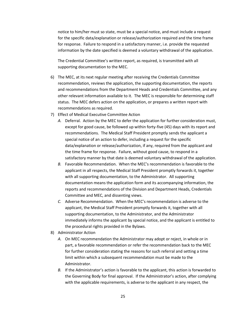notice to him/her must so state, must be a special notice, and must include a request for the specific data/explanation or release/authorization required and the time frame for response. Failure to respond in a satisfactory manner, i.e. provide the requested information by the date specified is deemed a voluntary withdrawal of the application.

The Credential Committee's written report, as required, is transmitted with all supporting documentation to the MEC.

- 6) The MEC, at its next regular meeting after receiving the Credentials Committee recommendation, reviews the application, the supporting documentation, the reports and recommendations from the Department Heads and Credentials Committee, and any other relevant information available to it. The MEC is responsible for determining staff status. The MEC defers action on the application, or prepares a written report with recommendations as required.
- 7) Effect of Medical Executive Committee Action
	- *A.* Deferral. Action by the MEC to defer the application for further consideration must, except for good cause, be followed up within forty-five (45) days with its report and recommendations. The Medical Staff President promptly sends the applicant a special notice of an action to defer, including a request for the specific data/explanation or release/authorization, if any, required from the applicant and the time frame for response. Failure, without good cause, to respond in a satisfactory manner by that date is deemed voluntary withdrawal of the application.
	- *B.* Favorable Recommendation. When the MEC's recommendation is favorable to the applicant in all respects, the Medical Staff President promptly forwards it, together with all supporting documentation, to the Administrator. All supporting documentation means the application form and its accompanying information, the reports and recommendations of the Division and Department Heads, Credentials Committee and MEC, and dissenting views.
	- *C.* Adverse Recommendation. When the MEC's recommendation is adverse to the applicant, the Medical Staff President promptly forwards it, together with all supporting documentation, to the Administrator, and the Administrator immediately informs the applicant by special notice, and the applicant is entitled to the procedural rights provided in the Bylaws.
- 8) Administrator Action
	- *A.* On MEC recommendation the Administrator may adopt or reject, in whole or in part, a favorable recommendation or refer the recommendation back to the MEC for further consideration stating the reasons for such referral and setting a time limit within which a subsequent recommendation must be made to the Administrator.
	- *B.* If the Administrator's action is favorable to the applicant, this action is forwarded to the Governing Body for final approval. If the Administrator's action, after complying with the applicable requirements, is adverse to the applicant in any respect, the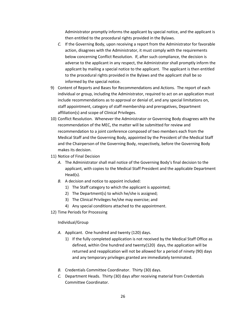Administrator promptly informs the applicant by special notice, and the applicant is then entitled to the procedural rights provided in the Bylaws.

- *C.* If the Governing Body, upon receiving a report from the Administrator for favorable action, disagrees with the Administrator, it must comply with the requirements below concerning Conflict Resolution. If, after such compliance, the decision is adverse to the applicant in any respect, the Administrator shall promptly inform the applicant by mailing a special notice to the applicant. The applicant is then entitled to the procedural rights provided in the Bylaws and the applicant shall be so informed by the special notice.
- 9) Content of Reports and Bases for Recommendations and Actions. The report of each individual or group, including the Administrator, required to act on an application must include recommendations as to approval or denial of, and any special limitations on, staff appointment, category of staff membership and prerogatives, Department affiliation(s) and scope of Clinical Privileges.
- 10) Conflict Resolution. Whenever the Administrator or Governing Body disagrees with the recommendation of the MEC, the matter will be submitted for review and recommendation to a joint conference composed of two members each from the Medical Staff and the Governing Body, appointed by the President of the Medical Staff and the Chairperson of the Governing Body, respectively, before the Governing Body makes its decision.
- 11) Notice of Final Decision
	- *A.* The Administrator shall mail notice of the Governing Body's final decision to the applicant, with copies to the Medical Staff President and the applicable Department Head(s).
	- *B.* A decision and notice to appoint included:
		- 1) The Staff category to which the applicant is appointed;
		- 2) The Department(s) to which he/she is assigned;
		- 3) The Clinical Privileges he/she may exercise; and
		- 4) Any special conditions attached to the appointment.
- 12) Time Periods for Processing

#### Individual/Group

- *A.* Applicant. One hundred and twenty (120) days.
	- 1) If the fully completed application is not received by the Medical Staff Office as defined, within One hundred and twenty(120) days, the application will be returned and reapplication will not be allowed for a period of ninety (90) days and any temporary privileges granted are immediately terminated.
- *B.* Credentials Committee Coordinator. Thirty (30) days.
- *C.* Department Heads. Thirty (30) days after receiving material from Credentials Committee Coordinator.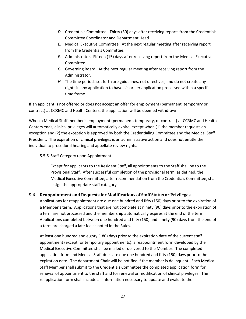- *D.* Credentials Committee. Thirty (30) days after receiving reports from the Credentials Committee Coordinator and Department Head.
- *E.* Medical Executive Committee. At the next regular meeting after receiving report from the Credentials Committee.
- *F.* Administrator. Fifteen (15) days after receiving report from the Medical Executive Committee.
- *G.* Governing Board. At the next regular meeting after receiving report from the Administrator.
- *H.* The time periods set forth are guidelines, not directives, and do not create any rights in any application to have his or her application processed within a specific time frame.

If an applicant is not offered or does not accept an offer for employment (permanent, temporary or contract) at CCRMC and Health Centers, the application will be deemed withdrawn.

When a Medical Staff member's employment (permanent, temporary, or contract) at CCRMC and Health Centers ends, clinical privileges will automatically expire, except when (1) the member requests an exception and (2) the exception is approved by both the Credentialing Committee and the Medical Staff President. The expiration of clinical privileges is an administrative action and does not entitle the individual to procedural hearing and appellate review rights.

#### 5.5.6 Staff Category upon Appointment

Except for applicants to the Resident Staff, all appointments to the Staff shall be to the Provisional Staff. After successful completion of the provisional term, as defined, the Medical Executive Committee, after recommendation from the Credentials Committee, shall assign the appropriate staff category.

#### <span id="page-30-0"></span>**5.6 Reappointment and Requests for Modifications of Staff Status or Privileges**

Applications for reappointment are due one hundred and fifty (150) days prior to the expiration of a Member's term. Applications that are not complete at ninety (90) days prior to the expiration of a term are not processed and the membership automatically expires at the end of the term. Applications completed between one hundred and fifty (150) and ninety (90) days from the end of a term are charged a late fee as noted in the Rules.

At least one hundred and eighty (180) days prior to the expiration date of the current staff appointment (except for temporary appointments), a reappointment form developed by the Medical Executive Committee shall be mailed or delivered to the Member. The completed application form and Medical Staff dues are due one hundred and fifty (150) days prior to the expiration date. The department Chair will be notified if the member is delinquent. Each Medical Staff Member shall submit to the Credentials Committee the completed application form for renewal of appointment to the staff and for renewal or modification of clinical privileges. The reapplication form shall include all information necessary to update and evaluate the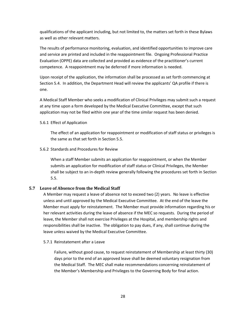qualifications of the applicant including, but not limited to, the matters set forth in these Bylaws as well as other relevant matters.

The results of performance monitoring, evaluation, and identified opportunities to improve care and service are printed and included in the reappointment file. Ongoing Professional Practice Evaluation (OPPE) data are collected and provided as evidence of the practitioner's current competence. A reappointment may be deferred if more information is needed.

Upon receipt of the application, the information shall be processed as set forth commencing at Section 5.4. In addition, the Department Head will review the applicants' QA profile if there is one.

A Medical Staff Member who seeks a modification of Clinical Privileges may submit such a request at any time upon a form developed by the Medical Executive Committee, except that such application may not be filed within one year of the time similar request has been denied.

#### 5.6.1 Effect of Application

The effect of an application for reappointment or modification of staff status or privileges is the same as that set forth in Section 5.5.

#### 5.6.2 Standards and Procedures for Review

When a staff Member submits an application for reappointment, or when the Member submits an application for modification of staff status or Clinical Privileges, the Member shall be subject to an in-depth review generally following the procedures set forth in Section 5.5.

#### <span id="page-31-0"></span>**5.7 Leave of Absence from the Medical Staff**

A Member may request a leave of absence not to exceed two (2) years. No leave is effective unless and until approved by the Medical Executive Committee. At the end of the leave the Member must apply for reinstatement. The Member must provide information regarding his or her relevant activities during the leave of absence if the MEC so requests. During the period of leave, the Member shall not exercise Privileges at the Hospital, and membership rights and responsibilities shall be inactive. The obligation to pay dues, if any, shall continue during the leave unless waived by the Medical Executive Committee.

#### 5.7.1 Reinstatement after a Leave

Failure, without good cause, to request reinstatement of Membership at least thirty (30) days prior to the end of an approved leave shall be deemed voluntary resignation from the Medical Staff. The MEC shall make recommendations concerning reinstatement of the Member's Membership and Privileges to the Governing Body for final action.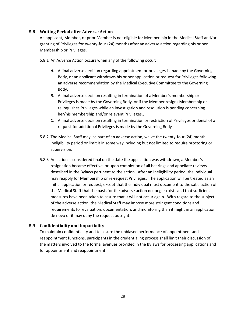#### <span id="page-32-0"></span>**5.8 Waiting Period after Adverse Action**

An applicant, Member, or prior Member is not eligible for Membership in the Medical Staff and/or granting of Privileges for twenty-four (24) months after an adverse action regarding his or her Membership or Privileges.

5.8.1 An Adverse Action occurs when any of the following occur:

- *A.* A final adverse decision regarding appointment or privileges is made by the Governing Body, or an applicant withdraws his or her application or request for Privileges following an adverse recommendation by the Medical Executive Committee to the Governing Body.
- *B.* A final adverse decision resulting in termination of a Member's membership or Privileges is made by the Governing Body, or if the Member resigns Membership or relinquishes Privileges while an investigation and resolution is pending concerning her/his membership and/or relevant Privileges.,
- *C.* A final adverse decision resulting in termination or restriction of Privileges or denial of a request for additional Privileges is made by the Governing Body
- 5.8.2 The Medical Staff may, as part of an adverse action, waive the twenty-four (24) month ineligibility period or limit it in some way including but not limited to require proctoring or supervision.
- 5.8.3 An action is considered final on the date the application was withdrawn, a Member's resignation became effective, or upon completion of all hearings and appellate reviews described in the Bylaws pertinent to the action. After an ineligibility period, the individual may reapply for Membership or re-request Privileges. The application will be treated as an initial application or request, except that the individual must document to the satisfaction of the Medical Staff that the basis for the adverse action no longer exists and that sufficient measures have been taken to assure that it will not occur again. With regard to the subject of the adverse action, the Medical Staff may impose more stringent conditions and requirements for evaluation, documentation, and monitoring than it might in an application de novo or it may deny the request outright.

#### <span id="page-32-1"></span>**5.9 Confidentiality and Impartiality**

To maintain confidentiality and to assure the unbiased performance of appointment and reappointment functions, participants in the credentialing process shall limit their discussion of the matters involved to the formal avenues provided in the Bylaws for processing applications and for appointment and reappointment.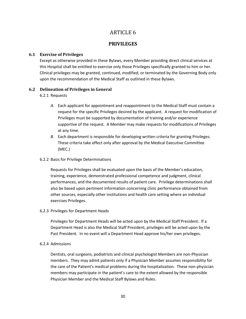## ARTICLE 6

#### **PRIVILEGES**

#### <span id="page-33-2"></span><span id="page-33-1"></span><span id="page-33-0"></span>**6.1 Exercise of Privileges**

Except as otherwise provided in these Bylaws, every Member providing direct clinical services at this Hospital shall be entitled to exercise only those Privileges specifically granted to him or her. Clinical privileges may be granted, continued, modified, or terminated by the Governing Body only upon the recommendation of the Medical Staff as outlined in these Bylaws.

#### <span id="page-33-3"></span>**6.2 Delineation of Privileges in General**

6.2.1 Requests

- *A.* Each applicant for appointment and reappointment to the Medical Staff must contain a request for the specific Privileges desired by the applicant. A request for modification of Privileges must be supported by documentation of training and/or experience supportive of the request. A Member may make requests for modifications of Privileges at any time.
- *B.* Each department is responsible for developing written criteria for granting Privileges. These criteria take effect only after approval by the Medical Executive Committee (MEC.)

#### 6.2.2 Basis for Privilege Determinations

Requests for Privileges shall be evaluated upon the basis of the Member's education, training, experience, demonstrated professional competence and judgment, clinical performances, and the documented results of patient care. Privilege determinations shall also be based upon pertinent information concerning clinic performance obtained from other sources, especially other institutions and health care setting where an individual exercises Privileges.

6.2.3 Privileges for Department Heads

Privileges for Department Heads will be acted upon by the Medical Staff President. If a Department Head is also the Medical Staff President, privileges will be acted upon by the Past President. In no event will a Department Head approve his/her own privileges.

#### 6.2.4 Admissions

Dentists, oral surgeons, podiatrists and clinical psychologist Members are non-Physician members. They may admit patients only if a Physician Member assumes responsibility for the care of the Patient's medical problems during the hospitalization. These non-physician members may participate in the patient's care to the extent allowed by the responsible Physician Member and the Medical Staff Bylaws and Rules.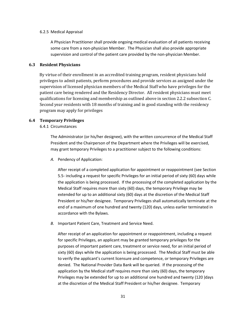#### 6.2.5 Medical Appraisal

A Physician Practitioner shall provide ongoing medical evaluation of all patients receiving some care from a non-physician Member. The Physician shall also provide appropriate supervision and control of the patient care provided by the non-physician Member.

#### <span id="page-34-1"></span><span id="page-34-0"></span>**6.3 Resident Physicians**

 By virtue of their enrollment in an accredited training program, resident physicians hold privileges to admit patients, perform procedures and provide services as assigned under the supervision of licensed physician members of the Medical Staff who have privileges for the patient care being rendered and the Residency Director. All resident physicians must meet qualifications for licensing and membership as outlined above in section 2.2.2 subsection C. Second year residents with 18 months of training and in good standing with the residency program may apply for privileges

#### **6.4 Temporary Privileges**

6.4.1 Circumstances

<span id="page-34-2"></span>The Administrator (or his/her designee), with the written concurrence of the Medical Staff President and the Chairperson of the Department where the Privileges will be exercised, may grant temporary Privileges to a practitioner subject to the following conditions:

*A.* Pendency of Application:

After receipt of a completed application for appointment or reappointment (see Section 5.5- including a request for specific Privileges for an initial period of sixty (60) days while the application is being processed. If the processing of the completed application by the Medical Staff requires more than sixty (60) days, the temporary Privilege may be extended for up to an additional sixty (60) days at the discretion of the Medical Staff President or his/her designee. Temporary Privileges shall automatically terminate at the end of a maximum of one hundred and twenty (120) days, unless earlier terminated in accordance with the Bylaws.

*B.* Important Patient Care, Treatment and Service Need.

After receipt of an application for appointment or reappointment, including a request for specific Privileges, an applicant may be granted temporary privileges for the purposes of important patient care, treatment or service need, for an initial period of sixty (60) days while the application is being processed. The Medical Staff must be able to verify the applicant's current licensure and competence, or temporary Privileges are denied. The National Provider Data Bank will be queried. If the processing of the application by the Medical staff requires more than sixty (60) days, the temporary Privileges may be extended for up to an additional one hundred and twenty (120 )days at the discretion of the Medical Staff President or his/her designee. Temporary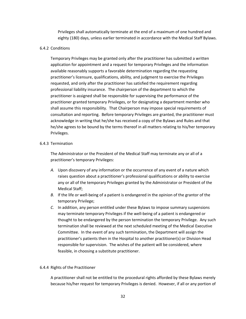Privileges shall automatically terminate at the end of a maximum of one hundred and eighty (180) days, unless earlier terminated in accordance with the Medical Staff Bylaws.

#### 6.4.2 Conditions

Temporary Privileges may be granted only after the practitioner has submitted a written application for appointment and a request for temporary Privileges and the information available reasonably supports a favorable determination regarding the requesting practitioner's licensure, qualifications, ability, and judgment to exercise the Privileges requested, and only after the practitioner has satisfied the requirement regarding professional liability insurance. The chairperson of the department to which the practitioner is assigned shall be responsible for supervising the performance of the practitioner granted temporary Privileges, or for designating a department member who shall assume this responsibility. That Chairperson may impose special requirements of consultation and reporting. Before temporary Privileges are granted, the practitioner must acknowledge in writing that he/she has received a copy of the Bylaws and Rules and that he/she agrees to be bound by the terms thereof in all matters relating to his/her temporary Privileges.

#### 6.4.3 Termination

The Administrator or the President of the Medical Staff may terminate any or all of a practitioner's temporary Privileges:

- *A.* Upon discovery of any information or the occurrence of any event of a nature which raises question about a practitioner's professional qualifications or ability to exercise any or all of the temporary Privileges granted by the Administrator or President of the Medical Staff;
- *B.* If the life or well-being of a patient is endangered in the opinion of the grantor of the temporary Privilege;
- *C.* In addition, any person entitled under these Bylaws to impose summary suspensions may terminate temporary Privileges if the well-being of a patient is endangered or thought to be endangered by the person termination the temporary Privilege. Any such termination shall be reviewed at the next scheduled meeting of the Medical Executive Committee. In the event of any such termination, the Department will assign the practitioner's patients then in the Hospital to another practitioner(s) or Division Head responsible for supervision. The wishes of the patient will be considered, where feasible, in choosing a substitute practitioner.

#### 6.4.4 Rights of the Practitioner

A practitioner shall not be entitled to the procedural rights afforded by these Bylaws merely because his/her request for temporary Privileges is denied. However, if all or any portion of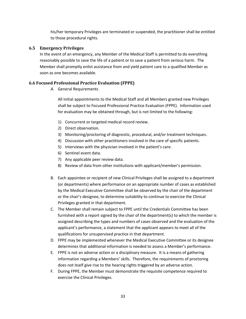his/her temporary Privileges are terminated or suspended, the practitioner shall be entitled to those procedural rights.

# **6.5 Emergency Privileges**

In the event of an emergency, any Member of the Medical Staff is permitted to do everything reasonably possible to save the life of a patient or to save a patient from serious harm. The Member shall promptly enlist assistance from and yield patient care to a qualified Member as soon as one becomes available.

# **6.6 Focused Professional Practice Evaluation (FPPE)**

*A.* General Requirements

All initial appointments to the Medical Staff and all Members granted new Privileges shall be subject to Focused Professional Practice Evaluation (FPPE). Information used for evaluation may be obtained through, but is not limited to the following:

- 1) Concurrent or targeted medical record review.
- 2) Direct observation.
- 3) Monitoring/proctoring of diagnostic, procedural, and/or treatment techniques.
- 4) Discussion with other practitioners involved in the care of specific patients.
- 5) Interviews with the physician involved in the patient's care.
- 6) Sentinel event data.
- 7) Any applicable peer review data.
- 8) Review of data from other institutions with applicant/member's permission.
- B. Each appointee or recipient of new Clinical Privileges shall be assigned to a department (or departments) where performance on an appropriate number of cases as established by the Medical Executive Committee shall be observed by the chair of the department or the chair's designee, to determine suitability to continue to exercise the Clinical Privileges granted in that department.
- C. The Member shall remain subject to FPPE until the Credentials Committee has been furnished with a report signed by the chair of the department(s) to which the member is assigned describing the types and numbers of cases observed and the evaluation of the applicant's performance, a statement that the applicant appears to meet all of the qualifications for unsupervised practice in that department.
- D. FPPE may be implemented whenever the Medical Executive Committee or its designee determines that additional information is needed to assess a Member's performance.
- E. FPPE is not an adverse action or a disciplinary measure. It is a means of gathering information regarding a Members' skills. Therefore, the requirements of proctoring does not itself give rise to the hearing rights triggered by an adverse action.
- F. During FPPE, the Member must demonstrate the requisite competence required to exercise the Clinical Privileges.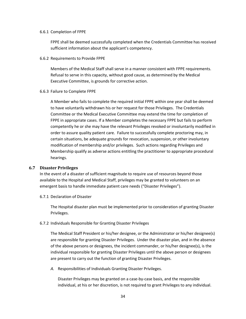#### 6.6.1 Completion of FPPE

FPPE shall be deemed successfully completed when the Credentials Committee has received sufficient information about the applicant's competency.

6.6.2 Requirements to Provide FPPE

Members of the Medical Staff shall serve in a manner consistent with FPPE requirements. Refusal to serve in this capacity, without good cause, as determined by the Medical Executive Committee, is grounds for corrective action.

6.6.3 Failure to Complete FPPE

A Member who fails to complete the required initial FPPE within one year shall be deemed to have voluntarily withdrawn his or her request for those Privileges. The Credentials Committee or the Medical Executive Committee may extend the time for completion of FPPE in appropriate cases. If a Member completes the necessary FPPE but fails to perform competently he or she may have the relevant Privileges revoked or involuntarily modified in order to assure quality patient care. Failure to successfully complete proctoring may, in certain situations, be adequate grounds for revocation, suspension, or other involuntary modification of membership and/or privileges. Such actions regarding Privileges and Membership qualify as adverse actions entitling the practitioner to appropriate procedural hearings.

#### **6.7 Disaster Privileges**

In the event of a disaster of sufficient magnitude to require use of resources beyond those available to the Hospital and Medical Staff, privileges may be granted to volunteers on an emergent basis to handle immediate patient care needs ("Disaster Privileges").

6.7.1 Declaration of Disaster

The Hospital disaster plan must be implemented prior to consideration of granting Disaster Privileges.

#### 6.7.2 Individuals Responsible for Granting Disaster Privileges

The Medical Staff President or his/her designee, or the Administrator or his/her designee(s) are responsible for granting Disaster Privileges. Under the disaster plan, and in the absence of the above persons or designees, the incident commander, or his/her designee(s), is the individual responsible for granting Disaster Privileges until the above person or designees are present to carry out the function of granting Disaster Privileges.

*A.* Responsibilities of Individuals Granting Disaster Privileges.

Disaster Privileges may be granted on a case-by-case basis, and the responsible individual, at his or her discretion, is not required to grant Privileges to any individual.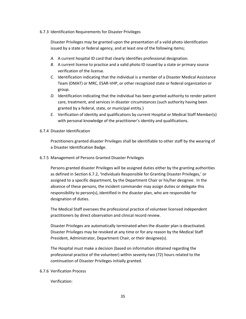## 6.7.3 Identification Requirements for Disaster Privileges

Disaster Privileges may be granted upon the presentation of a valid photo identification issued by a state or federal agency, and at least one of the following items;

- *A.* A current hospital ID card that clearly identifies professional designation.
- *B.* A current license to practice and a valid photo ID issued by a state or primary source verification of the license.
- *C.* Identification indicating that the individual is a member of a Disaster Medical Assistance Team (DMAT) or MRC, ESAR-VHP, or other recognized state or federal organization or group.
- *D.* Identification indicating that the individual has been granted authority to render patient care, treatment, and services in disaster circumstances (such authority having been granted by a federal, state, or municipal entity.)
- *E.* Verification of identity and qualifications by current Hospital or Medical Staff Member(s) with personal knowledge of the practitioner's identity and qualifications.

# 6.7.4 Disaster Identification

Practitioners granted disaster Privileges shall be identifiable to other staff by the wearing of a Disaster Identification Badge.

## 6.7.5 Management of Persons Granted Disaster Privileges

Persons granted disaster Privileges will be assigned duties either by the granting authorities as defined in Section 6.7.2, 'Individuals Responsible for Granting Disaster Privileges,' or assigned to a specific department, by the Department Chair or his/her designee. In the absence of these persons, the incident commander may assign duties or delegate this responsibility to person(s), identified in the disaster plan, who are responsible for designation of duties.

The Medical Staff oversees the professional practice of volunteer licensed independent practitioners by direct observation and clinical record review.

Disaster Privileges are automatically terminated when the disaster plan is deactivated. Disaster Privileges may be revoked at any time or for any reason by the Medical Staff President, Administrator, Department Chair, or their designee(s).

The Hospital must make a decision (based on information obtained regarding the professional practice of the volunteer) within seventy-two (72) hours related to the continuation of Disaster Privileges initially granted.

## 6.7.6 Verification Process

Verification: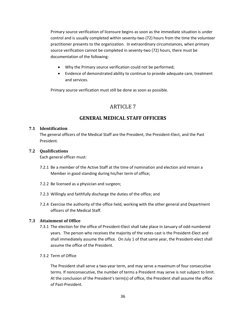Primary source verification of licensure begins as soon as the immediate situation is under control and is usually completed within seventy-two (72) hours from the time the volunteer practitioner presents to the organization. In extraordinary circumstances, when primary source verification cannot be completed in seventy-two (72) hours, there must be documentation of the following:

- Why the Primary source verification could not be performed;
- Evidence of demonstrated ability to continue to provide adequate care, treatment and services.

Primary source verification must still be done as soon as possible.

# ARTICLE 7

# **GENERAL MEDICAL STAFF OFFICERS**

# **7.1 Identification**

The general officers of the Medical Staff are the President, the President-Elect, and the Past President.

# **7.2 Qualifications**

Each general officer must:

- 7.2.1 Be a member of the Active Staff at the time of nomination and election and remain a Member in good standing during his/her term of office;
- 7.2.2 Be licensed as a physician and surgeon;
- 7.2.3 Willingly and faithfully discharge the duties of the office; and
- 7.2.4 Exercise the authority of the office held, working with the other general and Department officers of the Medical Staff.

# **7.3 Attainment of Office**

- 7.3.1 The election for the office of President-Elect shall take place in January of odd-numbered years. The person who receives the majority of the votes cast is the President-Elect and shall immediately assume the office. On July 1 of that same year, the President-elect shall assume the office of the President.
- 7.3.2 Term of Office

The President shall serve a two-year term, and may serve a maximum of four consecutive terms. If nonconsecutive, the number of terms a President may serve is not subject to limit. At the conclusion of the President's term(s) of office, the President shall assume the office of Past-President.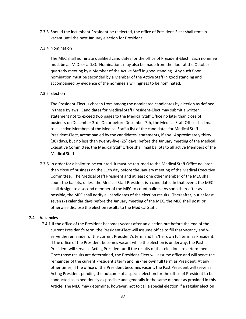7.3.3 Should the incumbent President be reelected, the office of President-Elect shall remain vacant until the next January election for President.

#### 7.3.4 Nomination

The MEC shall nominate qualified candidates for the office of President-Elect. Each nominee must be an M.D. or a D.O. Nominations may also be made from the floor at the October quarterly meeting by a Member of the Active Staff in good standing. Any such floor nomination must be seconded by a Member of the Active Staff in good standing and accompanied by evidence of the nominee's willingness to be nominated.

#### 7.3.5 Election

The President-Elect is chosen from among the nominated candidates by election as defined in these Bylaws. Candidates for Medical Staff President-Elect may submit a written statement not to exceed two pages to the Medical Staff Office no later than close of business on December 3rd. On or before December 7th, the Medical Staff Office shall mail to all active Members of the Medical Staff a list of the candidates for Medical Staff President-Elect, accompanied by the candidates' statements, if any. Approximately thirty (30) days, but no less than twenty-five (25) days, before the January meeting of the Medical Executive Committee, the Medical Staff Office shall mail ballots to all active Members of the Medical Staff.

7.3.6 In order for a ballot to be counted, it must be returned to the Medical Staff Office no later than close of business on the 11th day before the January meeting of the Medical Executive Committee. The Medical Staff President and at least one other member of the MEC shall count the ballots, unless the Medical Staff President is a candidate. In that event, the MEC shall designate a second member of the MEC to count ballots. As soon thereafter as possible, the MEC shall notify all candidates of the election results. Thereafter, but at least seven (7) calendar days before the January meeting of the MEC, the MEC shall post, or otherwise disclose the election results to the Medical Staff.

#### **7.4 Vacancies**

 7.4.1 If the office of the President becomes vacant after an election but before the end of the current President's term, the President-Elect will assume office to fill that vacancy and will serve the remainder of the current President's term and his/her own full term as President. If the office of the President becomes vacant while the election is underway, the Past President will serve as Acting President until the results of that election are determined. Once those results are determined, the President-Elect will assume office and will serve the remainder of the current President's term and his/her own full term as President. At any other times, if the office of the President becomes vacant, the Past President will serve as Acting President pending the outcome of a special election for the office of President to be conducted as expeditiously as possible and generally in the same manner as provided in this Article. The MEC may determine, however, not to call a special election if a regular election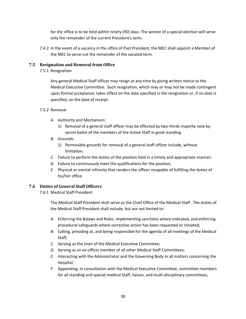for the office is to be held within ninety (90) days. The winner of a special election will serve only the remainder of the current President's term.

7.4.2 In the event of a vacancy in the office of Past President, the MEC shall appoint a Member of the MEC to serve out the remainder of the vacated term.

# **7.5 Resignation and Removal from Office**

7.5.1 Resignation

Any general Medical Staff officer may resign at any time by giving written notice to the Medical Executive Committee. Such resignation, which may or may not be made contingent upon formal acceptance, takes effect on the date specified in the resignation or, if no date is specified, on the date of receipt.

## 7.5.2 Removal

- *A.* Authority and Mechanism:
	- 1) Removal of a general staff officer may be effected by two-thirds majority vote by secret ballot of the members of the Active Staff in good standing.
- *B.* Grounds:
	- 1) Permissible grounds for removal of a general staff officer include, without limitation;
- *C.* Failure to perform the duties of the position held in a timely and appropriate manner;
- *D.* Failure to continuously meet the qualifications for the position;
- *E.* Physical or mental infirmity that renders the officer incapable of fulfilling the duties of his/her office.

# **7.6 Duties of General Staff Officers**

7.6.1 Medical Staff President

The Medical Staff President shall serve as the Chief Office of the Medical Staff. The duties of the Medical Staff President shall include, but are not limited to:

- *A.* Enforcing the Bylaws and Rules, implementing sanctions where indicated, and enforcing procedural safeguards where corrective action has been requested or initiated;
- *B.* Calling, presiding at, and being responsible for the agenda of all meetings of the Medical Staff;
- *C.* Serving as the chair of the Medical Executive Committee;
- *D.* Serving as an ex-officio member of all other Medical Staff Committees;
- *E.* Interacting with the Administrator and the Governing Body in all matters concerning the Hospital;
- *F.* Appointing, in consultation with the Medical Executive Committee, committee members for all standing and special medical Staff, liaison, and multi-disciplinary committees,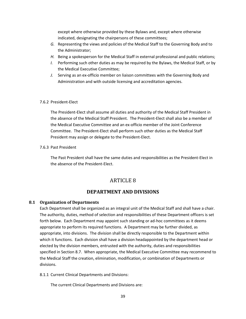except where otherwise provided by these Bylaws and, except where otherwise indicated, designating the chairpersons of these committees;

- *G.* Representing the views and policies of the Medical Staff to the Governing Body and to the Administrator;
- *H.* Being a spokesperson for the Medical Staff in external professional and public relations;
- *I.* Performing such other duties as may be required by the Bylaws, the Medical Staff, or by the Medical Executive Committee;
- *J.* Serving as an ex-officio member on liaison committees with the Governing Body and Administration and with outside licensing and accreditation agencies.

#### 7.6.2 President-Elect

The President-Elect shall assume all duties and authority of the Medical Staff President in the absence of the Medical Staff President. The President-Elect shall also be a member of the Medical Executive Committee and an ex-officio member of the Joint Conference Committee. The President-Elect shall perform such other duties as the Medical Staff President may assign or delegate to the President-Elect.

#### 7.6.3 Past President

The Past President shall have the same duties and responsibilities as the President-Elect in the absence of the President-Elect.

# ARTICLE 8

# **DEPARTMENT AND DIVISIONS**

## **8.1 Organization of Departments**

Each Department shall be organized as an integral unit of the Medical Staff and shall have a chair. The authority, duties, method of selection and responsibilities of these Department officers is set forth below. Each Department may appoint such standing or ad-hoc committees as it deems appropriate to perform its required functions. A Department may be further divided, as appropriate, into divisions. The division shall be directly responsible to the Department within which it functions. Each division shall have a division headappointed by the department head or elected by the division members, entrusted with the authority, duties and responsibilities specified in Section 8.7. When appropriate, the Medical Executive Committee may recommend to the Medical Staff the creation, elimination, modification, or combination of Departments or divisions.

8.1.1 Current Clinical Departments and Divisions:

The current Clinical Departments and Divisions are: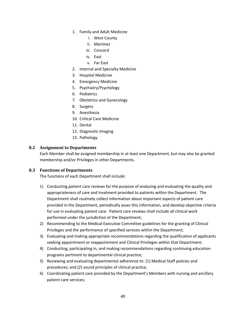- 1. Family and Adult Medicine
	- i. West County
	- ii. Martinez
	- iii. Concord
	- iv. East
	- v. Far East
- 2. Internal and Specialty Medicine
- 3. Hospital Medicine
- 4. Emergency Medicine
- 5. Psychiatry/Psychology
- 6. Pediatrics
- 7. Obstetrics and Gynecology
- 8. Surgery
- 9. Anesthesia
- 10. Critical Care Medicine
- 11. Dental
- 12. Diagnostic Imaging
- 13. Pathology

# **8.2 Assignment to Departments**

Each Member shall be assigned membership in at least one Department, but may also be granted membership and/or Privileges in other Departments.

## **8.3 Functions of Departments**

The functions of each Department shall include:

- 1) Conducting patient care reviews for the purpose of analyzing and evaluating the quality and appropriateness of care and treatment provided to patients within the Department. The Department shall routinely collect information about important aspects of patient care provided in the Department, periodically asses this information, and develop objective criteria for use in evaluating patient care. Patient care reviews shall include all clinical work performed under the jurisdiction of the Department;
- 2) Recommending to the Medical Executive Committee guidelines for the granting of Clinical Privileges and the performance of specified services within the Department;
- 3) Evaluating and making appropriate recommendations regarding the qualification of applicants seeking appointment or reappointment and Clinical Privileges within that Department;
- 4) Conducting, participating in, and making recommendations regarding continuing education programs pertinent to departmental clinical practice;
- 5) Reviewing and evaluating departmental adherence to: (1) Medical Staff policies and procedures; and (2) sound principles of clinical practice;
- 6) Coordinating patient care provided by the Department's Members with nursing and ancillary patient care services;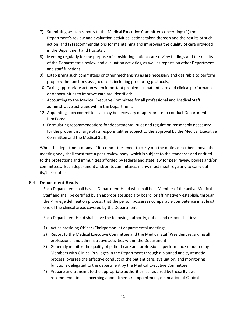- 7) Submitting written reports to the Medical Executive Committee concerning: (1) the Department's review and evaluation activities, actions taken thereon and the results of such action; and (2) recommendations for maintaining and improving the quality of care provided in the Department and Hospital;
- 8) Meeting regularly for the purpose of considering patient care review findings and the results of the Department's review and evaluation activities, as well as reports on other Department and staff functions;
- 9) Establishing such committees or other mechanisms as are necessary and desirable to perform properly the functions assigned to it, including proctoring protocols;
- 10) Taking appropriate action when important problems in patient care and clinical performance or opportunities to improve care are identified;
- 11) Accounting to the Medical Executive Committee for all professional and Medical Staff administrative activities within the Department;
- 12) Appointing such committees as may be necessary or appropriate to conduct Department functions;
- 13) Formulating recommendations for departmental rules and regulation reasonably necessary for the proper discharge of its responsibilities subject to the approval by the Medical Executive Committee and the Medical Staff;

When the department or any of its committees meet to carry out the duties described above, the meeting body shall constitute a peer review body, which is subject to the standards and entitled to the protections and immunities afforded by federal and state law for peer review bodies and/or committees. Each department and/or its committees, if any, must meet regularly to carry out its/their duties.

# **8.4 Department Heads**

Each Department shall have a Department Head who shall be a Member of the active Medical Staff and shall be certified by an appropriate specialty board, or affirmatively establish, through the Privilege delineation process, that the person possesses comparable competence in at least one of the clinical areas covered by the Department.

Each Department Head shall have the following authority, duties and responsibilities:

- 1) Act as presiding Officer (Chairperson) at departmental meetings;
- 2) Report to the Medical Executive Committee and the Medical Staff President regarding all professional and administrative activities within the Department;
- 3) Generally monitor the quality of patient care and professional performance rendered by Members with Clinical Privileges in the Department through a planned and systematic process; oversee the effective conduct of the patient care, evaluation, and monitoring functions delegated to the department by the Medical Executive Committee;
- 4) Prepare and transmit to the appropriate authorities, as required by these Bylaws, recommendations concerning appointment, reappointment, delineation of Clinical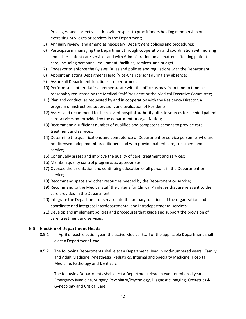Privileges, and corrective action with respect to practitioners holding membership or exercising privileges or services in the Department;

- 5) Annually review, and amend as necessary, Department policies and procedures;
- 6) Participate in managing the Department through cooperation and coordination with nursing and other patient care services and with Administration on all matters affecting patient care, including personnel, equipment, facilities, services, and budget;
- 7) Endeavor to enforce the Bylaws, Rules and policies and regulations with the Department;
- 8) Appoint an acting Department Head (Vice-Chairperson) during any absence;
- 9) Assure all Department functions are performed;
- 10) Perform such other duties commensurate with the office as may from time to time be reasonably requested by the Medical Staff President or the Medical Executive Committee;
- 11) Plan and conduct, as requested by and in cooperation with the Residency Director, a program of instruction, supervision, and evaluation of Residents'
- 12) Assess and recommend to the relevant hospital authority off-site sources for needed patient care services not provided by the department or organization;
- 13) Recommend a sufficient number of qualified and competent persons to provide care, treatment and services;
- 14) Determine the qualifications and competence of Department or service personnel who are not licensed independent practitioners and who provide patient care, treatment and service;
- 15) Continually assess and improve the quality of care, treatment and services;
- 16) Maintain quality control programs, as appropriate;
- 17) Oversee the orientation and continuing education of all persons in the Department or service;
- 18) Recommend space and other resources needed by the Department or service;
- 19) Recommend to the Medical Staff the criteria for Clinical Privileges that are relevant to the care provided in the Department;
- 20) Integrate the Department or service into the primary functions of the organization and coordinate and integrate interdepartmental and intradepartmental services;
- 21) Develop and implement policies and procedures that guide and support the provision of care, treatment and services.

## **8.5 Election of Department Heads**

- 8.5.1 In April of each election year, the active Medical Staff of the applicable Department shall elect a Department Head.
- 8.5.2 The following Departments shall elect a Department Head in odd-numbered years: Family and Adult Medicine, Anesthesia, Pediatrics, Internal and Specialty Medicine, Hospital Medicine, Pathology and Dentistry.

The following Departments shall elect a Department Head in even-numbered years: Emergency Medicine, Surgery, Psychiatry/Psychology, Diagnostic Imaging, Obstetrics & Gynecology and Critical Care.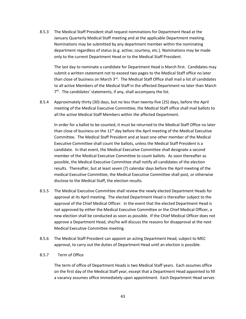8.5.3 The Medical Staff President shall request nominations for Department Head at the January Quarterly Medical Staff meeting and at the applicable Department meeting. Nominations may be submitted by any department member within the nominating department regardless of status (e.g. active; courtesy, etc.). Nominations may be made only to the current Department Head or to the Medical Staff President.

The last day to nominate a candidate for Department Head is March first. Candidates may submit a written statement not to exceed two pages to the Medical Staff office no later than close of business on March  $3<sup>rd</sup>$ . The Medical Staff Office shall mail a list of candidates to all active Members of the Medical Staff in the affected Department no later than March 7<sup>th</sup>. The candidates' statements, if any, shall accompany the list.

8.5.4 Approximately thirty (30) days, but no less than twenty-five (25) days, before the April meeting of the Medical Executive Committee, the Medical Staff office shall mail ballots to all the active Medical Staff Members within the affected Department.

In order for a ballot to be counted, it must be returned to the Medical Staff Office no later than close of business on the  $11<sup>th</sup>$  day before the April meeting of the Medical Executive Committee. The Medical Staff President and at least one other member of the Medical Executive Committee shall count the ballots, unless the Medical Staff President is a candidate. In that event, the Medical Executive Committee shall designate a second member of the Medical Executive Committee to count ballots. As soon thereafter as possible, the Medical Executive Committee shall notify all candidates of the election results. Thereafter, but at least seven (7) calendar days before the April meeting of the medical Executive Committee, the Medical Executive Committee shall post, or otherwise disclose to the Medical Staff, the election results.

- 8.5.5 The Medical Executive Committee shall review the newly elected Department Heads for approval at its April meeting. The elected Department Head is thereafter subject to the approval of the Chief Medical Officer. In the event that the elected Department Head is not approved by either the Medical Executive Committee or the Chief Medical Officer, a new election shall be conducted as soon as possible. If the Chief Medical Officer does not approve a Department Head, she/he will discuss the reasons for disapproval at the next Medical Executive Committee meeting.
- 8.5.6 The Medical Staff President can appoint an acting Department Head, subject to MEC approval, to carry out the duties of Department Head until an election is possible.
- 8.5.7 Term of Office

The term of office of Department Heads is two Medical Staff years. Each assumes office on the first day of the Medical Staff year, except that a Department Head appointed to fill a vacancy assumes office immediately upon appointment. Each Department Head serves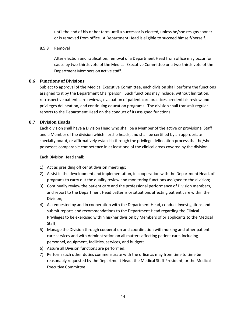until the end of his or her term until a successor is elected, unless he/she resigns sooner or is removed from office. A Department Head is eligible to succeed himself/herself.

#### 8.5.8 Removal

After election and ratification, removal of a Department Head from office may occur for cause by two-thirds vote of the Medical Executive Committee or a two-thirds vote of the Department Members on active staff.

#### **8.6 Functions of Divisions**

Subject to approval of the Medical Executive Committee, each division shall perform the functions assigned to it by the Department Chairperson. Such functions may include, without limitation, retrospective patient care reviews, evaluation of patient care practices, credentials review and privileges delineation, and continuing education programs. The division shall transmit regular reports to the Department Head on the conduct of its assigned functions.

## **8.7 Division Heads**

Each division shall have a Division Head who shall be a Member of the active or provisional Staff and a Member of the division which he/she heads, and shall be certified by an appropriate specialty board, or affirmatively establish through the privilege delineation process that he/she possesses comparable competence in at least one of the clinical areas covered by the division.

Each Division Head shall:

- 1) Act as presiding officer at division meetings;
- 2) Assist in the development and implementation, in cooperation with the Department Head, of programs to carry out the quality review and monitoring functions assigned to the division;
- 3) Continually review the patient care and the professional performance of Division members, and report to the Department Head patterns or situations affecting patient care within the Division;
- 4) As requested by and in cooperation with the Department Head, conduct investigations and submit reports and recommendations to the Department Head regarding the Clinical Privileges to be exercised within his/her division by Members of or applicants to the Medical Staff;
- 5) Manage the Division through cooperation and coordination with nursing and other patient care services and with Administration on all matters affecting patient care, including personnel, equipment, facilities, services, and budget;
- 6) Assure all Division functions are performed;
- 7) Perform such other duties commensurate with the office as may from time to time be reasonably requested by the Department Head, the Medical Staff President, or the Medical Executive Committee.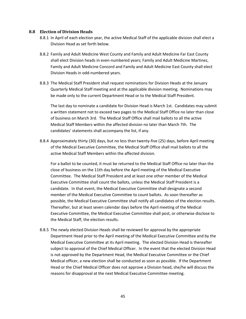#### **8.8 Election of Division Heads**

- 8.8.1 In April of each election year, the active Medical Staff of the applicable division shall elect a Division Head as set forth below.
- 8.8.2 Family and Adult Medicine West County and Family and Adult Medicine Far East County shall elect Division heads in even-numbered years; Family and Adult Medicine Martinez, Family and Adult Medicine Concord and Family and Adult Medicine East County shall elect Division Heads in odd-numbered years.
- 8.8.3 The Medical Staff President shall request nominations for Division Heads at the January Quarterly Medical Staff meeting and at the applicable division meeting. Nominations may be made only to the current Department Head or to the Medical Staff President.

The last day to nominate a candidate for Division Head is March 1st. Candidates may submit a written statement not to exceed two pages to the Medical Staff Office no later than close of business on March 3rd. The Medical Staff Office shall mail ballots to all the active Medical Staff Members within the affected division no later than March 7th. The candidates' statements shall accompany the list, if any.

8.8.4 Approximately thirty (30) days, but no less than twenty-five (25) days, before April meeting of the Medical Executive Committee, the Medical Staff Office shall mail ballots to all the active Medical Staff Members within the affected division.

For a ballot to be counted, it must be returned to the Medical Staff Office no later than the close of business on the 11th day before the April meeting of the Medical Executive Committee. The Medical Staff President and at least one other member of the Medical Executive Committee shall count the ballots, unless the Medical Staff President is a candidate. In that event, the Medical Executive Committee shall designate a second member of the Medical Executive Committee to count ballots. As soon thereafter as possible, the Medical Executive Committee shall notify all candidates of the election results. Thereafter, but at least seven calendar days before the April meeting of the Medical Executive Committee, the Medical Executive Committee shall post, or otherwise disclose to the Medical Staff, the election results.

8.8.5 The newly elected Division Heads shall be reviewed for approval by the appropriate Department Head prior to the April meeting of the Medical Executive Committee and by the Medical Executive Committee at its April meeting. The elected Division Head is thereafter subject to approval of the Chief Medical Officer. In the event that the elected Division Head is not approved by the Department Head, the Medical Executive Committee or the Chief Medical officer, a new election shall be conducted as soon as possible. If the Department Head or the Chief Medical Officer does not approve a Division head, she/he will discuss the reasons for disapproval at the next Medical Executive Committee meeting.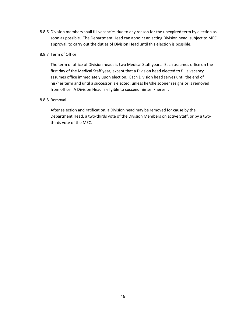8.8.6 Division members shall fill vacancies due to any reason for the unexpired term by election as soon as possible. The Department Head can appoint an acting Division head, subject to MEC approval, to carry out the duties of Division Head until this election is possible.

## 8.8.7 Term of Office

The term of office of Division heads is two Medical Staff years. Each assumes office on the first day of the Medical Staff year, except that a Division head elected to fill a vacancy assumes office immediately upon election. Each Division head serves until the end of his/her term and until a successor is elected, unless he/she sooner resigns or is removed from office. A Division Head is eligible to succeed himself/herself.

## 8.8.8 Removal

After selection and ratification, a Division head may be removed for cause by the Department Head, a two-thirds vote of the Division Members on active Staff, or by a twothirds vote of the MEC.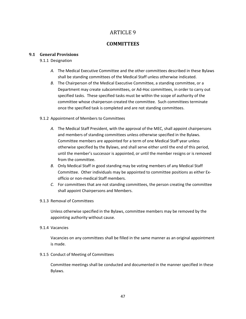# ARTICLE 9

# **COMMITTEES**

# **9.1 General Provisions**

# 9.1.1 Designation

- *A.* The Medical Executive Committee and the other committees described in these Bylaws shall be standing committees of the Medical Staff unless otherwise indicated.
- *B.* The Chairperson of the Medical Executive Committee, a standing committee, or a Department may create subcommittees, or Ad-Hoc committees, in order to carry out specified tasks. These specified tasks must be within the scope of authority of the committee whose chairperson created the committee. Such committees terminate once the specified task is completed and are not standing committees.

# 9.1.2 Appointment of Members to Committees

- *A.* The Medical Staff President, with the approval of the MEC, shall appoint chairpersons and members of standing committees unless otherwise specified in the Bylaws. Committee members are appointed for a term of one Medical Staff year unless otherwise specified by the Bylaws, and shall serve either until the end of this period, until the member's successor is appointed, or until the member resigns or is removed from the committee.
- *B.* Only Medical Staff in good standing may be voting members of any Medical Staff Committee. Other individuals may be appointed to committee positions as either Exofficio or non-medical Staff members.
- *C.* For committees that are not standing committees, the person creating the committee shall appoint Chairpersons and Members.

# 9.1.3 Removal of Committees

Unless otherwise specified in the Bylaws, committee members may be removed by the appointing authority without cause.

9.1.4 Vacancies

Vacancies on any committees shall be filled in the same manner as an original appointment is made.

# 9.1.5 Conduct of Meeting of Committees

Committee meetings shall be conducted and documented in the manner specified in these Bylaws.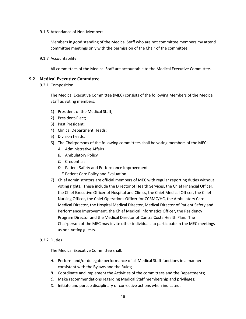#### 9.1.6 Attendance of Non-Members

Members in good standing of the Medical Staff who are not committee members my attend committee meetings only with the permission of the Chair of the committee.

9.1.7 Accountability

All committees of the Medical Staff are accountable to the Medical Executive Committee.

#### **9.2 Medical Executive Committee**

9.2.1 Composition

The Medical Executive Committee (MEC) consists of the following Members of the Medical Staff as voting members:

- 1) President of the Medical Staff;
- 2) President-Elect;
- 3) Past President;
- 4) Clinical Department Heads;
- 5) Division heads;
- 6) The Chairpersons of the following committees shall be voting members of the MEC:
	- *A.* Administrative Affairs
	- *B.* Ambulatory Policy
	- *C.* Credentials
	- *D.* Patient Safety and Performance Improvement
		- *E.*Patient Care Policy and Evaluation
- 7) Chief administrators are official members of MEC with regular reporting duties without voting rights. These include the Director of Health Services, the Chief Financial Officer, the Chief Executive Officer of Hospital and Clinics, the Chief Medical Officer, the Chief Nursing Officer, the Chief Operations Officer for CCRMC/HC, the Ambulatory Care Medical Director, the Hospital Medical Director, Medical Director of Patient Safety and Performance Improvement, the Chief Medical Informatics Officer, the Residency Program Director and the Medical Director of Contra Costa Health Plan. The Chairperson of the MEC may invite other individuals to participate in the MEC meetings as non-voting guests.

#### 9.2.2 Duties

The Medical Executive Committee shall:

- *A.* Perform and/or delegate performance of all Medical Staff functions in a manner consistent with the Bylaws and the Rules;
- *B.* Coordinate and implement the Activities of the committees and the Departments;
- *C.* Make recommendations regarding Medical Staff membership and privileges;
- *D.* Initiate and pursue disciplinary or corrective actions when indicated;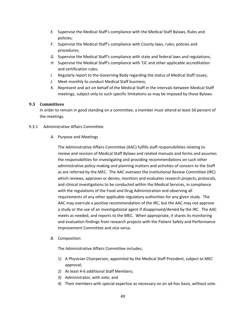- *E.* Supervise the Medical Staff's compliance with the Medical Staff Bylaws, Rules and policies;
- *F.* Supervise the Medical Staff's compliance with County laws, rules, policies and procedures;
- *G.* Supervise the Medical Staff's compliance with state and federal laws and regulations;
- *H.* Supervise the Medical Staff's compliance with TJC and other applicable accreditation and certification rules;
- *I.* Regularly report to the Governing Body regarding the status of Medical Staff issues;
- *J.* Meet monthly to conduct Medical Staff business;
- *K.* Represent and act on behalf of the Medical Staff in the intervals between Medical Staff meetings, subject only to such specific limitations as may be imposed by those Bylaws.

# **9.3 Committees**

In order to remain in good standing on a committee, a member must attend at least 50 percent of the meetings.

# 9.3.1 Administrative Affairs Committee

*A.* Purpose and Meetings

The Administrative Affairs Committee (AAC) fulfills staff responsibilities relating to review and revision of Medical Staff Bylaws and related manuals and forms and assumes the responsibilities for investigating and providing recommendations on such other administrative policy-making and planning matters and activities of concern to the Staff as are referred by the MEC. The AAC oversees the Institutional Review Committee (IRC) which reviews, approves or denies, monitors and evaluates research projects, protocols, and clinical investigations to be conducted within the Medical Services, in compliance with the regulations of the Food and Drug Administration and observing all requirements of any other applicable regulatory authorities for any given study. The AAC may overrule a positive recommendation of the IRC, but the AAC may not approve a study or the use of an investigational agent if disapproved/denied by the IRC. The AAC meets as needed, and reports to the MEC. When appropriate, it shares its monitoring and evaluation findings from research projects with the Patient Safety and Performance Improvement Committee and vice versa.

## *B.* Composition

The Administrative Affairs Committee includes;

- 1) A Physician Chairperson, appointed by the Medical Staff President, subject to MEC approval;
- 2) At least 4-6 additional Staff Members;
- 3) Administrator, with vote; and
- 4) Their members with special expertise as necessary on an ad-hoc basis, without vote.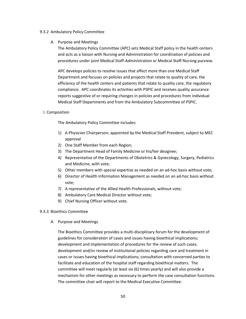#### 9.3.2 Ambulatory Policy Committee

## *A.* Purpose and Meetings

The Ambulatory Policy Committee (APC) sets Medical Staff policy in the health centers and acts as a liaison with Nursing and Administration for coordination of policies and procedures under joint Medical Staff-Administration or Medical Staff-Nursing purview.

APC develops policies to resolve issues that affect more than one Medical Staff Department and focuses on policies and projects that relate to quality of care, the efficiency of the health centers and patients that relate to quality care, the regulatory compliance. APC coordinates its activities with PSPIC and receives quality assurance reports suggestive of or requiring changes in policies and procedures from individual Medical Staff Departments and from the Ambulatory Subcommittee of PSPIC.

## I. Composition

The Ambulatory Policy Committee includes:

- 1) A Physician Chairperson; appointed by the Medical Staff President, subject to MEC approval
- 2) One Staff Member from each Region;
- 3) The Department Head of Family Medicine or his/her designee;
- 4) Representative of the Departments of Obstetrics & Gynecology, Surgery, Pediatrics and Medicine, with vote;
- 5) Other members with special expertise as needed on an ad-hoc basis without vote;
- 6) Director of Health Information Management as needed on an ad-hoc basis without vote;
- 7) A representative of the Allied Health Professionals, without vote;
- 8) Ambulatory Care Medical Director without vote;
- 9) Chief Nursing Officer without vote.

## 9.3.3 Bioethics Committee

*A.* Purpose and Meetings

The Bioethics Committee provides a multi-disciplinary forum for the development of guidelines for consideration of cases and issues having bioethical implications; development and implementation of procedures for the review of such cases; development and/or review of institutional policies regarding care and treatment in cases or issues having bioethical implications; consultation with concerned parties to facilitate and education of the hospital staff regarding bioethical matters. The committee will meet regularly (at least six (6) times yearly) and will also provide a mechanism for other meetings as necessary to perform the case consultation functions. The committee chair will report to the Medical Executive Committee.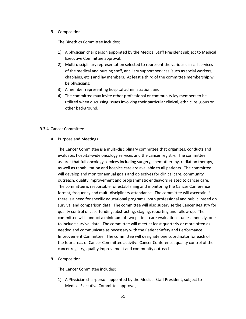#### *B.* Composition

The Bioethics Committee includes;

- 1) A physician chairperson appointed by the Medical Staff President subject to Medical Executive Committee approval;
- 2) Multi-disciplinary representation selected to represent the various clinical services of the medical and nursing staff, ancillary support services (such as social workers, chaplains, etc.) and lay members. At least a third of the committee membership will be physicians;
- 3) A member representing hospital administration; and
- 4) The committee may invite other professional or community lay members to be utilized when discussing issues involving their particular clinical, ethnic, religious or other background.

## 9.3.4 Cancer Committee

#### *A.* Purpose and Meetings

The Cancer Committee is a multi-disciplinary committee that organizes, conducts and evaluates hospital-wide oncology services and the cancer registry. The committee assures that full oncology services including surgery, chemotherapy, radiation therapy, as well as rehabilitation and hospice care are available to all patients. The committee will develop and monitor annual goals and objectives for clinical care, community outreach, quality improvement and programmatic endeavors related to cancer care. The committee is responsible for establishing and monitoring the Cancer Conference format, frequency and multi-disciplinary attendance. The committee will ascertain if there is a need for specific educational programs both professional and public based on survival and comparison data. The committee will also supervise the Cancer Registry for quality control of case-funding, abstracting, staging, reporting and follow-up. The committee will conduct a minimum of two patient care evaluation studies annually, one to include survival data. The committee will meet at least quarterly or more often as needed and communicate as necessary with the Patient Safety and Performance Improvement Committee. The committee will designate one coordinator for each of the four areas of Cancer Committee activity: Cancer Conference, quality control of the cancer registry, quality improvement and community outreach.

## *B.* Composition

The Cancer Committee includes:

1) A Physician chairperson appointed by the Medical Staff President, subject to Medical Executive Committee approval;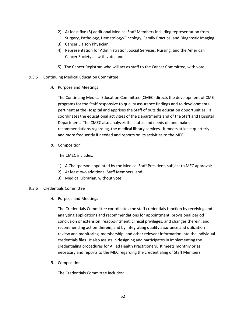- 2) At least five (5) additional Medical Staff Members including representation from Surgery, Pathology, Hematology/Oncology, Family Practice, and Diagnostic Imaging;
- 3) Cancer Liaison Physician;
- 4) Representation for Administration, Social Services, Nursing, and the American Cancer Society all with vote; and
- 5) The Cancer Registrar, who will act as staff to the Cancer Committee, with vote.
- 9.3.5 Continuing Medical Education Committee
	- *A.* Purpose and Meetings

The Continuing Medical Education Committee (CMEC) directs the development of CME programs for the Staff responsive to quality assurance findings and to developments pertinent at the Hospital and apprises the Staff of outside education opportunities. It coordinates the educational activities of the Departments and of the Staff and Hospital Department. The CMEC also analyzes the status and needs of, and makes recommendations regarding, the medical library services. It meets at least quarterly and more frequently if needed and reports on its activities to the MEC.

*B.* Composition

The CMEC includes:

- 1) A Chairperson appointed by the Medical Staff President, subject to MEC approval;
- 2) At least two additional Staff Members; and
- 3) Medical Librarian, without vote.

## 9.3.6 Credentials Committee

*A.* Purpose and Meetings

The Credentials Committee coordinates the staff credentials function by receiving and analyzing applications and recommendations for appointment, provisional period conclusion or extension, reappointment, clinical privileges, and changes therein, and recommending action therein, and by integrating quality assurance and utilization review and monitoring, membership, and other relevant information into the individual credentials files. It also assists in designing and participates in implementing the credentialing procedures for Allied Health Practitioners. It meets monthly or as necessary and reports to the MEC regarding the credentialing of Staff Members.

*B.* Composition

The Credentials Committee includes: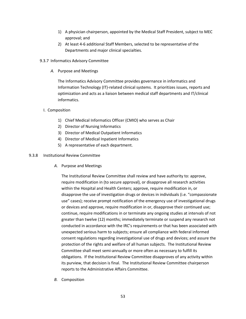- 1) A physician chairperson, appointed by the Medical Staff President, subject to MEC approval; and
- 2) At least 4-6 additional Staff Members, selected to be representative of the Departments and major clinical specialties.
- 9.3.7 Informatics Advisory Committee
	- *A.* Purpose and Meetings

The Informatics Advisory Committee provides governance in informatics and Information Technology (IT)-related clinical systems. It prioritizes issues, reports and optimization and acts as a liaison between medical staff departments and IT/clinical informatics.

## I. Composition

- 1) Chief Medical Informatics Officer (CMIO) who serves as Chair
- 2) Director of Nursing Informatics
- 3) Director of Medical Outpatient Informatics
- 4) Director of Medical Inpatient Informatics
- 5) A representative of each department.

## 9.3.8 Institutional Review Committee

*A.* Purpose and Meetings

The Institutional Review Committee shall review and have authority to: approve, require modification in (to secure approval), or disapprove all research activities within the Hospital and Health Centers; approve, require modification in, or disapprove the use of investigation drugs or devices in individuals (i.e. "compassionate use" cases); receive prompt notification of the emergency use of investigational drugs or devices and approve, require modification in or, disapprove their continued use; continue, require modifications in or terminate any ongoing studies at intervals of not greater than twelve (12) months; immediately terminate or suspend any research not conducted in accordance with the IRC's requirements or that has been associated with unexpected serious harm to subjects; ensure all compliance with federal informed consent regulations regarding investigational use of drugs and devices; and assure the protection of the rights and welfare of all human subjects. The Institutional Review Committee shall meet semi-annually or more often as necessary to fulfill its obligations. If the Institutional Review Committee disapproves of any activity within its purview, that decision is final. The Institutional Review Committee chairperson reports to the Administrative Affairs Committee.

*B.* Composition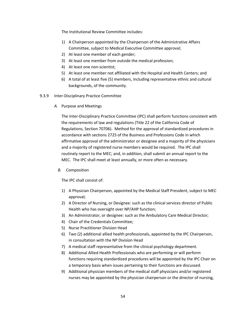The Institutional Review Committee includes:

- 1) A Chairperson appointed by the Chairperson of the Administrative Affairs Committee, subject to Medical Executive Committee approval;
- 2) At least one member of each gender;
- 3) At least one member from outside the medical profession;
- 4) At least one non-scientist;
- 5) At least one member not affiliated with the Hospital and Health Centers; and
- 6) A total of at least five (5) members, including representative ethnic and cultural backgrounds, of the community.

#### 9.3.9 Inter-Disciplinary Practice Committee

*A.* Purpose and Meetings

The Inter-Disciplinary Practice Committee (IPC) shall perform functions consistent with the requirements of law and regulations (Title 22 of the California Code of Regulations, Section 70706). Method for the approval of standardized procedures in accordance with sections 2725 of the Business and Professions Code in which affirmative approval of the administrator or designee and a majority of the physicians and a majority of registered nurse members would be required. The IPC shall routinely report to the MEC; and, in addition, shall submit an annual report to the MEC. The IPC shall meet at least annually, or more often as necessary.

## *B.* Composition

The IPC shall consist of:

- 1) A Physician Chairperson, appointed by the Medical Staff President, subject to MEC approval;
- 2) A Director of Nursing, or Designee: such as the clinical services director of Public Health who has oversight over NP/AHP function;
- 3) An Administrator, or designee: such as the Ambulatory Care Medical Director;
- 4) Chair of the Credentials Committee;
- 5) Nurse Practitioner Division Head
- 6) Two (2) additional allied health professionals, appointed by the IPC Chairperson, in consultation with the NP Division Head
- 7) A medical staff representative from the clinical psychology department.
- 8) Additional Allied Health Professionals who are performing or will perform functions requiring standardized procedures will be appointed by the IPC Chair on a temporary basis when issues pertaining to their functions are discussed.
- 9) Additional physician members of the medical staff physicians and/or registered nurses may be appointed by the physician chairperson or the director of nursing,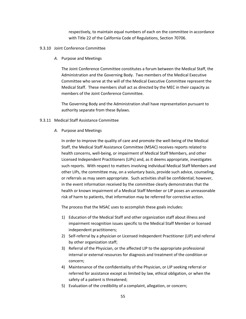respectively, to maintain equal numbers of each on the committee in accordance with Title 22 of the California Code of Regulations, Section 70706.

- 9.3.10 Joint Conference Committee
	- *A.* Purpose and Meetings

The Joint Conference Committee constitutes a forum between the Medical Staff, the Administration and the Governing Body. Two members of the Medical Executive Committee who serve at the will of the Medical Executive Committee represent the Medical Staff. These members shall act as directed by the MEC in their capacity as members of the Joint Conference Committee.

The Governing Body and the Administration shall have representation pursuant to authority separate from these Bylaws.

#### 9.3.11 Medical Staff Assistance Committee

*A.* Purpose and Meetings

In order to improve the quality of care and promote the well-being of the Medical Staff, the Medical Staff Assistance Committee (MSAC) receives reports related to health concerns, well-being, or impairment of Medical Staff Members, and other Licensed Independent Practitioners (LIPs) and, as it deems appropriate, investigates such reports. With respect to matters involving individual Medical Staff Members and other LIPs, the committee may, on a voluntary basis, provide such advice, counseling, or referrals as may seem appropriate. Such activities shall be confidential; however, in the event information received by the committee clearly demonstrates that the health or known impairment of a Medical Staff Member or LIP poses an unreasonable risk of harm to patients, that information may be referred for corrective action.

The process that the MSAC uses to accomplish these goals includes:

- 1) Education of the Medical Staff and other organization staff about illness and impairment recognition issues specific to the Medical Staff Member or licensed independent practitioners;
- 2) Self-referral by a physician or Licensed Independent Practitioner (LIP) and referral by other organization staff;
- 3) Referral of the Physician, or the affected LIP to the appropriate professional internal or external resources for diagnosis and treatment of the condition or concern;
- 4) Maintenance of the confidentiality of the Physician, or LIP seeking referral or referred for assistance except as limited by law, ethical obligation, or when the safety of a patient is threatened;
- 5) Evaluation of the credibility of a complaint, allegation, or concern;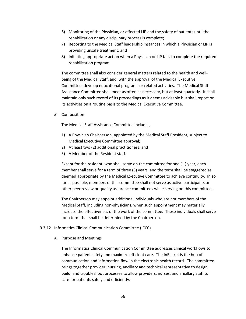- 6) Monitoring of the Physician, or affected LIP and the safety of patients until the rehabilitation or any disciplinary process is complete;
- 7) Reporting to the Medical Staff leadership instances in which a Physician or LIP is providing unsafe treatment; and
- 8) Initiating appropriate action when a Physician or LIP fails to complete the required rehabilitation program.

The committee shall also consider general matters related to the health and wellbeing of the Medical Staff, and, with the approval of the Medical Executive Committee, develop educational programs or related activities. The Medical Staff Assistance Committee shall meet as often as necessary, but at least quarterly. It shall maintain only such record of its proceedings as it deems advisable but shall report on its activities on a routine basis to the Medical Executive Committee.

*B.* Composition

The Medical Staff Assistance Committee includes;

- 1) A Physician Chairperson, appointed by the Medical Staff President, subject to Medical Executive Committee approval;
- 2) At least two (2) additional practitioners; and
- 3) A Member of the Resident staff.

Except for the resident, who shall serve on the committee for one (1 ) year, each member shall serve for a term of three (3) years, and the term shall be staggered as deemed appropriate by the Medical Executive Committee to achieve continuity. In so far as possible, members of this committee shall not serve as active participants on other peer review or quality assurance committees while serving on this committee.

The Chairperson may appoint additional individuals who are not members of the Medical Staff, including non-physicians, when such appointment may materially increase the effectiveness of the work of the committee. These individuals shall serve for a term that shall be determined by the Chairperson.

#### 9.3.12 Informatics Clinical Communication Committee (ICCC)

*A.* Purpose and Meetings

The Informatics Clinical Communication Committee addresses clinical workflows to enhance patient safety and maximize efficient care. The InBasket is the hub of communication and information flow in the electronic health record. The committee brings together provider, nursing, ancillary and technical representative to design, build, and troubleshoot processes to allow providers, nurses, and ancillary staff to care for patients safely and efficiently.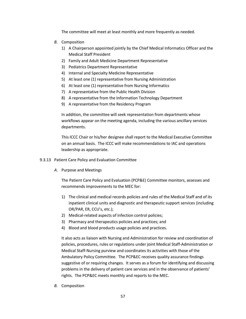The committee will meet at least monthly and more frequently as needed.

- *B.* Composition
	- 1) A Chairperson appointed jointly by the Chief Medical Informatics Officer and the Medical Staff President
	- 2) Family and Adult Medicine Department Representative
	- 3) Pediatrics Department Representative
	- 4) Internal and Specialty Medicine Representative
	- 5) At least one (1) representative from Nursing Administration
	- 6) At least one (1) representative from Nursing Informatics
	- 7) A representative from the Public Health Division
	- 8) A representative from the Information Technology Department
	- 9) A representative from the Residency Program

In addition, the committee will seek representation from departments whose workflows appear on the meeting agenda, including the various ancillary services departments.

This ICCC Chair or his/her designee shall report to the Medical Executive Committee on an annual basis. The ICCC will make recommendations to IAC and operations leadership as appropriate.

- 9.3.13 Patient Care Policy and Evaluation Committee
	- *A.* Purpose and Meetings

The Patient Care Policy and Evaluation (PCP&E) Committee monitors, assesses and recommends improvements to the MEC for:

- 1) The clinical and medical records policies and rules of the Medical Staff and of its inpatient clinical units and diagnostic and therapeutic support services (including OR/PAR, ER, CCU's, etc.);
- 2) Medical-related aspects of infection control policies;
- 3) Pharmacy and therapeutics policies and practices; and
- 4) Blood and blood products usage policies and practices.

It also acts as liaison with Nursing and Administration for review and coordination of policies, procedures, rules or regulations under joint Medical Staff-Administration or Medical Staff-Nursing purview and coordinates its activities with those of the Ambulatory Policy Committee. The PCP&EC receives quality assurance findings suggestive of or requiring changes. It serves as a forum for identifying and discussing problems in the delivery of patient care services and in the observance of patients' rights. The PCP&EC meets monthly and reports to the MEC.

*B.* Composition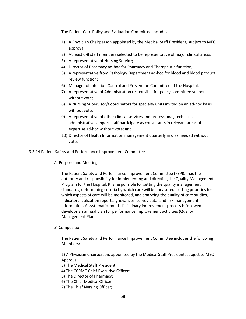The Patient Care Policy and Evaluation Committee includes:

- 1) A Physician Chairperson appointed by the Medical Staff President, subject to MEC approval;
- 2) At least 6-8 staff members selected to be representative of major clinical areas;
- 3) A representative of Nursing Service;
- 4) Director of Pharmacy ad-hoc for Pharmacy and Therapeutic function;
- 5) A representative from Pathology Department ad-hoc for blood and blood product review function;
- 6) Manager of Infection Control and Prevention Committee of the Hospital;
- 7) A representative of Administration responsible for policy committee support without vote;
- 8) A Nursing Supervisor/Coordinators for specialty units invited on an ad-hoc basis without vote;
- 9) A representative of other clinical services and professional, technical, administrative support staff participate as consultants in relevant areas of expertise ad-hoc without vote; and
- 10) Director of Health Information management quarterly and as needed without vote.

9.3.14 Patient Safety and Performance Improvement Committee

*A.* Purpose and Meetings

The Patient Safety and Performance Improvement Committee (PSPIC) has the authority and responsibility for implementing and directing the Quality Management Program for the Hospital. It is responsible for setting the quality management standards, determining criteria by which care will be measured, setting priorities for which aspects of care will be monitored, and analyzing the quality of care studies, indicators, utilization reports, grievances, survey data, and risk management information. A systematic, multi‐disciplinary improvement process is followed. It develops an annual plan for performance improvement activities (Quality Management Plan).

## *B.* Composition

The Patient Safety and Performance Improvement Committee includes the following Members:

1) A Physician Chairperson, appointed by the Medical Staff President, subject to MEC Approval.

- 3) The Medical Staff President;
- 4) The CCRMC Chief Executive Officer;
- 5) The Director of Pharmacy;
- 6) The Chief Medical Officer;
- 7) The Chief Nursing Officer;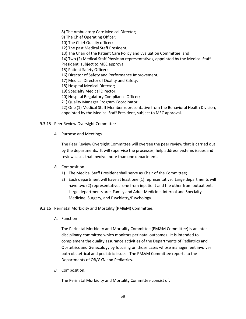8) The Ambulatory Care Medical Director;

9) The Chief Operating Officer;

10) The Chief Quality officer;

12) The past Medical Staff President;

13) The Chair of the Patient Care Policy and Evaluation Committee; and

14) Two (2) Medical Staff Physician representatives, appointed by the Medical Staff

President, subject to MEC approval;

15) Patient Safety Officer;

16) Director of Safety and Performance Improvement;

17) Medical Director of Quality and Safety;

18) Hospital Medical Director;

19) Specialty Medical Director;

20) Hospital Regulatory Compliance Officer;

21) Quality Manager Program Coordinator;

22) One (1) Medical Staff Member representative from the Behavioral Health Division, appointed by the Medical Staff President, subject to MEC approval.

- 9.3.15 Peer Review Oversight Committee
	- *A.* Purpose and Meetings

The Peer Review Oversight Committee will oversee the peer review that is carried out by the departments. It will supervise the processes, help address systems issues and review cases that involve more than one department.

## *B.* Composition

- 1) The Medical Staff President shall serve as Chair of the Committee;
- 2) Each department will have at least one (1) representative. Large departments will have two (2) representatives one from inpatient and the other from outpatient. Large departments are: Family and Adult Medicine, Internal and Specialty Medicine, Surgery, and Psychiatry/Psychology.

9.3.16 Perinatal Morbidity and Mortality (PM&M) Committee.

*A.* Function

The Perinatal Morbidity and Mortality Committee (PM&M Committee) is an interdisciplinary committee which monitors perinatal outcomes. It is intended to complement the quality assurance activities of the Departments of Pediatrics and Obstetrics and Gynecology by focusing on those cases whose management involves both obstetrical and pediatric issues. The PM&M Committee reports to the Departments of OB/GYN and Pediatrics.

*B.* Composition.

The Perinatal Morbidity and Mortality Committee consist of: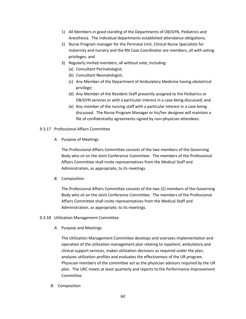- 1) All Members in good standing of the Departments of OB/GYN, Pediatrics and Anesthesia. The individual departments established attendance obligations;
- 2) Nurse Program manager for the Perinatal Unit, Clinical Nurse Specialists for maternity and nursery and the RN Case Coordinator are members, all with voting privileges; and
- 3) Regularly invited members, all without vote, including:
	- (a) Consultant Perinatologist;
	- (b) Consultant Neonatologist;
	- (c) Any Member of the Department of Ambulatory Medicine having obstetrical privilege;
	- (d) Any Member of the Resident Staff presently assigned to the Pediatrics or OB/GYN services or with a particular interest in a case being discussed; and
	- (e) Any member of the nursing staff with a particular interest in a case being discussed. The Nurse Program Manager or his/her designee will maintain a file of confidentiality agreements signed by non-physician attendees.
- 9.3.17 Professional Affairs Committee
	- *A.* Purpose of Meetings

The Professional Affairs Committee consists of the two members of the Governing Body who sit on the Joint Conference Committee. The members of the Professional Affairs Committee shall invite representatives from the Medical Staff and Administration, as appropriate, to its meetings.

*B.* Composition

The Professional Affairs Committee consists of the two (2) members of the Governing Body who sit on the Joint Conference Committee. The members of the Professional Affairs Committee shall invite representatives from the Medical Staff and Administration, as appropriate, to its meetings.

- 9.3.18 Utilization Management Committee
	- *A.* Purpose and Meetings

The Utilization Management Committee develops and oversees implementation and operation of the utilization management plan relating to inpatient, ambulatory and clinical support services, makes utilization decisions as required under the plan, analyzes utilization profiles and evaluates the effectiveness of the UR program. Physician members of the committee act as the physician advisors required by the UR plan. The URC meets at least quarterly and reports to the Performance Improvement Committee.

*B.* Composition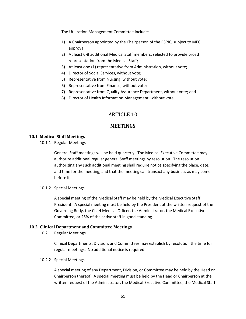The Utilization Management Committee includes:

- 1) A Chairperson appointed by the Chairperson of the PSPIC, subject to MEC approval;
- 2) At least 6-8 additional Medical Staff members, selected to provide broad representation from the Medical Staff;
- 3) At least one (1) representative from Administration, without vote;
- 4) Director of Social Services, without vote;
- 5) Representative from Nursing, without vote;
- 6) Representative from Finance, without vote;
- 7) Representative from Quality Assurance Department, without vote; and
- 8) Director of Health Information Management, without vote.

# ARTICLE 10

# **MEETINGS**

# **10.1 Medical Staff Meetings**

10.1.1 Regular Meetings

General Staff meetings will be held quarterly. The Medical Executive Committee may authorize additional regular general Staff meetings by resolution. The resolution authorizing any such additional meeting shall require notice specifying the place, date, and time for the meeting, and that the meeting can transact any business as may come before it.

## 10.1.2 Special Meetings

A special meeting of the Medical Staff may be held by the Medical Executive Staff President. A special meeting must be held by the President at the written request of the Governing Body, the Chief Medical Officer, the Administrator, the Medical Executive Committee, or 25% of the active staff in good standing.

## **10.2 Clinical Department and Committee Meetings**

10.2.1 Regular Meetings

Clinical Departments, Division, and Committees may establish by resolution the time for regular meetings. No additional notice is required.

## 10.2.2 Special Meetings

A special meeting of any Department, Division, or Committee may be held by the Head or Chairperson thereof. A special meeting must be held by the Head or Chairperson at the written request of the Administrator, the Medical Executive Committee, the Medical Staff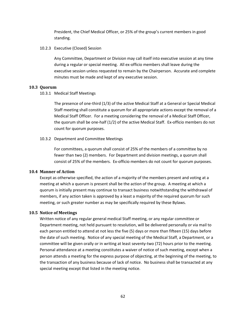President, the Chief Medical Officer, or 25% of the group's current members in good standing.

10.2.3 Executive (Closed) Session

Any Committee, Department or Division may call itself into executive session at any time during a regular or special meeting. All ex-officio members shall leave during the executive session unless requested to remain by the Chairperson. Accurate and complete minutes must be made and kept of any executive session.

#### **10.3 Quorum**

10.3.1 Medical Staff Meetings

The presence of one-third (1/3) of the active Medical Staff at a General or Special Medical Staff meeting shall constitute a quorum for all appropriate actions except the removal of a Medical Staff Officer. For a meeting considering the removal of a Medical Staff Officer, the quorum shall be one-half (1/2) of the active Medical Staff. Ex-officio members do not count for quorum purposes.

10.3.2 Department and Committee Meetings

For committees, a quorum shall consist of 25% of the members of a committee by no fewer than two (2) members. For Department and division meetings, a quorum shall consist of 25% of the members. Ex-officio members do not count for quorum purposes.

## **10.4 Manner of Action**

Except as otherwise specified, the action of a majority of the members present and voting at a meeting at which a quorum is present shall be the action of the group. A meeting at which a quorum is initially present may continue to transact business notwithstanding the withdrawal of members, if any action taken is approved by a least a majority of the required quorum for such meeting, or such greater number as may be specifically required by these Bylaws.

## **10.5 Notice of Meetings**

Written notice of any regular general medical Staff meeting, or any regular committee or Department meeting, not held pursuant to resolution, will be delivered personally or via mail to each person entitled to attend at not less the five (5) days or more than fifteen (15) days before the date of such meeting. Notice of any special meeting of the Medical Staff, a Department, or a committee will be given orally or in writing at least seventy-two (72) hours prior to the meeting. Personal attendance at a meeting constitutes a waiver of notice of such meeting, except when a person attends a meeting for the express purpose of objecting, at the beginning of the meeting, to the transaction of any business because of lack of notice. No business shall be transacted at any special meeting except that listed in the meeting notice.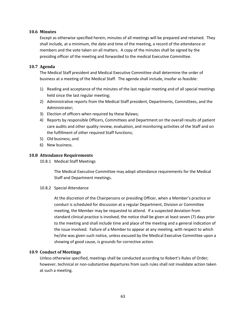## **10.6 Minutes**

Except as otherwise specified herein, minutes of all meetings will be prepared and retained. They shall include, at a minimum, the date and time of the meeting, a record of the attendance or members and the vote taken on all matters. A copy of the minutes shall be signed by the presiding officer of the meeting and forwarded to the medical Executive Committee.

# **10.7 Agenda**

The Medical Staff president and Medical Executive Committee shall determine the order of business at a meeting of the Medical Staff. The agenda shall include, insofar as feasible:

- 1) Reading and acceptance of the minutes of the last regular meeting and of all special meetings held since the last regular meeting;
- 2) Administrative reports from the Medical Staff president, Departments, Committees, and the Administrator;
- 3) Election of officers when required by these Bylaws;
- 4) Reports by responsible Officers, Committees and Department on the overall results of patient care audits and other quality review, evaluation, and monitoring activities of the Staff and on the fulfillment of other required Staff functions;
- 5) Old business; and
- 6) New business.

# **10.8 Attendance Requirements**

10.8.1 Medical Staff Meetings

The Medical Executive Committee may adopt attendance requirements for the Medical Staff and Department meetings.

## 10.8.2 Special Attendance

At the discretion of the Chairpersons or presiding Officer, when a Member's practice or conduct is scheduled for discussion at a regular Department, Division or Committee meeting, the Member may be requested to attend. If a suspected deviation from standard clinical practice is involved, the notice shall be given at least seven (7) days prior to the meeting and shall include time and place of the meeting and a general indication of the issue involved. Failure of a Member to appear at any meeting, with respect to which he/she was given such notice, unless excused by the Medical Executive Committee upon a showing of good cause, is grounds for corrective action.

## **10.9 Conduct of Meetings**

Unless otherwise specified, meetings shall be conducted according to Robert's Rules of Order; however, technical or non-substantive departures from such rules shall not invalidate action taken at such a meeting.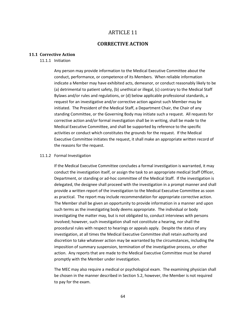# ARTICLE 11

# **CORRECTIVE ACTION**

#### **11.1 Corrective Action**

#### 11.1.1 Initiation

Any person may provide information to the Medical Executive Committee about the conduct, performance, or competence of its Members. When reliable information indicate a Member may have exhibited acts, demeanor, or conduct reasonably likely to be (a) detrimental to patient safety, (b) unethical or illegal, (c) contrary to the Medical Staff Bylaws and/or rules and regulations, or (d) below applicable professional standards, a request for an investigative and/or corrective action against such Member may be initiated. The President of the Medical Staff, a Department Chair, the Chair of any standing Committee, or the Governing Body may initiate such a request. All requests for corrective action and/or formal investigation shall be in writing, shall be made to the Medical Executive Committee, and shall be supported by reference to the specific activities or conduct which constitutes the grounds for the request. If the Medical Executive Committee initiates the request, it shall make an appropriate written record of the reasons for the request.

#### 11.1.2 Formal Investigation

If the Medical Executive Committee concludes a formal investigation is warranted, it may conduct the investigation itself, or assign the task to an appropriate medical Staff Officer, Department, or standing or ad-hoc committee of the Medical Staff. If the investigation is delegated, the designee shall proceed with the investigation in a prompt manner and shall provide a written report of the investigation to the Medical Executive Committee as soon as practical. The report may include recommendation for appropriate corrective action. The Member shall be given an opportunity to provide information in a manner and upon such terms as the investigating body deems appropriate. The individual or body investigating the matter may, but is not obligated to, conduct interviews with persons involved; however, such investigation shall not constitute a hearing, nor shall the procedural rules with respect to hearings or appeals apply. Despite the status of any investigation, at all times the Medical Executive Committee shall retain authority and discretion to take whatever action may be warranted by the circumstances, including the imposition of summary suspension, termination of the investigative process, or other action. Any reports that are made to the Medical Executive Committee must be shared promptly with the Member under investigation.

The MEC may also require a medical or psychological exam. The examining physician shall be chosen in the manner described in Section 5.2, however, the Member is not required to pay for the exam.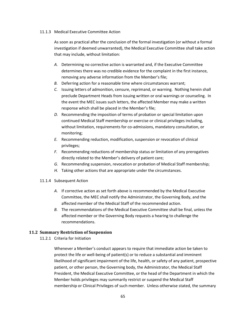#### 11.1.3 Medical Executive Committee Action

As soon as practical after the conclusion of the formal investigation (or without a formal investigation if deemed unwarranted), the Medical Executive Committee shall take action that may include, without limitation:

- *A.* Determining no corrective action is warranted and, if the Executive Committee determines there was no credible evidence for the complaint in the first instance, removing any adverse information from the Member's file;
- *B.* Deferring action for a reasonable time where circumstances warrant;
- *C.* Issuing letters of admonition, censure, reprimand, or warning. Nothing herein shall preclude Department Heads from issuing written or oral warnings or counseling. In the event the MEC issues such letters, the affected Member may make a written response which shall be placed in the Member's file;
- *D.* Recommending the imposition of terms of probation or special limitation upon continued Medical Staff membership or exercise or clinical privileges including, without limitation, requirements for co-admissions, mandatory consultation, or monitoring;
- *E.* Recommending reduction, modification, suspension or revocation of clinical privileges;
- *F.* Recommending reductions of membership status or limitation of any prerogatives directly related to the Member's delivery of patient care;
- *G.* Recommending suspension, revocation or probation of Medical Staff membership;
- *H.* Taking other actions that are appropriate under the circumstances.
- 11.1.4 Subsequent Action
	- *A.* If corrective action as set forth above is recommended by the Medical Executive Committee, the MEC shall notify the Administrator, the Governing Body, and the affected member of the Medical Staff of the recommended action.
	- *B.* The recommendations of the Medical Executive Committee shall be final, unless the affected member or the Governing Body requests a hearing to challenge the recommendations.

# **11.2 Summary Restriction of Suspension**

11.2.1 Criteria for Initiation

Whenever a Member's conduct appears to require that immediate action be taken to protect the life or well-being of patient(s) or to reduce a substantial and imminent likelihood of significant impairment of the life, health, or safety of any patient, prospective patient, or other person, the Governing body, the Administrator, the Medical Staff President, the Medical Executive Committee, or the head of the Department in which the Member holds privileges may summarily restrict or suspend the Medical Staff membership or Clinical Privileges of such member. Unless otherwise stated, the summary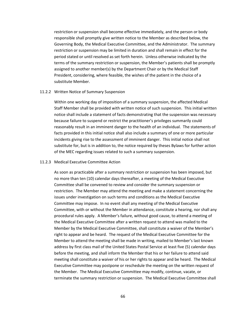restriction or suspension shall become effective immediately, and the person or body responsible shall promptly give written notice to the Member as described below, the Governing Body, the Medical Executive Committee, and the Administrator. The summary restriction or suspension may be limited in duration and shall remain in effect for the period stated or until resolved as set forth herein. Unless otherwise indicated by the terms of the summary restriction or suspension, the Member's patients shall be promptly assigned to another member(s) by the Department Chair or by the Medical Staff President, considering, where feasible, the wishes of the patient in the choice of a substitute Member.

#### 11.2.2 Written Notice of Summary Suspension

Within one working day of imposition of a summary suspension, the affected Medical Staff Member shall be provided with written notice of such suspension. This initial written notice shall include a statement of facts demonstrating that the suspension was necessary because failure to suspend or restrict the practitioner's privileges summarily could reasonably result in an imminent danger to the health of an individual. The statements of facts provided in this initial notice shall also include a summary of one or more particular incidents giving rise to the assessment of imminent danger. This initial notice shall not substitute for, but is in addition to, the notice required by theses Bylaws for further action of the MEC regarding issues related to such a summary suspension.

#### 11.2.3 Medical Executive Committee Action

As soon as practicable after a summary restriction or suspension has been imposed, but no more than ten (10) calendar days thereafter, a meeting of the Medical Executive Committee shall be convened to review and consider the summary suspension or restriction. The Member may attend the meeting and make a statement concerning the issues under investigation on such terms and conditions as the Medical Executive Committee may impose. In no event shall any meeting of the Medical Executive Committee, with or without the Member in attendance, constitute a hearing, nor shall any procedural rules apply. A Member's failure, without good cause, to attend a meeting of the Medical Executive Committee after a written request to attend was mailed to the Member by the Medical Executive Committee, shall constitute a waiver of the Member's right to appear and be heard. The request of the Medical Executive Committee for the Member to attend the meeting shall be made in writing, mailed to Member's last known address by first class mail of the United States Postal Service at least five (5) calendar days before the meeting, and shall inform the Member that his or her failure to attend said meeting shall constitute a waiver of his or her rights to appear and be heard. The Medical Executive Committee may postpone or reschedule the meeting on the written request of the Member. The Medical Executive Committee may modify, continue, vacate, or terminate the summary restriction or suspension. The Medical Executive Committee shall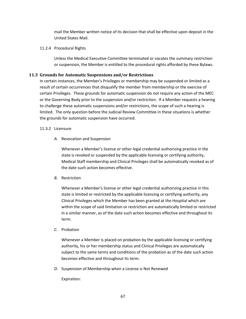mail the Member written notice of its decision that shall be effective upon deposit in the United States Mail.

# 11.2.4 Procedural Rights

Unless the Medical Executive Committee terminated or vacates the summary restriction or suspension, the Member is entitled to the procedural rights afforded by these Bylaws.

# **11.3 Grounds for Automatic Suspensions and/or Restrictions**

In certain instances, the Member's Privileges or membership may be suspended or limited as a result of certain occurrences that disqualify the member from membership or the exercise of certain Privileges. These grounds for automatic suspension do not require any action of the MEC or the Governing Body prior to the suspension and/or restriction. If a Member requests a hearing to challenge these automatic suspensions and/or restrictions, the scope of such a hearing is limited. The only question before the Judicial Review Committee in these situations is whether the grounds for automatic suspension have occurred.

# 11.3.2 Licensure

*A.* Revocation and Suspension

Whenever a Member's license or other legal credential authorizing practice in the state is revoked or suspended by the applicable licensing or certifying authority, Medical Staff membership and Clinical Privileges shall be automatically revoked as of the date such action becomes effective.

*B.* Restriction

Whenever a Member's license or other legal credential authorizing practice in this state is limited or restricted by the applicable licensing or certifying authority, any Clinical Privileges which the Member has been granted at the Hospital which are within the scope of said limitation or restriction are automatically limited or restricted in a similar manner, as of the date such action becomes effective and throughout its term.

# *C.* Probation

Whenever a Member is placed on probation by the applicable licensing or certifying authority, his or her membership status and Clinical Privileges are automatically subject to the same terms and conditions of the probation as of the date such action becomes effective and throughout its term.

*D.* Suspension of Membership when a License is Not Renewed

Expiration: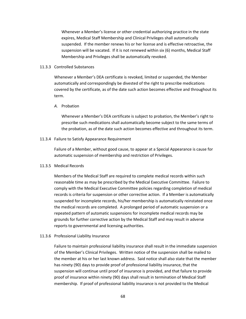Whenever a Member's license or other credential authorizing practice in the state expires, Medical Staff Membership and Clinical Privileges shall automatically suspended. If the member renews his or her license and is effective retroactive, the suspension will be vacated. If it is not renewed within six (6) months, Medical Staff Membership and Privileges shall be automatically revoked.

#### 11.3.3 Controlled Substances

Whenever a Member's DEA certificate is revoked, limited or suspended, the Member automatically and correspondingly be divested of the right to prescribe medications covered by the certificate, as of the date such action becomes effective and throughout its term.

#### *A.* Probation

Whenever a Member's DEA certificate is subject to probation, the Member's right to prescribe such medications shall automatically become subject to the same terms of the probation, as of the date such action becomes effective and throughout its term.

#### 11.3.4 Failure to Satisfy Appearance Requirement

Failure of a Member, without good cause, to appear at a Special Appearance is cause for automatic suspension of membership and restriction of Privileges.

#### 11.3.5 Medical Records

Members of the Medical Staff are required to complete medical records within such reasonable time as may be prescribed by the Medical Executive Committee. Failure to comply with the Medical Executive Committee policies regarding completion of medical records is criteria for suspension or other corrective action. If a Member is automatically suspended for incomplete records, his/her membership is automatically reinstated once the medical records are completed. A prolonged period of automatic suspension or a repeated pattern of automatic suspensions for incomplete medical records may be grounds for further corrective action by the Medical Staff and may result in adverse reports to governmental and licensing authorities.

#### 11.3.6 Professional Liability Insurance

Failure to maintain professional liability insurance shall result in the immediate suspension of the Member's Clinical Privileges. Written notice of the suspension shall be mailed to the member at his or her last known address. Said notice shall also state that the member has ninety (90) days to provide proof of professional liability insurance, that the suspension will continue until proof of insurance is provided, and that failure to provide proof of insurance within ninety (90) days shall result in termination of Medical Staff membership. If proof of professional liability insurance is not provided to the Medical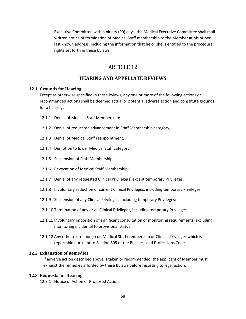Executive Committee within ninety (90) days, the Medical Executive Committee shall mail written notice of termination of Medical Staff membership to the Member at his or her last known address, including the information that he or she is entitled to the procedural rights set forth in these Bylaws.

# ARTICLE 12

# **HEARING AND APPELLATE REVIEWS**

#### **12.1 Grounds for Hearing**

Except as otherwise specified in these Bylaws, any one or more of the following actions or recommended actions shall be deemed actual or potential adverse action and constitute grounds for a hearing:

- 12.1.1 Denial of Medical Staff Membership;
- 12.1.2 Denial of requested advancement in Staff Membership category;
- 12.1.3 Denial of Medical Staff reappointment;
- 12.1.4 Demotion to lower Medical Staff category;
- 12.1.5 Suspension of Staff Membership;
- 12.1.6 Revocation of Medical Staff Membership;
- 12.1.7 Denial of any requested Clinical Privilege(s) except temporary Privileges;
- 12.1.8 Involuntary reduction of current Clinical Privileges, including temporary Privileges;
- 12.1.9 Suspension of any Clinical Privileges, including temporary Privileges;
- 12.1.10 Termination of any or all Clinical Privileges, including temporary Privileges;
- 12.1.11 Involuntary imposition of significant consultation or monitoring requirements, excluding monitoring incidental to provisional status;
- 12.1.12 Any other restriction(s) on Medical Staff membership or Clinical Privileges which is reportable pursuant to Section 805 of the Business and Professions Code.

#### **12.2 Exhaustion of Remedies**

If adverse action described above is taken or recommended, the applicant of Member must exhaust the remedies afforded by these Bylaws before resorting to legal action.

#### **12.3 Requests for Hearing**

12.3.1 Notice of Action or Proposed Action.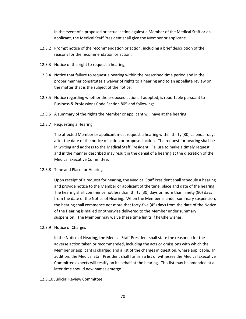In the event of a proposed or actual action against a Member of the Medical Staff or an applicant, the Medical Staff President shall give the Member or applicant:

- 12.3.2 Prompt notice of the recommendation or action, including a brief description of the reasons for the recommendation or action;
- 12.3.3 Notice of the right to request a hearing;
- 12.3.4 Notice that failure to request a hearing within the prescribed time period and in the proper manner constitutes a waiver of rights to a hearing and to an appellate review on the matter that is the subject of the notice;
- 12.3.5 Notice regarding whether the proposed action, if adopted, is reportable pursuant to Business & Professions Code Section 805 and following;
- 12.3.6 A summary of the rights the Member or applicant will have at the hearing.
- 12.3.7 Requesting a Hearing

The affected Member or applicant must request a hearing within thirty (30) calendar days after the date of the notice of action or proposed action. The request for hearing shall be in writing and address to the Medical Staff President. Failure to make a timely request and in the manner described may result in the denial of a hearing at the discretion of the Medical Executive Committee.

#### 12.3.8 Time and Place for Hearing

Upon receipt of a request for hearing, the Medical Staff President shall schedule a hearing and provide notice to the Member or applicant of the time, place and date of the hearing. The hearing shall commence not less than thirty (30) days or more than ninety (90) days from the date of the Notice of Hearing. When the Member is under summary suspension, the hearing shall commence not more that forty-five (45) days from the date of the Notice of the Hearing is mailed or otherwise delivered to the Member under summary suspension. The Member may waive these time limits if he/she wishes.

#### 12.3.9 Notice of Charges

In the Notice of Hearing, the Medical Staff President shall state the reason(s) for the adverse action taken or recommended, including the acts or omissions with which the Member or applicant is charged and a list of the charges in question, where applicable. In addition, the Medical Staff President shall furnish a list of witnesses the Medical Executive Committee expects will testify on its behalf at the hearing. This list may be amended at a later time should new names emerge.

#### 12.3.10 Judicial Review Committee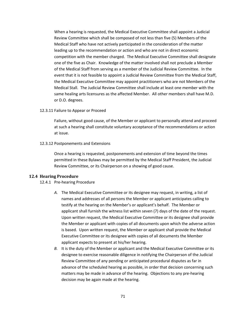When a hearing is requested, the Medical Executive Committee shall appoint a Judicial Review Committee which shall be composed of not less than five (5) Members of the Medical Staff who have not actively participated in the consideration of the matter leading up to the recommendation or action and who are not in direct economic competition with the member charged. The Medical Executive Committee shall designate one of the five as Chair. Knowledge of the matter involved shall not preclude a Member of the Medical Staff from serving as a member of the Judicial Review Committee. In the event that it is not feasible to appoint a Judicial Review Committee from the Medical Staff, the Medical Executive Committee may appoint practitioners who are not Members of the Medical Stall. The Judicial Review Committee shall include at least one member with the same healing arts licensures as the affected Member. All other members shall have M.D. or D.O. degrees.

12.3.11 Failure to Appear or Proceed

Failure, without good cause, of the Member or applicant to personally attend and proceed at such a hearing shall constitute voluntary acceptance of the recommendations or action at issue.

12.3.12 Postponements and Extensions

Once a hearing is requested, postponements and extension of time beyond the times permitted in these Bylaws may be permitted by the Medical Staff President, the Judicial Review Committee, or its Chairperson on a showing of good cause.

#### **12.4 Hearing Procedure**

#### 12.4.1 Pre-hearing Procedure

- *A.* The Medical Executive Committee or its designee may request, in writing, a list of names and addresses of all persons the Member or applicant anticipates calling to testify at the hearing on the Member's or applicant's behalf. The Member or applicant shall furnish the witness list within seven (7) days of the date of the request. Upon written request, the Medical Executive Committee or its designee shall provide the Member or applicant with copies of all documents upon which the adverse action is based. Upon written request, the Member or applicant shall provide the Medical Executive Committee or its designee with copies of all documents the Member applicant expects to present at his/her hearing.
- *B.* It is the duty of the Member or applicant and the Medical Executive Committee or its designee to exercise reasonable diligence in notifying the Chairperson of the Judicial Review Committee of any pending or anticipated procedural disputes as far in advance of the scheduled hearing as possible, in order that decision concerning such matters may be made in advance of the hearing. Objections to any pre-hearing decision may be again made at the hearing.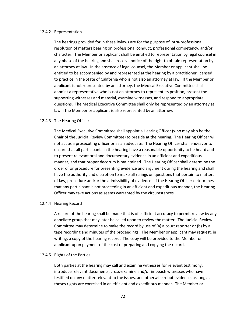#### 12.4.2 Representation

The hearings provided for in these Bylaws are for the purpose of intra-professional resolution of matters bearing on professional conduct, professional competency, and/or character. The Member or applicant shall be entitled to representation by legal counsel in any phase of the hearing and shall receive notice of the right to obtain representation by an attorney at law. In the absence of legal counsel, the Member or applicant shall be entitled to be accompanied by and represented at the hearing by a practitioner licensed to practice in the State of California who is not also an attorney at law. If the Member or applicant is not represented by an attorney, the Medical Executive Committee shall appoint a representative who is not an attorney to represent its position, present the supporting witnesses and material, examine witnesses, and respond to appropriate questions. The Medical Executive Committee shall only be represented by an attorney at law if the Member or applicant is also represented by an attorney.

#### 12.4.3 The Hearing Officer

The Medical Executive Committee shall appoint a Hearing Officer (who may also be the Chair of the Judicial Review Committee) to preside at the hearing. The Hearing Officer will not act as a prosecuting officer or as an advocate. The Hearing Officer shall endeavor to ensure that all participants in the hearing have a reasonable opportunity to be heard and to present relevant oral and documentary evidence in an efficient and expeditious manner, and that proper decorum is maintained. The Hearing Officer shall determine the order of or procedure for presenting evidence and argument during the hearing and shall have the authority and discretion to make all rulings on questions that pertain to matters of law, procedure and/or the admissibility of evidence. If the Hearing Officer determines that any participant is not proceeding in an efficient and expeditious manner, the Hearing Officer may take actions as seems warranted by the circumstances.

#### 12.4.4 Hearing Record

A record of the hearing shall be made that is of sufficient accuracy to permit review by any appellate group that may later be called upon to review the matter. The Judicial Review Committee may determine to make the record by use of (a) a court reporter or (b) by a tape recording and minutes of the proceedings. The Member or applicant may request, in writing, a copy of the hearing record. The copy will be provided to the Member or applicant upon payment of the cost of preparing and copying the record.

#### 12.4.5 Rights of the Parties

Both parties at the hearing may call and examine witnesses for relevant testimony, introduce relevant documents, cross-examine and/or impeach witnesses who have testified on any matter relevant to the issues, and otherwise rebut evidence, as long as theses rights are exercised in an efficient and expeditious manner. The Member or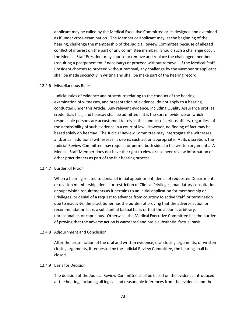applicant may be called by the Medical Executive Committee or its designee and examined as if under cross-examination. The Member or applicant may, at the beginning of the hearing, challenge the membership of the Judicial Review Committee because of alleged conflict of interest on the part of any committee member. Should such a challenge occur, the Medical Staff President may choose to remove and replace the challenged member (requiring a postponement if necessary) or proceed without removal. If the Medical Staff President chooses to proceed without removal, any challenge by the Member or applicant shall be made succinctly in writing and shall be make part of the hearing record.

#### 12.4.6 Miscellaneous Rules

Judicial rules of evidence and procedure relating to the conduct of the hearing, examination of witnesses, and presentation of evidence, do not apply to a hearing conducted under this Article. Any relevant evidence, including Quality Assurance profiles, credentials files, and hearsay shall be admitted if it is the sort of evidence on which responsible persons are accustomed to rely in the conduct of serious affairs, regardless of the admissibility of such evidence in a court of law. However, no finding of fact may be based solely on hearsay. The Judicial Review Committee may interrogate the witnesses and/or call additional witnesses if it deems such action appropriate. At its discretion, the Judicial Review Committee may request or permit both sides to file written arguments. A Medical Staff Member does not have the right to view or use peer review information of other practitioners as part of the fair hearing process.

#### 12.4.7 Burden of Proof

When a hearing related to denial of initial appointment, denial of requested Department or division membership, denial or restriction of Clinical Privileges, mandatory consultation or supervision requirements as it pertains to an initial application for membership or Privileges, or denial of a request to advance from courtesy to active Staff, or termination due to inactivity, the practitioner has the burden of proving that the adverse action or recommendation lacks a substantial factual basis or that the action is arbitrary, unreasonable, or capricious. Otherwise, the Medical Executive Committee has the burden of proving that the adverse action is warranted and has a substantial factual basis.

#### 12.4.8 Adjournment and Conclusion

After the presentation of the oral and written evidence, oral closing arguments, or written closing arguments, if requested by the Judicial Review Committee, the hearing shall be closed.

#### 12.4.9 Basis for Decision

The decision of the Judicial Review Committee shall be based on the evidence introduced at the hearing, including all logical and reasonable inferences from the evidence and the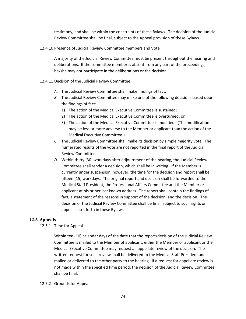testimony, and shall be within the constraints of these Bylaws. The decision of the Judicial Review Committee shall be final, subject to the Appeal provision of these Bylaws.

12.4.10 Presence of Judicial Review Committee members and Vote

A majority of the Judicial Review Committee must be present throughout the hearing and deliberations. If the committee member is absent from any part of the proceedings, he/she may not participate in the deliberations or the decision.

- 12.4.11 Decision of the Judicial Review Committee
	- *A.* The Judicial Review Committee shall make findings of fact.
	- *B.* The Judicial Review Committee may make one of the following decisions based upon the findings of fact:
		- 1) The action of the Medical Executive Committee is sustained;
		- 2) The action of the Medical Executive Committee is overturned; or
		- 3) The action of the Medical Executive Committee is modified. (The modification may be less or more adverse to the Member or applicant than the action of the Medical Executive Committee.)
	- *C.* The Judicial Review Committee shall make its decision by simple majority vote. The numerated results of the vote are not reported in the final report of the Judicial Review Committee.
	- *D.* Within thirty (30) workdays after adjournment of the hearing, the Judicial Review Committee shall render a decision, which shall be in writing. If the Member is currently under suspension, however, the time for the decision and report shall be fifteen (15) workdays. The original report and decision shall be forwarded to the Medical Staff President, the Professional Affairs Committee and the Member or applicant at his or her last known address. The report shall contain the findings of fact, a statement of the reasons in support of the decision, and the decision. The decision of the Judicial Review Committee shall be final, subject to such rights or appeal as set forth in these Bylaws.

#### **12.5 Appeals**

12.5.1 Time for Appeal

Within ten (10) calendar days of the date that the report/decision of the Judicial Review Committee is mailed to the Member of applicant, either the Member or applicant or the Medical Executive Committee may request an appellate review of the decision. The written request for such review shall be delivered to the Medical Staff President and mailed or delivered to the other party to the hearing. If a request for appellate review is not made within the specified time period, the decision of the Judicial Review Committee shall be final.

#### 12.5.2 Grounds for Appeal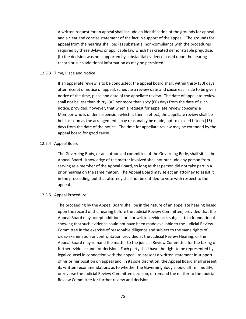A written request for an appeal shall include an identification of the grounds for appeal and a clear and concise statement of the fact in support of the appeal. The grounds for appeal from the hearing shall be: (a) substantial non-compliance with the procedures required by these Bylaws or applicable law which has created demonstrable prejudice; (b) the decision was not supported by substantial evidence based upon the hearing record or such additional information as may be permitted.

#### 12.5.3 Time, Place and Notice

If an appellate review is to be conducted, the appeal board shall, within thirty (30) days after receipt of notice of appeal, schedule a review date and cause each side to be given notice of the time, place and date of the appellate review. The date of appellate review shall not be less than thirty (30) nor more than sixty (60) days from the date of such notice, provided, however, that when a request for appellate review concerns a Member who is under suspension which is then in effect, the appellate review shall be held as soon as the arrangements may reasonably be made, not to exceed fifteen (15) days from the date of the notice. The time for appellate review may be extended by the appeal board for good cause.

#### 12.5.4 Appeal Board

The Governing Body, or an authorized committee of the Governing Body, shall sit as the Appeal Board. Knowledge of the matter involved shall not preclude any person from serving as a member of the Appeal Board, so long as that person did not take part in a prior hearing on the same matter. The Appeal Board may select an attorney to assist it in the proceeding, but that attorney shall not be entitled to vote with respect to the appeal.

#### 12.5.5 Appeal Procedure

The proceeding by the Appeal Board shall be in the nature of an appellate hearing based upon the record of the hearing before the Judicial Review Committee, provided that the Appeal Board may accept additional oral or written evidence, subject to a foundational showing that such evidence could not have been made available to the Judicial Review Committee in the exercise of reasonable diligence and subject to the same rights of cross-examination or confrontation provided at the Judicial Review Hearing; or the Appeal Board may remand the matter to the judicial Review Committee for the taking of further evidence and for decision. Each party shall have the right to be represented by legal counsel in connection with the appeal, to present a written statement in support of his or her position on appeal and, in its sole discretion, the Appeal Board shall present its written recommendations as to whether the Governing Body should affirm, modify, or reverse the Judicial Review Committee decision, or remand the matter to the Judicial Review Committee for further review and decision.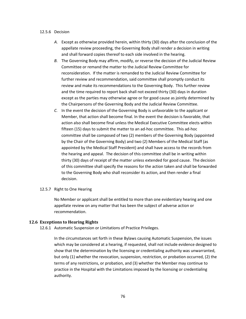#### 12.5.6 Decision

- *A.* Except as otherwise provided herein, within thirty (30) days after the conclusion of the appellate review proceeding, the Governing Body shall render a decision in writing and shall forward copies thereof to each side involved in the hearing.
- *B.* The Governing Body may affirm, modify, or reverse the decision of the Judicial Review Committee or remand the matter to the Judicial Review Committee for reconsideration. If the matter is remanded to the Judicial Review Committee for further review and recommendation, said committee shall promptly conduct its review and make its recommendations to the Governing Body. This further review and the time required to report back shall not exceed thirty (30) days in duration except as the parties may otherwise agree or for good cause as jointly determined by the Chairpersons of the Governing Body and the Judicial Review Committee.
- *C.* In the event the decision of the Governing Body is unfavorable to the applicant or Member, that action shall become final. In the event the decision is favorable, that action also shall become final unless the Medical Executive Committee elects within fifteen (15) days to submit the matter to an ad-hoc committee. This ad-hoc committee shall be composed of two (2) members of the Governing Body (appointed by the Chair of the Governing Body) and two (2) Members of the Medical Staff (as appointed by the Medical Staff President) and shall have access to the records from the hearing and appeal. The decision of this committee shall be in writing within thirty (30) days of receipt of the matter unless extended for good cause. The decision of this committee shall specify the reasons for the action taken and shall be forwarded to the Governing Body who shall reconsider its action, and then render a final decision.

#### 12.5.7 Right to One Hearing

No Member or applicant shall be entitled to more than one evidentiary hearing and one appellate review on any matter that has been the subject of adverse action or recommendation.

## **12.6 Exceptions to Hearing Rights**

12.6.1 Automatic Suspension or Limitations of Practice Privileges.

In the circumstances set forth in these Bylaws causing Automatic Suspension, the issues which may be considered at a hearing, if requested, shall not include evidence designed to show that the determination by the licensing or credentialing authority was unwarranted, but only (1) whether the revocation, suspension, restriction, or probation occurred, (2) the terms of any restrictions, or probation, and (3) whether the Member may continue to practice in the Hospital with the Limitations imposed by the licensing or credentialing authority.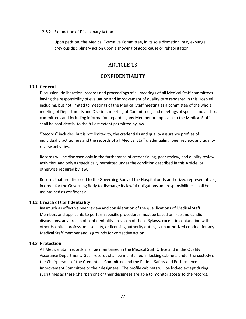#### 12.6.2 Expunction of Disciplinary Action.

Upon petition, the Medical Executive Committee, in its sole discretion, may expunge previous disciplinary action upon a showing of good cause or rehabilitation.

# ARTICLE 13

# **CONFIDENTIALITY**

## **13.1 General**

Discussion, deliberation, records and proceedings of all meetings of all Medical Staff committees having the responsibility of evaluation and improvement of quality care rendered in this Hospital, including, but not limited to meetings of the Medical Staff meeting as a committee of the whole, meeting of Departments and Division, meeting of Committees, and meetings of special and ad-hoc committees and including information regarding any Member or applicant to the Medical Staff, shall be confidential to the fullest extent permitted by law.

"Records" includes, but is not limited to, the credentials and quality assurance profiles of individual practitioners and the records of all Medical Staff credentialing, peer review, and quality review activities.

Records will be disclosed only in the furtherance of credentialing, peer review, and quality review activities, and only as specifically permitted under the condition described in this Article, or otherwise required by law.

Records that are disclosed to the Governing Body of the Hospital or its authorized representatives, in order for the Governing Body to discharge its lawful obligations and responsibilities, shall be maintained as confidential.

## **13.2 Breach of Confidentiality**

Inasmuch as effective peer review and consideration of the qualifications of Medical Staff Members and applicants to perform specific procedures must be based on free and candid discussions, any breach of confidentiality provision of these Bylaws, except in conjunction with other Hospital, professional society, or licensing authority duties, is unauthorized conduct for any Medical Staff member and is grounds for corrective action.

## **13.3 Protection**

All Medical Staff records shall be maintained in the Medical Staff Office and in the Quality Assurance Department. Such records shall be maintained in locking cabinets under the custody of the Chairpersons of the Credentials Committee and the Patient Safety and Performance Improvement Committee or their designees. The profile cabinets will be locked except during such times as these Chairpersons or their designees are able to monitor access to the records.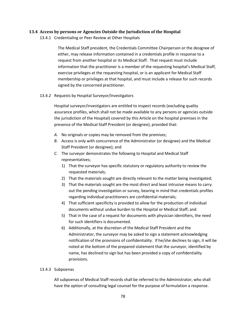## **13.4 Access by persons or Agencies Outside the Jurisdiction of the Hospital**

13.4.1 Credentialing or Peer Review at Other Hospitals

The Medical Staff president, the Credentials Committee Chairperson or the designee of either, may release information contained in a credentials profile in response to a request from another hospital or its Medical Staff. That request must include information that the practitioner is a member of the requesting hospital's Medical Staff, exercise privileges at the requesting hospital, or is an applicant for Medical Staff membership or privileges at that hospital, and must include a release for such records signed by the concerned practitioner.

## 13.4.2 Requests by Hospital Surveyor/Investigators

Hospital surveyor/investigators are entitled to inspect records (excluding quality assurance profiles, which shall not be made available to any persons or agencies outside the jurisdiction of the Hospital) covered by this Article on the hospital premises in the presence of the Medical Staff President (or designee), provided that:

- *A.* No originals or copies may be removed from the premises;
- *B.* Access is only with concurrence of the Administrator (or designee) and the Medical Staff President (or designee); and
- *C.* The surveyor demonstrates the following to Hospital and Medical Staff representatives;
	- 1) That the surveyor has specific statutory or regulatory authority to review the requested materials;
	- 2) That the materials sought are directly relevant to the matter being investigated;
	- 3) That the materials sought are the most direct and least intrusive means to carry out the pending investigation or survey, bearing in mind that credentials profiles regarding individual practitioners are confidential materials;
	- 4) That sufficient specificity is provided to allow for the production of individual documents without undue burden to the Hospital or Medical Staff; and
	- 5) That in the case of a request for documents with physician identifiers, the need for such identifiers is documented.
	- 6) Additionally, at the discretion of the Medical Staff President and the Administrator, the surveyor may be asked to sign a statement acknowledging notification of the provisions of confidentiality. If he/she declines to sign, it will be noted at the bottom of the prepared statement that the surveyor, identified by name, has declined to sign but has been provided a copy of confidentiality provisions.

## 13.4.3 Subpoenas

All subpoenas of Medical Staff records shall be referred to the Administrator, who shall have the option of consulting legal counsel for the purpose of formulation a response.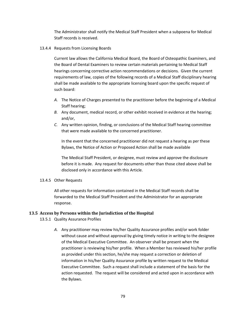The Administrator shall notify the Medical Staff President when a subpoena for Medical Staff records is received.

## 13.4.4 Requests from Licensing Boards

Current law allows the California Medical Board, the Board of Osteopathic Examiners, and the Board of Dental Examiners to review certain materials pertaining to Medical Staff hearings concerning corrective action recommendations or decisions. Given the current requirements of law, copies of the following records of a Medical Staff disciplinary hearing shall be made available to the appropriate licensing board upon the specific request of such board:

- *A.* The Notice of Charges presented to the practitioner before the beginning of a Medical Staff hearing;
- *B.* Any document, medical record, or other exhibit received in evidence at the hearing; and/or,
- *C.* Any written opinion, finding, or conclusions of the Medical Staff hearing committee that were made available to the concerned practitioner.

In the event that the concerned practitioner did not request a hearing as per these Bylaws, the Notice of Action or Proposed Action shall be made available

The Medical Staff President, or designee, must review and approve the disclosure before it is made. Any request for documents other than those cited above shall be disclosed only in accordance with this Article.

## 13.4.5 Other Requests

All other requests for information contained in the Medical Staff records shall be forwarded to the Medical Staff President and the Administrator for an appropriate response.

## **13.5 Access by Persons within the Jurisdiction of the Hospital**

- 13.5.1 Quality Assurance Profiles
	- *A.* Any practitioner may review his/her Quality Assurance profiles and/or work folder without cause and without approval by giving timely notice in writing to the designee of the Medical Executive Committee. An observer shall be present when the practitioner is reviewing his/her profile. When a Member has reviewed his/her profile as provided under this section, he/she may request a correction or deletion of information in his/her Quality Assurance profile by written request to the Medical Executive Committee. Such a request shall include a statement of the basis for the action requested. The request will be considered and acted upon in accordance with the Bylaws.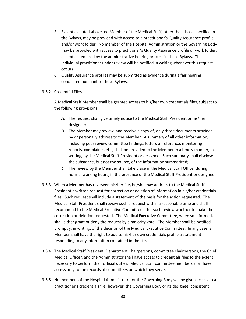- *B.* Except as noted above, no Member of the Medical Staff, other than those specified in the Bylaws, may be provided with access to a practitioner's Quality Assurance profile and/or work folder. No member of the Hospital Administration or the Governing Body may be provided with access to practitioner's Quality Assurance profile or work folder, except as required by the administrative hearing process in these Bylaws. The individual practitioner under review will be notified in writing whenever this request occurs.
- *C.* Quality Assurance profiles may be submitted as evidence during a fair hearing conducted pursuant to these Bylaws.

#### 13.5.2 Credential Files

A Medical Staff Member shall be granted access to his/her own credentials files, subject to the following provisions;

- *A.* The request shall give timely notice to the Medical Staff President or his/her designee;
- *B.* The Member may review, and receive a copy of, only those documents provided by or personally address to the Member. A summary of all other information, including peer review committee findings, letters of reference, monitoring reports, complaints, etc., shall be provided to the Member in a timely manner, in writing, by the Medical Staff President or designee. Such summary shall disclose the substance, but not the source, of the information summarized;
- *C.* The review by the Member shall take place in the Medical Staff Office, during normal working hours, in the presence of the Medical Staff President or designee.
- 13.5.3 When a Member has reviewed his/her file, he/she may address to the Medical Staff President a written request for correction or deletion of information in his/her credentials files. Such request shall include a statement of the basis for the action requested. The Medical Staff President shall review such a request within a reasonable time and shall recommend to the Medical Executive Committee after such review whether to make the correction or deletion requested. The Medical Executive Committee, when so informed, shall either grant or deny the request by a majority vote. The Member shall be notified promptly, in writing, of the decision of the Medical Executive Committee. In any case, a Member shall have the right to add to his/her own credentials profile a statement responding to any information contained in the file.
- 13.5.4 The Medical Staff President, Department Chairpersons, committee chairpersons, the Chief Medical Officer, and the Administrator shall have access to credentials files to the extent necessary to perform their official duties. Medical Staff committee members shall have access only to the records of committees on which they serve.
- 13.5.5 No members of the Hospital Administrator or the Governing Body will be given access to a practitioner's credentials file; however, the Governing Body or its designee, consistent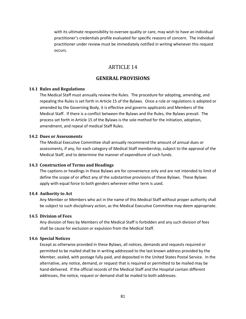with its ultimate responsibility to oversee quality or care, may wish to have an individual practitioner's credentials profile evaluated for specific reasons of concern. The individual practitioner under review must be immediately notified in writing whenever this request occurs.

# ARTICLE 14

# **GENERAL PROVISIONS**

#### **14.1 Rules and Regulations**

The Medical Staff must annually review the Rules. The procedure for adopting, amending, and repealing the Rules is set forth in Article 15 of the Bylaws. Once a rule or regulations is adopted or amended by the Governing Body, it is effective and governs applicants and Members of the Medical Staff. If there is a conflict between the Bylaws and the Rules, the Bylaws prevail. The process set forth in Article 15 of the Bylaws is the sole method for the initiation, adoption, amendment, and repeal of medical Staff Rules.

#### **14.2 Dues or Assessments**

The Medical Executive Committee shall annually recommend the amount of annual dues or assessments, if any, for each category of Medical Staff membership, subject to the approval of the Medical Staff, and to determine the manner of expenditure of such funds.

#### **14.3 Construction of Terms and Headings**

The captions or headings in these Bylaws are for convenience only and are not intended to limit of define the scope of or affect any of the substantive provisions of these Bylaws. These Bylaws apply with equal force to both genders wherever either term is used.

#### **14.4 Authority to Act**

Any Member or Members who act in the name of this Medical Staff without proper authority shall be subject to such disciplinary action, as the Medical Executive Committee may deem appropriate.

## **14.5 Division of Fees**

Any division of fees by Members of the Medical Staff is forbidden and any such division of fees shall be cause for exclusion or expulsion from the Medical Staff.

#### **14.6 Special Notices**

Except as otherwise provided in these Bylaws, all notices, demands and requests required or permitted to be mailed shall be in writing addressed to the last known address provided by the Member, sealed, with postage fully paid, and deposited in the United States Postal Service. In the alternative, any notice, demand, or request that is required or permitted to be mailed may be hand-delivered. If the official records of the Medical Staff and the Hospital contain different addresses, the notice, request or demand shall be mailed to both addresses.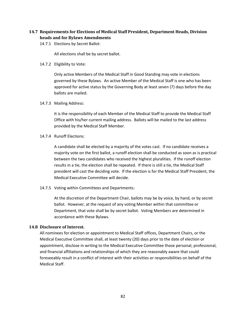# **14.7 Requirements for Elections of Medical Staff President, Department Heads, Division heads and for Bylaws Amendments**

14.7.1 Elections by Secret Ballot:

All elections shall be by secret ballot.

14.7.2 Eligibility to Vote:

Only active Members of the Medical Staff in Good Standing may vote in elections governed by these Bylaws. An active Member of the Medical Staff is one who has been approved for active status by the Governing Body at least seven (7) days before the day ballots are mailed.

14.7.3 Mailing Address:

It is the responsibility of each Member of the Medical Staff to provide the Medical Staff Office with his/her current mailing address. Ballots will be mailed to the last address provided by the Medical Staff Member.

14.7.4 Runoff Elections:

A candidate shall be elected by a majority of the votes cast. If no candidate receives a majority vote on the first ballot, a runoff election shall be conducted as soon as is practical between the two candidates who received the highest pluralities. If the runoff election results in a tie, the election shall be repeated. If there is still a tie, the Medical Staff president will cast the deciding vote. If the election is for the Medical Staff President, the Medical Executive Committee will decide.

14.7.5 Voting within Committees and Departments:

At the discretion of the Department Chair, ballots may be by voice, by hand, or by secret ballot. However, at the request of any voting Member within that committee or Department, that vote shall be by secret ballot. Voting Members are determined in accordance with these Bylaws.

## **14.8 Disclosure of Interest.**

All nominees for election or appointment to Medical Staff offices, Department Chairs, or the Medical Executive Committee shall, at least twenty (20) days prior to the date of election or appointment, disclose in writing to the Medical Executive Committee those personal, professional, and financial affiliations and relationships of which they are reasonably aware that could foreseeably result in a conflict of interest with their activities or responsibilities on behalf of the Medical Staff.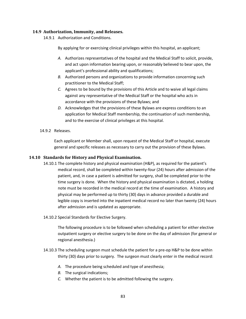## **14.9 Authorization, Immunity, and Releases.**

14.9.1 Authorization and Conditions.

By applying for or exercising clinical privileges within this hospital, an applicant;

- *A.* Authorizes representatives of the hospital and the Medical Staff to solicit, provide, and act upon information bearing upon, or reasonably believed to bear upon, the applicant's professional ability and qualifications;
- *B.* Authorized persons and organizations to provide information concerning such practitioner to the Medical Staff;
- *C.* Agrees to be bound by the provisions of this Article and to waive all legal claims against any representative of the Medical Staff or the hospital who acts in accordance with the provisions of these Bylaws; and
- *D.* Acknowledges that the provisions of these Bylaws are express conditions to an application for Medical Staff membership, the continuation of such membership, and to the exercise of clinical privileges at this hospital.
- 14.9.2 Releases.

Each applicant or Member shall, upon request of the Medical Staff or hospital, execute general and specific releases as necessary to carry out the provision of these Bylaws.

## **14.10 Standards for History and Physical Examination.**

- 14.10.1 The complete history and physical examination (H&P), as required for the patient's medical record, shall be completed within twenty-four (24) hours after admission of the patient, and, in case a patient is admitted for surgery, shall be completed prior to the time surgery is done. When the history and physical examination is dictated, a holding note must be recorded in the medical record at the time of examination. A history and physical may be performed up to thirty (30) days in advance provided a durable and legible copy is inserted into the inpatient medical record no later than twenty (24) hours after admission and is updated as appropriate.
- 14.10.2 Special Standards for Elective Surgery.

The following procedure is to be followed when scheduling a patient for either elective outpatient surgery or elective surgery to be done on the day of admission (for general or regional anesthesia.)

- 14.10.3 The scheduling surgeon must schedule the patient for a pre-op H&P to be done within thirty (30) days prior to surgery. The surgeon must clearly enter in the medical record:
	- *A.* The procedure being scheduled and type of anesthesia;
	- *B.* The surgical indications;
	- *C.* Whether the patient is to be admitted following the surgery.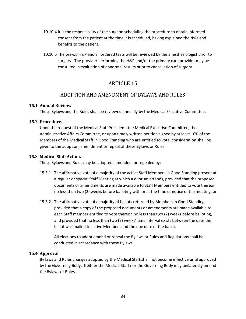- 10.10.4 It is the responsibility of the surgeon scheduling the procedure to obtain informed consent from the patient at the time it is scheduled, having explained the risks and benefits to the patient.
- 10.10.5 The pre-op H&P and all ordered tests will be reviewed by the anesthesiologist prior to surgery. The provider performing the H&P and/or the primary care provider may be consulted in evaluation of abnormal results prior to cancellation of surgery.

# ARTICLE 15

# ADOPTION AND AMENDMENT OF BYLAWS AND RULES

## **15.1 Annual Review.**

These Bylaws and the Rules shall be reviewed annually by the Medical Executive Committee.

## **15.2 Procedure.**

Upon the request of the Medical Staff President, the Medical Executive Committee, the Administrative Affairs Committee, or upon timely written petition signed by at least 10% of the Members of the Medical Staff in Good Standing who are entitled to vote, consideration shall be given to the adoption, amendment or repeal of these Bylaws or Rules.

## **15.3 Medical Staff Action.**

These Bylaws and Rules may be adopted, amended, or repealed by:

- 15.3.1 The affirmative vote of a majority of the active Staff Members in Good Standing present at a regular or special Staff Meeting at which a quorum attends, provided that the proposed documents or amendments are made available to Staff Members entitled to vote thereon no less than two (2) weeks before balloting with or at the time of notice of the meeting; or
- 15.3.2 The affirmative vote of a majority of ballots returned by Members in Good Standing, provided that a copy of the proposed documents or amendments are made available to each Staff member entitled to vote thereon no less than two (2) weeks before balloting, and provided that no less than two (2) weeks' time interval exists between the date the ballot was mailed to active Members and the due date of the ballot.

All elections to adopt amend or repeal the Bylaws or Rules and Regulations shall be conducted in accordance with these Bylaws.

## **15.4 Approval.**

By laws and Rules changes adopted by the Medical Staff shall not become effective until approved by the Governing Body. Neither the Medical Staff nor the Governing Body may unilaterally amend the Bylaws or Rules.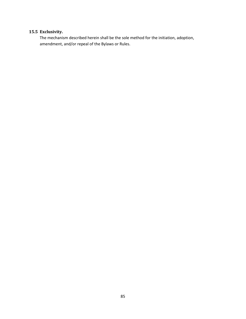# **15.5 Exclusivity.**

The mechanism described herein shall be the sole method for the initiation, adoption, amendment, and/or repeal of the Bylaws or Rules.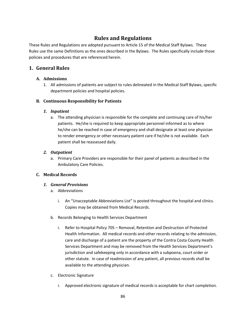# **Rules and Regulations**

These Rules and Regulations are adopted pursuant to Article 15 of the Medical Staff Bylaws. These Rules use the same Definitions as the ones described in the Bylaws. The Rules specifically include those policies and procedures that are referenced herein.

# **1. General Rules**

# **A. Admissions**

1. All admissions of patients are subject to rules delineated in the Medical Staff Bylaws, specific department policies and hospital policies.

# **B. Continuous Responsibility for Patients**

# *1. Inpatient*

a. The attending physician is responsible for the complete and continuing care of his/her patients. He/she is required to keep appropriate personnel informed as to where he/she can be reached in case of emergency and shall designate at least one physician to render emergency or other necessary patient care if he/she is not available. Each patient shall be reassessed daily.

# *2. Outpatient*

a. Primary Care Providers are responsible for their panel of patients as described in the Ambulatory Care Policies.

# **C. Medical Records**

# *1. General Provisions*

- a. Abbreviations
	- i. An "Unacceptable Abbreviations List" is posted throughout the hospital and clinics. Copies may be obtained from Medical Records.
- b. Records Belonging to Health Services Department
	- i. Refer to Hospital Policy 705 Removal, Retention and Destruction of Protected Health Information. All medical records and other records relating to the admission, care and discharge of a patient are the property of the Contra Costa County Health Services Department and may be removed from the Health Services Department's jurisdiction and safekeeping only in accordance with a subpoena, court order or other statute. In case of readmission of any patient, all previous records shall be available to the attending physician.
- c. Electronic Signature
	- i. Approved electronic signature of medical records is acceptable for chart completion.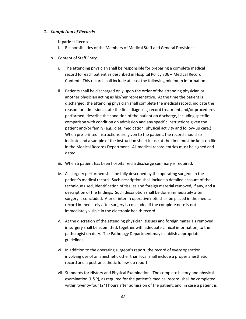#### *2. Completion of Records*

- a. Inpatient Records
	- i. Responsibilities of the Members of Medical Staff and General Provisions
- b. Content of Staff Entry
	- i. The attending physician shall be responsible for preparing a complete medical record for each patient as described in Hospital Policy 706 – Medical Record Content. This record shall include at least the following minimum information.
	- ii. Patients shall be discharged only upon the order of the attending physician or another physician acting as his/her representative. At the time the patient is discharged, the attending physician shall complete the medical record, indicate the reason for admission, state the final diagnosis, record treatment and/or procedures performed, describe the condition of the patient on discharge, including specific comparison with condition on admission and any specific instructions given the patient and/or family (e.g., diet, medication, physical activity and follow-up care.) When pre-printed instructions are given to the patient, the record should so indicate and a sample of the instruction sheet in use at the time must be kept on file in the Medical Records Department. All medical record entries must be signed and dated.
	- iii. When a patient has been hospitalized a discharge summary is required.
	- iv. All surgery performed shall be fully described by the operating surgeon in the patient's medical record. Such description shall include a detailed account of the technique used, identification of tissues and foreign material removed, if any, and a description of the findings. Such description shall be done immediately after surgery is concluded. A brief interim operative note shall be placed in the medical record immediately after surgery is concluded if the complete note is not immediately visible in the electronic health record.
	- v. At the discretion of the attending physician, tissues and foreign materials removed in surgery shall be submitted, together with adequate clinical information, to the pathologist on duty. The Pathology Department may establish appropriate guidelines.
	- vi. In addition to the operating surgeon's report, the record of every operation involving use of an anesthetic other than local shall include a proper anesthetic record and a post-anesthetic follow-up report.
	- vii. Standards for History and Physical Examination. The complete history and physical examination (H&P), as required for the patient's medical record, shall be completed within twenty-four (24) hours after admission of the patient, and, in case a patient is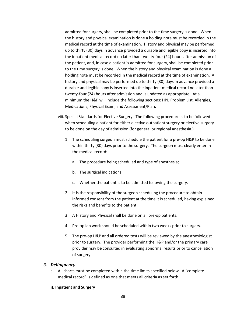admitted for surgery, shall be completed prior to the time surgery is done. When the history and physical examination is done a holding note must be recorded in the medical record at the time of examination. History and physical may be performed up to thirty (30) days in advance provided a durable and legible copy is inserted into the inpatient medical record no later than twenty-four (24) hours after admission of the patient, and, in case a patient is admitted for surgery, shall be completed prior to the time surgery is done. When the history and physical examination is done a holding note must be recorded in the medical record at the time of examination. A history and physical may be performed up to thirty (30) days in advance provided a durable and legible copy is inserted into the inpatient medical record no later than twenty-four (24) hours after admission and is updated as appropriate. At a minimum the H&P will include the following sections: HPI, Problem List, Allergies, Medications, Physical Exam, and Assessment/Plan.

- viii. Special Standards for Elective Surgery. The following procedure is to be followed when scheduling a patient for either elective outpatient surgery or elective surgery to be done on the day of admission (for general or regional anesthesia.)
	- 1. The scheduling surgeon must schedule the patient for a pre-op H&P to be done within thirty (30) days prior to the surgery. The surgeon must clearly enter in the medical record:
		- a. The procedure being scheduled and type of anesthesia;
		- b. The surgical indications;
		- c. Whether the patient is to be admitted following the surgery.
	- 2. It is the responsibility of the surgeon scheduling the procedure to obtain informed consent from the patient at the time it is scheduled, having explained the risks and benefits to the patient.
	- 3. A History and Physical shall be done on all pre-op patients.
	- 4. Pre-op lab work should be scheduled within two weeks prior to surgery.
	- 5. The pre-op H&P and all ordered tests will be reviewed by the anesthesiologist prior to surgery. The provider performing the H&P and/or the primary care provider may be consulted in evaluating abnormal results prior to cancellation of surgery.

## *3. Delinquency*

a. All charts must be completed within the time limits specified below. A "complete medical record" is defined as one that meets all criteria as set forth.

## **i). Inpatient and Surgery**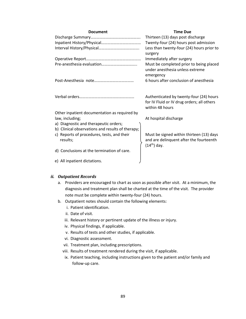| <b>Document</b>                                        | <b>Time Due</b>                                                                                          |
|--------------------------------------------------------|----------------------------------------------------------------------------------------------------------|
|                                                        | Thirteen (13) days post discharge                                                                        |
|                                                        | Twenty-four (24) hours post admission                                                                    |
|                                                        | Less than twenty-four (24) hours prior to<br>surgery                                                     |
|                                                        | Immediately after surgery                                                                                |
|                                                        | Must be completed prior to being placed<br>under anesthesia unless extreme<br>emergency                  |
|                                                        | 6 hours after conclusion of anesthesia                                                                   |
|                                                        | Authenticated by twenty-four (24) hours<br>for IV Fluid or IV drug orders; all others<br>within 48 hours |
| Other inpatient documentation as required by           |                                                                                                          |
| law, including;                                        | At hospital discharge                                                                                    |
| a) Diagnostic and therapeutic orders;                  |                                                                                                          |
| b) Clinical observations and results of therapy;       |                                                                                                          |
| c) Reports of procedures, tests, and their<br>results; | Must be signed within thirteen (13) days<br>and are delinquent after the fourteenth<br>$(14th)$ day.     |
| d) Conclusions at the termination of care.             |                                                                                                          |
| e) All inpatient dictations.                           |                                                                                                          |

#### *ii. Outpatient Records*

- a. Providers are encouraged to chart as soon as possible after visit. At a minimum, the diagnosis and treatment plan shall be charted at the time of the visit. The provider note must be complete within twenty-four (24) hours.
- b. Outpatient notes should contain the following elements:
	- i. Patient identification.
	- ii. Date of visit.
	- iii. Relevant history or pertinent update of the illness or injury.
	- iv. Physical findings, if applicable.
	- v. Results of tests and other studies, if applicable.
	- vi. Diagnostic assessment.
	- vii. Treatment plan, including prescriptions.
	- viii. Results of treatment rendered during the visit, if applicable.
	- ix. Patient teaching, including instructions given to the patient and/or family and follow-up care.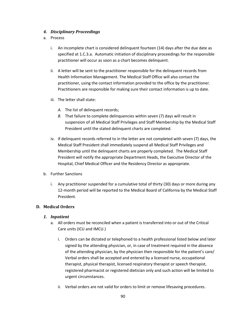## *4. Disciplinary Proceedings*

- a. Process
	- i. An incomplete chart is considered delinquent fourteen (14) days after the due date as specified at 1.C.3.a. Automatic initiation of disciplinary proceedings for the responsible practitioner will occur as soon as a chart becomes delinquent.
	- ii. A letter will be sent to the practitioner responsible for the delinquent records from Health Information Management. The Medical Staff Office will also contact the practitioner, using the contact information provided to the office by the practitioner. Practitioners are responsible for making sure their contact information is up to date.
	- iii. The letter shall state:
		- *A.* The list of delinquent records;
		- *B.* That failure to complete delinquencies within seven (7) days will result in suspension of all Medical Staff Privileges and Staff Membership by the Medical Staff President until the stated delinquent charts are completed.
	- iv. If delinquent records referred to in the letter are not completed with seven (7) days, the Medical Staff President shall immediately suspend all Medical Staff Privileges and Membership until the delinquent charts are properly completed. The Medical Staff President will notify the appropriate Department Heads, the Executive Director of the Hospital, Chief Medical Officer and the Residency Director as appropriate.
- b. Further Sanctions
	- i. Any practitioner suspended for a cumulative total of thirty (30) days or more during any 12-month period will be reported to the Medical Board of California by the Medical Staff President.

## **D. Medical Orders**

## *1. Inpatient*

- a. All orders must be reconciled when a patient is transferred into or out of the Critical Care units (ICU and IMCU.)
	- i. Orders can be dictated or telephoned to a health professional listed below and later signed by the attending physician, or, in case of treatment required in the absence of the attending physician, by the physician then responsible for the patient's care/ Verbal orders shall be accepted and entered by a licensed nurse, occupational therapist, physical therapist, licensed respiratory therapist or speech therapist, registered pharmacist or registered dietician only and such action will be limited to urgent circumstances.
	- ii. Verbal orders are not valid for orders to limit or remove lifesaving procedures.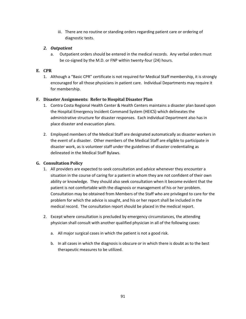iii. There are no routine or standing orders regarding patient care or ordering of diagnostic tests.

# *2. Outpatient*

a. Outpatient orders should be entered in the medical records. Any verbal orders must be co-signed by the M.D. or FNP within twenty-four (24) hours.

# **E. CPR**

1. Although a "Basic CPR" certificate is not required for Medical Staff membership, it is strongly encouraged for all those physicians in patient care. Individual Departments may require it for membership.

# **F. Disaster Assignments: Refer to Hospital Disaster Plan**

- 1. Contra Costa Regional Health Center & Health Centers maintains a disaster plan based upon the Hospital Emergency Incident Command System (HEICS) which delineates the administrative structure for disaster responses. Each individual Department also has in place disaster and evacuation plans.
- 2. Employed members of the Medical Staff are designated automatically as disaster workers in the event of a disaster. Other members of the Medical Staff are eligible to participate in disaster work, as is volunteer staff under the guidelines of disaster credentialing as delineated in the Medical Staff Bylaws.

## **G. Consultation Policy**

- 1. All providers are expected to seek consultation and advice whenever they encounter a situation in the course of caring for a patient in whom they are not confident of their own ability or knowledge. They should also seek consultation when it become evident that the patient is not comfortable with the diagnosis or management of his or her problem. Consultation may be obtained from Members of the Staff who are privileged to care for the problem for which the advice is sought, and his or her report shall be included in the medical record. The consultation report should be placed in the medical report.
- 2. Except where consultation is precluded by emergency circumstances, the attending physician shall consult with another qualified physician in all of the following cases:
	- a. All major surgical cases in which the patient is not a good risk.
	- b. In all cases in which the diagnosis is obscure or in which there is doubt as to the best therapeutic measures to be utilized.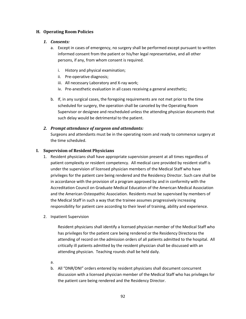## **H. Operating Room Policies**

## *1. Consents:*

- a. Except in cases of emergency, no surgery shall be performed except pursuant to written informed consent from the patient or his/her legal representative, and all other persons, if any, from whom consent is required.
	- i. History and physical examination;
	- ii. Pre-operative diagnosis;
	- iii. All necessary Laboratory and X-ray work;
	- iv. Pre-anesthetic evaluation in all cases receiving a general anesthetic;
- b. If, in any surgical cases, the foregoing requirements are not met prior to the time scheduled for surgery, the operation shall be canceled by the Operating Room Supervisor or designee and rescheduled unless the attending physician documents that such delay would be detrimental to the patient.

## *2. Prompt attendance of surgeon and attendants:*

Surgeons and attendants must be in the operating room and ready to commence surgery at the time scheduled.

## **I. Supervision of Resident Physicians**

- 1. Resident physicians shall have appropriate supervision present at all times regardless of patient complexity or resident competency. All medical care provided by resident staff is under the supervision of licensed physician members of the Medical Staff who have privileges for the patient care being rendered and the Residency Director. Such care shall be in accordance with the provision of a program approved by and in conformity with the Accreditation Council on Graduate Medical Education of the American Medical Association and the American Osteopathic Association. Residents must be supervised by members of the Medical Staff in such a way that the trainee assumes progressively increasing responsibility for patient care according to their level of training, ability and experience.
- 2. Inpatient Supervision

Resident physicians shall identify a licensed physician member of the Medical Staff who has privileges for the patient care being rendered or the Residency Directoras the attending of record on the admission orders of all patients admitted to the hospital. All critically ill patients admitted by the resident physician shall be discussed with an attending physician. Teaching rounds shall be held daily.

- a.
- b. All "DNR/DNI" orders entered by resident physicians shall document concurrent discussion with a licensed physician member of the Medical Staff who has privileges for the patient care being rendered and the Residency Director.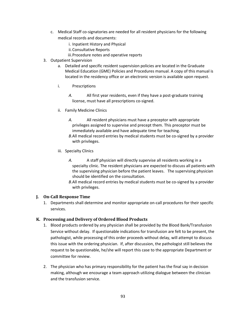- c. Medical Staff co-signatories are needed for all resident physicians for the following medical records and documents:
	- i. Inpatient History and Physical
	- ii.Consultative Reports
	- iii.Procedure notes and operative reports
- 3. Outpatient Supervision
	- a. Detailed and specific resident supervision policies are located in the Graduate Medical Education (GME) Policies and Procedures manual. A copy of this manual is located in the residency office or an electronic version is available upon request.
	- i. Prescriptions
		- *A.* All first year residents, even if they have a post-graduate training license, must have all prescriptions co-signed.
	- ii. Family Medicine Clinics
		- *A.* All resident physicians must have a preceptor with appropriate privileges assigned to supervise and precept them. This preceptor must be immediately available and have adequate time for teaching.
		- *B.*All medical record entries by medical students must be co-signed by a provider with privileges.
	- iii*.* Specialty Clinics
		- *A.* A staff physician will directly supervise all residents working in a specialty clinic. The resident physicians are expected to discuss all patients with the supervising physician before the patient leaves. The supervising physician should be identified on the consultation.
		- *B.*All medical record entries by medical students must be co-signed by a provider with privileges.

# **J. On-Call Response Time**

1. Departments shall determine and monitor appropriate on-call procedures for their specific services.

# **K. Processing and Delivery of Ordered Blood Products**

- 1. Blood products ordered by any physician shall be provided by the Blood Bank/Transfusion Service without delay. If questionable indications for transfusion are felt to be present, the pathologist, while processing of this order proceeds without delay, will attempt to discuss this issue with the ordering physician. If, after discussion, the pathologist still believes the request to be questionable, he/she will report this case to the appropriate Department or committee for review.
- 2. The physician who has primary responsibility for the patient has the final say in decision making, although we encourage a team approach utilizing dialogue between the clinician and the transfusion service.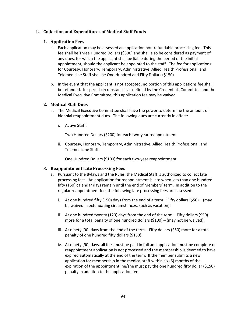## **L. Collection and Expenditures of Medical Staff Funds**

## **1. Application Fees**

- a. Each application may be assessed an application non-refundable processing fee. This fee shall be Three Hundred Dollars (\$300) and shall also be considered as payment of any dues, for which the applicant shall be liable during the period of the initial appointment, should the applicant be appointed to the staff. The fee for applications for Courtesy, Honorary, Temporary, Administrative, Allied Health Professional, and Telemedicine Staff shall be One Hundred and Fifty Dollars (\$150)
- b. In the event that the applicant is not accepted, no portion of this applications fee shall be refunded. In special circumstances as defined by the Credentials Committee and the Medical Executive Committee, this application fee may be waived.

## **2. Medical Staff Dues**

- a. The Medical Executive Committee shall have the power to determine the amount of biennial reappointment dues. The following dues are currently in effect:
	- i. Active Staff:

Two Hundred Dollars (\$200) for each two-year reappointment

ii. Courtesy, Honorary, Temporary, Administrative, Allied Health Professional, and Telemedicine Staff:

One Hundred Dollars (\$100) for each two-year reappointment

## **3. Reappointment Late Processing Fees**

- a. Pursuant to the Bylaws and the Rules, the Medical Staff is authorized to collect late processing fees. An application for reappointment is late when less than one hundred fifty (150) calendar days remain until the end of Members' term. In addition to the regular reappointment fee, the following late processing fees are assessed:
	- i. At one hundred fifty (150) days from the end of a term  $-$  Fifty dollars (\$50) (may be waived in extenuating circumstances, such as vacation);
	- ii. At one hundred twenty (120) days from the end of the term Fifty dollars (\$50) more for a total penalty of one hundred dollars (\$100) – (may not be waived);
	- iii. At ninety (90) days from the end of the term Fifty dollars (\$50) more for a total penalty of one hundred fifty dollars (\$150),
	- iv. At ninety (90) days, all fees must be paid in full and application must be complete or reappointment application is not processed and the membership is deemed to have expired automatically at the end of the term. If the member submits a new application for membership in the medical staff within six (6) months of the expiration of the appointment, he/she must pay the one hundred fifty dollar (\$150) penalty in addition to the application fee.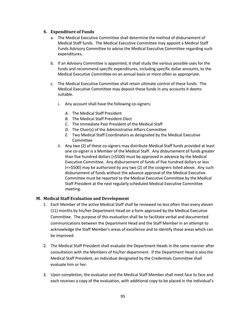## **4. Expenditure of Funds**

- a. The Medical Executive Committee shall determine the method of disbursement of Medical Staff funds. The Medical Executive Committee may appoint a Medical Staff Funds Advisory Committee to advise the Medical Executive Committee regarding such expenditures.
- b. If an Advisory Committee is appointed, it shall study the various possible uses for the funds and recommend specific expenditures, including specific dollar amounts, to the Medical Executive Committee on an annual basis or more often as appropriate.
- c. The Medical Executive Committee shall retain ultimate control of these funds. The Medical Executive Committee may deposit these funds in any accounts it deems suitable.
	- i. Any account shall have the following co-signers:
		- *A.* The Medical Staff President
		- *B.* The Medical Staff President-Elect
		- *C.* The Immediate Past President of the Medical Staff
		- *D.* The Chair(s) of the Administrative Affairs Committee
		- *E.* Two Medical Staff Coordinators as designated by the Medical Executive Committee
	- ii. Any two (2) of these co-signers may distribute Medical Staff funds provided at least one co-signer is a Member of the Medical Staff. Any disbursement of funds greater than five hundred dollars (>\$500) must be approved in advance by the Medical Executive Committee. Any disbursement of funds of five hundred dollars or less (<=\$500) may be authorized by any two (2) of the cosigners listed above. Any such disbursement of funds without the advance approval of the Medical Executive Committee must be reported to the Medical Executive Committee by the Medical Staff President at the next regularly scheduled Medical Executive Committee meeting.

## **M. Medical Staff Evaluation and Development**

- 1. Each Member of the active Medical Staff shall be reviewed no less often than every eleven (11) months by his/her Department Head on a form approved by the Medical Executive Committee. The purpose of this evaluation shall be to facilitate verbal and documented communications between the Department Head and the Staff Member in an attempt to acknowledge the Staff Member's areas of excellence and to identify those areas which can be improved.
- 2. The Medical Staff President shall evaluate the Department Heads in the same manner after consultation with the Members of his/her department. If the Department Head is also the Medical Staff President, an individual designated by the Credentials Committee shall evaluate him or her.
- 3. Upon completion, the evaluator and the Medical Staff Member shall meet face to face and each receives a copy of the evaluation, with additional copy to be placed in the individual's